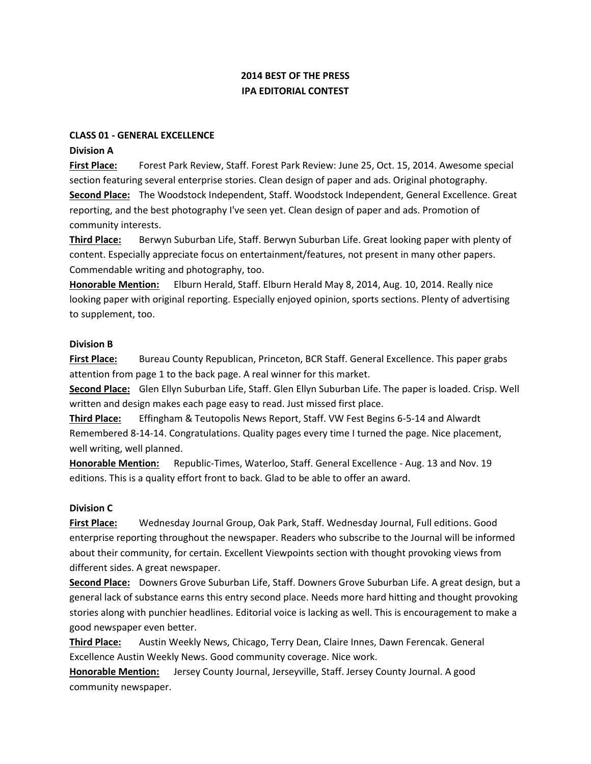# **2014 BEST OF THE PRESS IPA EDITORIAL CONTEST**

### **CLASS 01 - GENERAL EXCELLENCE**

#### **Division A**

**First Place:** Forest Park Review, Staff. Forest Park Review: June 25, Oct. 15, 2014. Awesome special section featuring several enterprise stories. Clean design of paper and ads. Original photography. **Second Place:** The Woodstock Independent, Staff. Woodstock Independent, General Excellence. Great reporting, and the best photography I've seen yet. Clean design of paper and ads. Promotion of community interests.

**Third Place:** Berwyn Suburban Life, Staff. Berwyn Suburban Life. Great looking paper with plenty of content. Especially appreciate focus on entertainment/features, not present in many other papers. Commendable writing and photography, too.

**Honorable Mention:** Elburn Herald, Staff. Elburn Herald May 8, 2014, Aug. 10, 2014. Really nice looking paper with original reporting. Especially enjoyed opinion, sports sections. Plenty of advertising to supplement, too.

#### **Division B**

**First Place:** Bureau County Republican, Princeton, BCR Staff. General Excellence. This paper grabs attention from page 1 to the back page. A real winner for this market.

**Second Place:** Glen Ellyn Suburban Life, Staff. Glen Ellyn Suburban Life. The paper is loaded. Crisp. Well written and design makes each page easy to read. Just missed first place.

**Third Place:** Effingham & Teutopolis News Report, Staff. VW Fest Begins 6-5-14 and Alwardt Remembered 8-14-14. Congratulations. Quality pages every time I turned the page. Nice placement, well writing, well planned.

**Honorable Mention:** Republic-Times, Waterloo, Staff. General Excellence - Aug. 13 and Nov. 19 editions. This is a quality effort front to back. Glad to be able to offer an award.

### **Division C**

**First Place:** Wednesday Journal Group, Oak Park, Staff. Wednesday Journal, Full editions. Good enterprise reporting throughout the newspaper. Readers who subscribe to the Journal will be informed about their community, for certain. Excellent Viewpoints section with thought provoking views from different sides. A great newspaper.

**Second Place:** Downers Grove Suburban Life, Staff. Downers Grove Suburban Life. A great design, but a general lack of substance earns this entry second place. Needs more hard hitting and thought provoking stories along with punchier headlines. Editorial voice is lacking as well. This is encouragement to make a good newspaper even better.

**Third Place:** Austin Weekly News, Chicago, Terry Dean, Claire Innes, Dawn Ferencak. General Excellence Austin Weekly News. Good community coverage. Nice work.

**Honorable Mention:** Jersey County Journal, Jerseyville, Staff. Jersey County Journal. A good community newspaper.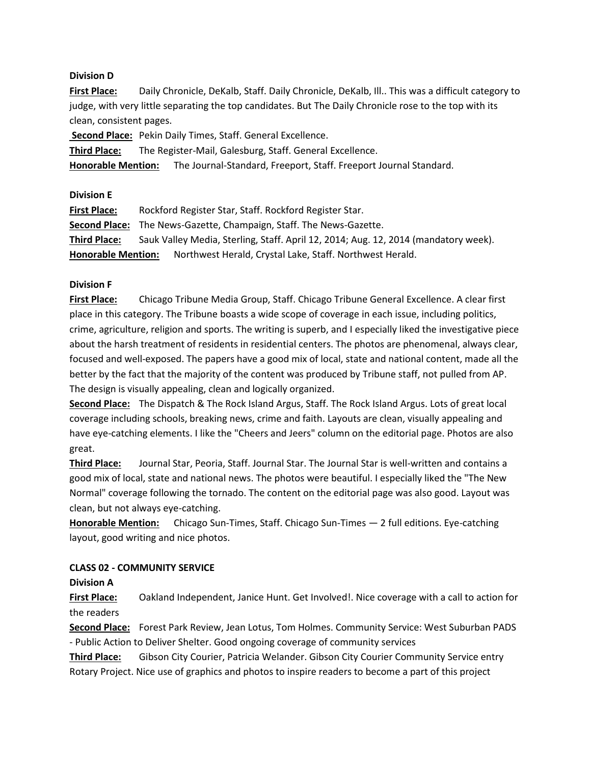### **Division D**

**First Place:** Daily Chronicle, DeKalb, Staff. Daily Chronicle, DeKalb, Ill.. This was a difficult category to judge, with very little separating the top candidates. But The Daily Chronicle rose to the top with its clean, consistent pages.

**Second Place:** Pekin Daily Times, Staff. General Excellence.

**Third Place:** The Register-Mail, Galesburg, Staff. General Excellence.

**Honorable Mention:** The Journal-Standard, Freeport, Staff. Freeport Journal Standard.

**Division E**

| <b>First Place:</b>       | Rockford Register Star, Staff. Rockford Register Star.                              |
|---------------------------|-------------------------------------------------------------------------------------|
|                           | <b>Second Place:</b> The News-Gazette, Champaign, Staff. The News-Gazette.          |
| <b>Third Place:</b>       | Sauk Valley Media, Sterling, Staff. April 12, 2014; Aug. 12, 2014 (mandatory week). |
| <b>Honorable Mention:</b> | Northwest Herald, Crystal Lake, Staff. Northwest Herald.                            |

# **Division F**

**First Place:** Chicago Tribune Media Group, Staff. Chicago Tribune General Excellence. A clear first place in this category. The Tribune boasts a wide scope of coverage in each issue, including politics, crime, agriculture, religion and sports. The writing is superb, and I especially liked the investigative piece about the harsh treatment of residents in residential centers. The photos are phenomenal, always clear, focused and well-exposed. The papers have a good mix of local, state and national content, made all the better by the fact that the majority of the content was produced by Tribune staff, not pulled from AP. The design is visually appealing, clean and logically organized.

**Second Place:** The Dispatch & The Rock Island Argus, Staff. The Rock Island Argus. Lots of great local coverage including schools, breaking news, crime and faith. Layouts are clean, visually appealing and have eye-catching elements. I like the "Cheers and Jeers" column on the editorial page. Photos are also great.

**Third Place:** Journal Star, Peoria, Staff. Journal Star. The Journal Star is well-written and contains a good mix of local, state and national news. The photos were beautiful. I especially liked the "The New Normal" coverage following the tornado. The content on the editorial page was also good. Layout was clean, but not always eye-catching.

**Honorable Mention:** Chicago Sun-Times, Staff. Chicago Sun-Times — 2 full editions. Eye-catching layout, good writing and nice photos.

# **CLASS 02 - COMMUNITY SERVICE**

**Division A**

**First Place:** Oakland Independent, Janice Hunt. Get Involved!. Nice coverage with a call to action for the readers

**Second Place:** Forest Park Review, Jean Lotus, Tom Holmes. Community Service: West Suburban PADS - Public Action to Deliver Shelter. Good ongoing coverage of community services

**Third Place:** Gibson City Courier, Patricia Welander. Gibson City Courier Community Service entry Rotary Project. Nice use of graphics and photos to inspire readers to become a part of this project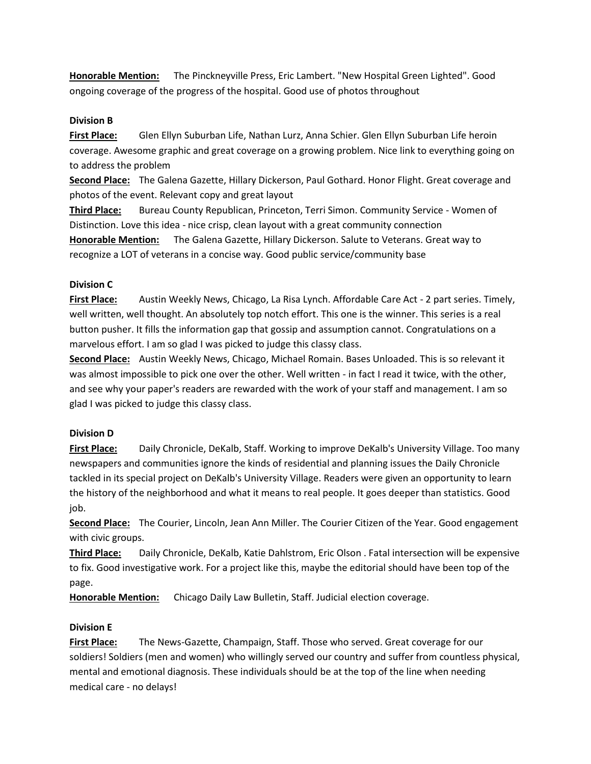**Honorable Mention:** The Pinckneyville Press, Eric Lambert. "New Hospital Green Lighted". Good ongoing coverage of the progress of the hospital. Good use of photos throughout

### **Division B**

**First Place:** Glen Ellyn Suburban Life, Nathan Lurz, Anna Schier. Glen Ellyn Suburban Life heroin coverage. Awesome graphic and great coverage on a growing problem. Nice link to everything going on to address the problem

**Second Place:** The Galena Gazette, Hillary Dickerson, Paul Gothard. Honor Flight. Great coverage and photos of the event. Relevant copy and great layout

**Third Place:** Bureau County Republican, Princeton, Terri Simon. Community Service - Women of Distinction. Love this idea - nice crisp, clean layout with a great community connection **Honorable Mention:** The Galena Gazette, Hillary Dickerson. Salute to Veterans. Great way to recognize a LOT of veterans in a concise way. Good public service/community base

### **Division C**

**First Place:** Austin Weekly News, Chicago, La Risa Lynch. Affordable Care Act - 2 part series. Timely, well written, well thought. An absolutely top notch effort. This one is the winner. This series is a real button pusher. It fills the information gap that gossip and assumption cannot. Congratulations on a marvelous effort. I am so glad I was picked to judge this classy class.

**Second Place:** Austin Weekly News, Chicago, Michael Romain. Bases Unloaded. This is so relevant it was almost impossible to pick one over the other. Well written - in fact I read it twice, with the other, and see why your paper's readers are rewarded with the work of your staff and management. I am so glad I was picked to judge this classy class.

### **Division D**

**First Place:** Daily Chronicle, DeKalb, Staff. Working to improve DeKalb's University Village. Too many newspapers and communities ignore the kinds of residential and planning issues the Daily Chronicle tackled in its special project on DeKalb's University Village. Readers were given an opportunity to learn the history of the neighborhood and what it means to real people. It goes deeper than statistics. Good job.

**Second Place:** The Courier, Lincoln, Jean Ann Miller. The Courier Citizen of the Year. Good engagement with civic groups.

**Third Place:** Daily Chronicle, DeKalb, Katie Dahlstrom, Eric Olson . Fatal intersection will be expensive to fix. Good investigative work. For a project like this, maybe the editorial should have been top of the page.

**Honorable Mention:** Chicago Daily Law Bulletin, Staff. Judicial election coverage.

# **Division E**

**First Place:** The News-Gazette, Champaign, Staff. Those who served. Great coverage for our soldiers! Soldiers (men and women) who willingly served our country and suffer from countless physical, mental and emotional diagnosis. These individuals should be at the top of the line when needing medical care - no delays!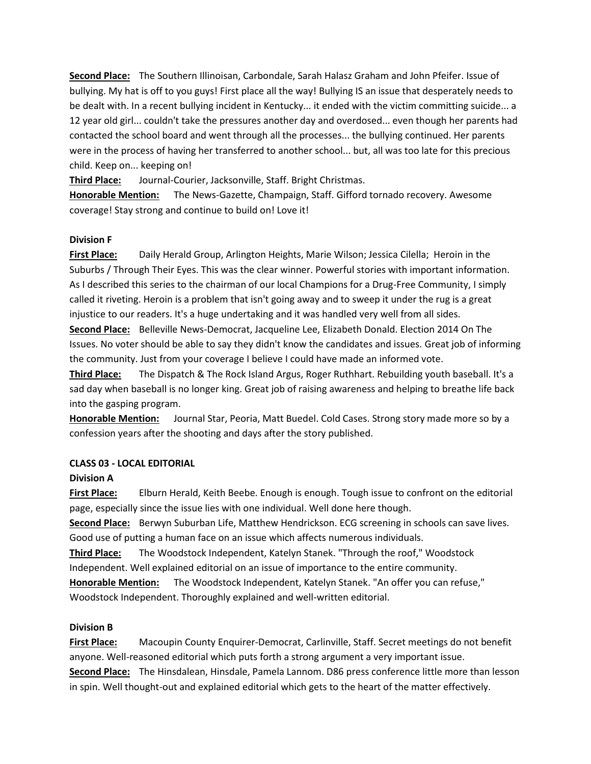**Second Place:** The Southern Illinoisan, Carbondale, Sarah Halasz Graham and John Pfeifer. Issue of bullying. My hat is off to you guys! First place all the way! Bullying IS an issue that desperately needs to be dealt with. In a recent bullying incident in Kentucky... it ended with the victim committing suicide... a 12 year old girl... couldn't take the pressures another day and overdosed... even though her parents had contacted the school board and went through all the processes... the bullying continued. Her parents were in the process of having her transferred to another school... but, all was too late for this precious child. Keep on... keeping on!

**Third Place:** Journal-Courier, Jacksonville, Staff. Bright Christmas.

**Honorable Mention:** The News-Gazette, Champaign, Staff. Gifford tornado recovery. Awesome coverage! Stay strong and continue to build on! Love it!

### **Division F**

**First Place:** Daily Herald Group, Arlington Heights, Marie Wilson; Jessica Cilella; Heroin in the Suburbs / Through Their Eyes. This was the clear winner. Powerful stories with important information. As I described this series to the chairman of our local Champions for a Drug-Free Community, I simply called it riveting. Heroin is a problem that isn't going away and to sweep it under the rug is a great injustice to our readers. It's a huge undertaking and it was handled very well from all sides.

**Second Place:** Belleville News-Democrat, Jacqueline Lee, Elizabeth Donald. Election 2014 On The Issues. No voter should be able to say they didn't know the candidates and issues. Great job of informing the community. Just from your coverage I believe I could have made an informed vote.

**Third Place:** The Dispatch & The Rock Island Argus, Roger Ruthhart. Rebuilding youth baseball. It's a sad day when baseball is no longer king. Great job of raising awareness and helping to breathe life back into the gasping program.

**Honorable Mention:** Journal Star, Peoria, Matt Buedel. Cold Cases. Strong story made more so by a confession years after the shooting and days after the story published.

# **CLASS 03 - LOCAL EDITORIAL**

# **Division A**

**First Place:** Elburn Herald, Keith Beebe. Enough is enough. Tough issue to confront on the editorial page, especially since the issue lies with one individual. Well done here though.

**Second Place:** Berwyn Suburban Life, Matthew Hendrickson. ECG screening in schools can save lives. Good use of putting a human face on an issue which affects numerous individuals.

**Third Place:** The Woodstock Independent, Katelyn Stanek. "Through the roof," Woodstock Independent. Well explained editorial on an issue of importance to the entire community.

**Honorable Mention:** The Woodstock Independent, Katelyn Stanek. "An offer you can refuse," Woodstock Independent. Thoroughly explained and well-written editorial.

# **Division B**

**First Place:** Macoupin County Enquirer-Democrat, Carlinville, Staff. Secret meetings do not benefit anyone. Well-reasoned editorial which puts forth a strong argument a very important issue. **Second Place:** The Hinsdalean, Hinsdale, Pamela Lannom. D86 press conference little more than lesson in spin. Well thought-out and explained editorial which gets to the heart of the matter effectively.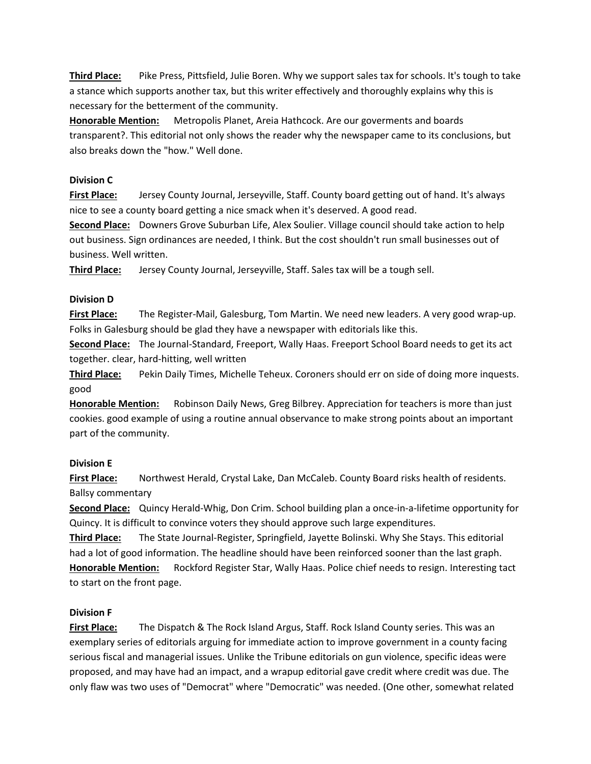**Third Place:** Pike Press, Pittsfield, Julie Boren. Why we support sales tax for schools. It's tough to take a stance which supports another tax, but this writer effectively and thoroughly explains why this is necessary for the betterment of the community.

**Honorable Mention:** Metropolis Planet, Areia Hathcock. Are our goverments and boards transparent?. This editorial not only shows the reader why the newspaper came to its conclusions, but also breaks down the "how." Well done.

### **Division C**

**First Place:** Jersey County Journal, Jerseyville, Staff. County board getting out of hand. It's always nice to see a county board getting a nice smack when it's deserved. A good read.

**Second Place:** Downers Grove Suburban Life, Alex Soulier. Village council should take action to help out business. Sign ordinances are needed, I think. But the cost shouldn't run small businesses out of business. Well written.

**Third Place:** Jersey County Journal, Jerseyville, Staff. Sales tax will be a tough sell.

### **Division D**

**First Place:** The Register-Mail, Galesburg, Tom Martin. We need new leaders. A very good wrap-up. Folks in Galesburg should be glad they have a newspaper with editorials like this.

**Second Place:** The Journal-Standard, Freeport, Wally Haas. Freeport School Board needs to get its act together. clear, hard-hitting, well written

**Third Place:** Pekin Daily Times, Michelle Teheux. Coroners should err on side of doing more inquests. good

**Honorable Mention:** Robinson Daily News, Greg Bilbrey. Appreciation for teachers is more than just cookies. good example of using a routine annual observance to make strong points about an important part of the community.

### **Division E**

**First Place:** Northwest Herald, Crystal Lake, Dan McCaleb. County Board risks health of residents. Ballsy commentary

**Second Place:** Quincy Herald-Whig, Don Crim. School building plan a once-in-a-lifetime opportunity for Quincy. It is difficult to convince voters they should approve such large expenditures.

**Third Place:** The State Journal-Register, Springfield, Jayette Bolinski. Why She Stays. This editorial had a lot of good information. The headline should have been reinforced sooner than the last graph. **Honorable Mention:** Rockford Register Star, Wally Haas. Police chief needs to resign. Interesting tact to start on the front page.

# **Division F**

**First Place:** The Dispatch & The Rock Island Argus, Staff. Rock Island County series. This was an exemplary series of editorials arguing for immediate action to improve government in a county facing serious fiscal and managerial issues. Unlike the Tribune editorials on gun violence, specific ideas were proposed, and may have had an impact, and a wrapup editorial gave credit where credit was due. The only flaw was two uses of "Democrat" where "Democratic" was needed. (One other, somewhat related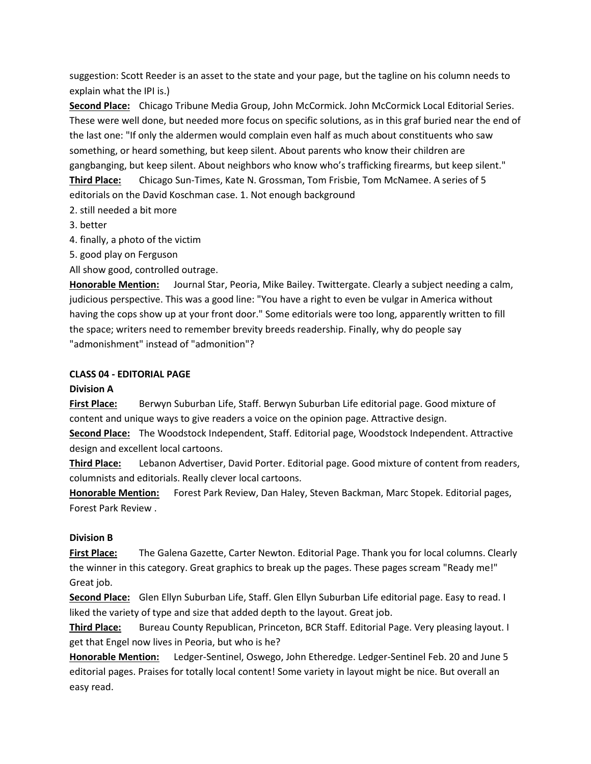suggestion: Scott Reeder is an asset to the state and your page, but the tagline on his column needs to explain what the IPI is.)

**Second Place:** Chicago Tribune Media Group, John McCormick. John McCormick Local Editorial Series. These were well done, but needed more focus on specific solutions, as in this graf buried near the end of the last one: "If only the aldermen would complain even half as much about constituents who saw something, or heard something, but keep silent. About parents who know their children are gangbanging, but keep silent. About neighbors who know who's trafficking firearms, but keep silent."

**Third Place:** Chicago Sun-Times, Kate N. Grossman, Tom Frisbie, Tom McNamee. A series of 5 editorials on the David Koschman case. 1. Not enough background

- 2. still needed a bit more
- 3. better
- 4. finally, a photo of the victim
- 5. good play on Ferguson

All show good, controlled outrage.

**Honorable Mention:** Journal Star, Peoria, Mike Bailey. Twittergate. Clearly a subject needing a calm, judicious perspective. This was a good line: "You have a right to even be vulgar in America without having the cops show up at your front door." Some editorials were too long, apparently written to fill the space; writers need to remember brevity breeds readership. Finally, why do people say "admonishment" instead of "admonition"?

### **CLASS 04 - EDITORIAL PAGE**

### **Division A**

**First Place:** Berwyn Suburban Life, Staff. Berwyn Suburban Life editorial page. Good mixture of content and unique ways to give readers a voice on the opinion page. Attractive design.

**Second Place:** The Woodstock Independent, Staff. Editorial page, Woodstock Independent. Attractive design and excellent local cartoons.

**Third Place:** Lebanon Advertiser, David Porter. Editorial page. Good mixture of content from readers, columnists and editorials. Really clever local cartoons.

**Honorable Mention:** Forest Park Review, Dan Haley, Steven Backman, Marc Stopek. Editorial pages, Forest Park Review .

# **Division B**

**First Place:** The Galena Gazette, Carter Newton. Editorial Page. Thank you for local columns. Clearly the winner in this category. Great graphics to break up the pages. These pages scream "Ready me!" Great job.

**Second Place:** Glen Ellyn Suburban Life, Staff. Glen Ellyn Suburban Life editorial page. Easy to read. I liked the variety of type and size that added depth to the layout. Great job.

**Third Place:** Bureau County Republican, Princeton, BCR Staff. Editorial Page. Very pleasing layout. I get that Engel now lives in Peoria, but who is he?

**Honorable Mention:** Ledger-Sentinel, Oswego, John Etheredge. Ledger-Sentinel Feb. 20 and June 5 editorial pages. Praises for totally local content! Some variety in layout might be nice. But overall an easy read.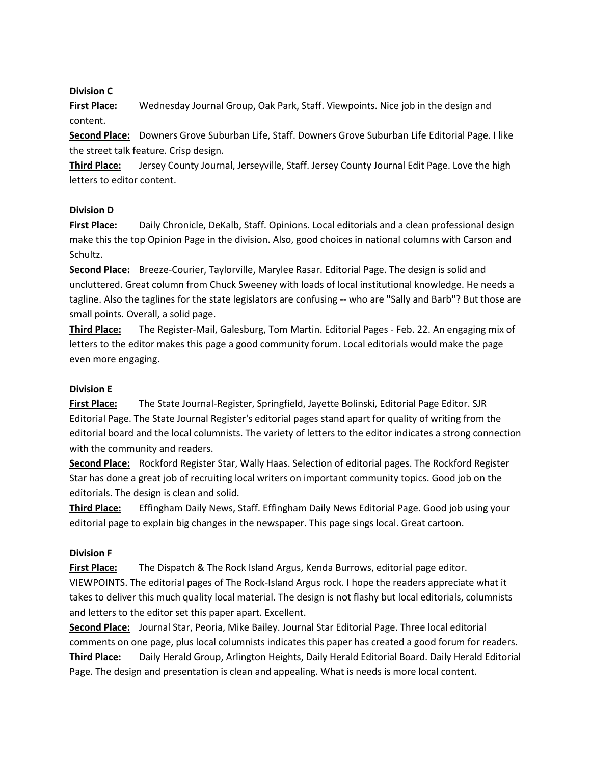### **Division C**

**First Place:** Wednesday Journal Group, Oak Park, Staff. Viewpoints. Nice job in the design and content.

**Second Place:** Downers Grove Suburban Life, Staff. Downers Grove Suburban Life Editorial Page. I like the street talk feature. Crisp design.

**Third Place:** Jersey County Journal, Jerseyville, Staff. Jersey County Journal Edit Page. Love the high letters to editor content.

### **Division D**

**First Place:** Daily Chronicle, DeKalb, Staff. Opinions. Local editorials and a clean professional design make this the top Opinion Page in the division. Also, good choices in national columns with Carson and Schultz.

**Second Place:** Breeze-Courier, Taylorville, Marylee Rasar. Editorial Page. The design is solid and uncluttered. Great column from Chuck Sweeney with loads of local institutional knowledge. He needs a tagline. Also the taglines for the state legislators are confusing -- who are "Sally and Barb"? But those are small points. Overall, a solid page.

**Third Place:** The Register-Mail, Galesburg, Tom Martin. Editorial Pages - Feb. 22. An engaging mix of letters to the editor makes this page a good community forum. Local editorials would make the page even more engaging.

### **Division E**

**First Place:** The State Journal-Register, Springfield, Jayette Bolinski, Editorial Page Editor. SJR Editorial Page. The State Journal Register's editorial pages stand apart for quality of writing from the editorial board and the local columnists. The variety of letters to the editor indicates a strong connection with the community and readers.

**Second Place:** Rockford Register Star, Wally Haas. Selection of editorial pages. The Rockford Register Star has done a great job of recruiting local writers on important community topics. Good job on the editorials. The design is clean and solid.

**Third Place:** Effingham Daily News, Staff. Effingham Daily News Editorial Page. Good job using your editorial page to explain big changes in the newspaper. This page sings local. Great cartoon.

### **Division F**

**First Place:** The Dispatch & The Rock Island Argus, Kenda Burrows, editorial page editor. VIEWPOINTS. The editorial pages of The Rock-Island Argus rock. I hope the readers appreciate what it takes to deliver this much quality local material. The design is not flashy but local editorials, columnists and letters to the editor set this paper apart. Excellent.

**Second Place:** Journal Star, Peoria, Mike Bailey. Journal Star Editorial Page. Three local editorial comments on one page, plus local columnists indicates this paper has created a good forum for readers. **Third Place:** Daily Herald Group, Arlington Heights, Daily Herald Editorial Board. Daily Herald Editorial Page. The design and presentation is clean and appealing. What is needs is more local content.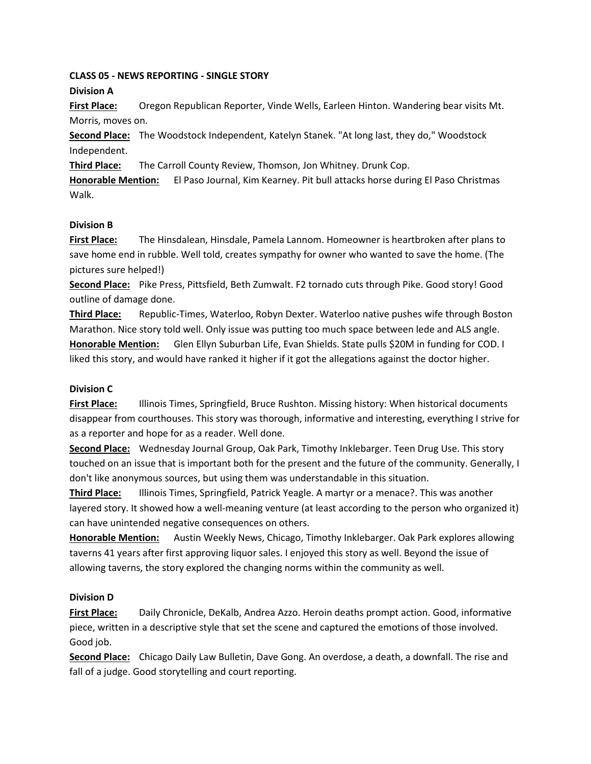### **CLASS 05 - NEWS REPORTING - SINGLE STORY Division A**

**First Place:** Oregon Republican Reporter, Vinde Wells, Earleen Hinton. Wandering bear visits Mt. Morris, moves on.

**Second Place:** The Woodstock Independent, Katelyn Stanek. "At long last, they do," Woodstock Independent.

**Third Place:** The Carroll County Review, Thomson, Jon Whitney. Drunk Cop.

**Honorable Mention:** El Paso Journal, Kim Kearney. Pit bull attacks horse during El Paso Christmas Walk.

# **Division B**

**First Place:** The Hinsdalean, Hinsdale, Pamela Lannom. Homeowner is heartbroken after plans to save home end in rubble. Well told, creates sympathy for owner who wanted to save the home. (The pictures sure helped!)

**Second Place:** Pike Press, Pittsfield, Beth Zumwalt. F2 tornado cuts through Pike. Good story! Good outline of damage done.

**Third Place:** Republic-Times, Waterloo, Robyn Dexter. Waterloo native pushes wife through Boston Marathon. Nice story told well. Only issue was putting too much space between lede and ALS angle. **Honorable Mention:** Glen Ellyn Suburban Life, Evan Shields. State pulls \$20M in funding for COD. I liked this story, and would have ranked it higher if it got the allegations against the doctor higher.

# **Division C**

**First Place:** Illinois Times, Springfield, Bruce Rushton. Missing history: When historical documents disappear from courthouses. This story was thorough, informative and interesting, everything I strive for as a reporter and hope for as a reader. Well done.

**Second Place:** Wednesday Journal Group, Oak Park, Timothy Inklebarger. Teen Drug Use. This story touched on an issue that is important both for the present and the future of the community. Generally, I don't like anonymous sources, but using them was understandable in this situation.

**Third Place:** Illinois Times, Springfield, Patrick Yeagle. A martyr or a menace?. This was another layered story. It showed how a well-meaning venture (at least according to the person who organized it) can have unintended negative consequences on others.

**Honorable Mention:** Austin Weekly News, Chicago, Timothy Inklebarger. Oak Park explores allowing taverns 41 years after first approving liquor sales. I enjoyed this story as well. Beyond the issue of allowing taverns, the story explored the changing norms within the community as well.

# **Division D**

**First Place:** Daily Chronicle, DeKalb, Andrea Azzo. Heroin deaths prompt action. Good, informative piece, written in a descriptive style that set the scene and captured the emotions of those involved. Good job.

**Second Place:** Chicago Daily Law Bulletin, Dave Gong. An overdose, a death, a downfall. The rise and fall of a judge. Good storytelling and court reporting.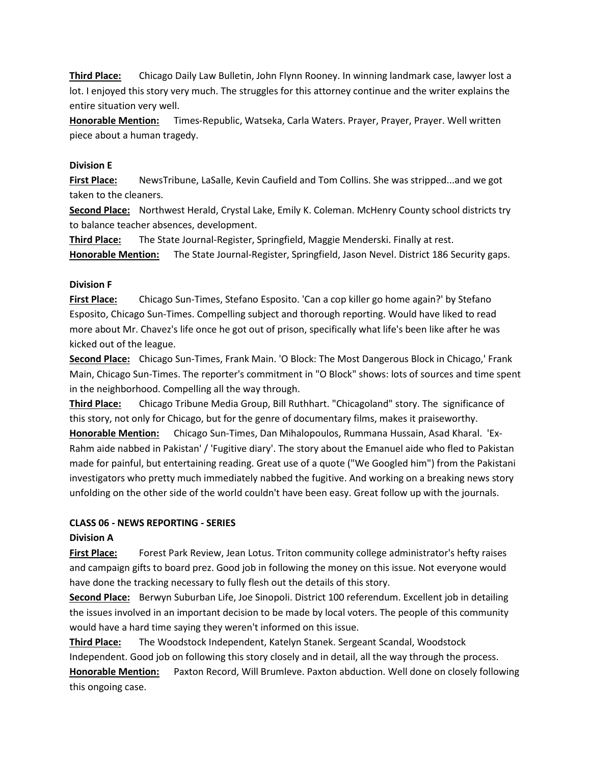**Third Place:** Chicago Daily Law Bulletin, John Flynn Rooney. In winning landmark case, lawyer lost a lot. I enjoyed this story very much. The struggles for this attorney continue and the writer explains the entire situation very well.

**Honorable Mention:** Times-Republic, Watseka, Carla Waters. Prayer, Prayer, Prayer. Well written piece about a human tragedy.

#### **Division E**

**First Place:** NewsTribune, LaSalle, Kevin Caufield and Tom Collins. She was stripped...and we got taken to the cleaners.

**Second Place:** Northwest Herald, Crystal Lake, Emily K. Coleman. McHenry County school districts try to balance teacher absences, development.

**Third Place:** The State Journal-Register, Springfield, Maggie Menderski. Finally at rest.

**Honorable Mention:** The State Journal-Register, Springfield, Jason Nevel. District 186 Security gaps.

### **Division F**

**First Place:** Chicago Sun-Times, Stefano Esposito. 'Can a cop killer go home again?' by Stefano Esposito, Chicago Sun-Times. Compelling subject and thorough reporting. Would have liked to read more about Mr. Chavez's life once he got out of prison, specifically what life's been like after he was kicked out of the league.

**Second Place:** Chicago Sun-Times, Frank Main. 'O Block: The Most Dangerous Block in Chicago,' Frank Main, Chicago Sun-Times. The reporter's commitment in "O Block" shows: lots of sources and time spent in the neighborhood. Compelling all the way through.

**Third Place:** Chicago Tribune Media Group, Bill Ruthhart. "Chicagoland" story. The significance of this story, not only for Chicago, but for the genre of documentary films, makes it praiseworthy.

**Honorable Mention:** Chicago Sun-Times, Dan Mihalopoulos, Rummana Hussain, Asad Kharal. 'Ex-Rahm aide nabbed in Pakistan' / 'Fugitive diary'. The story about the Emanuel aide who fled to Pakistan made for painful, but entertaining reading. Great use of a quote ("We Googled him") from the Pakistani investigators who pretty much immediately nabbed the fugitive. And working on a breaking news story unfolding on the other side of the world couldn't have been easy. Great follow up with the journals.

#### **CLASS 06 - NEWS REPORTING - SERIES**

### **Division A**

**First Place:** Forest Park Review, Jean Lotus. Triton community college administrator's hefty raises and campaign gifts to board prez. Good job in following the money on this issue. Not everyone would have done the tracking necessary to fully flesh out the details of this story.

**Second Place:** Berwyn Suburban Life, Joe Sinopoli. District 100 referendum. Excellent job in detailing the issues involved in an important decision to be made by local voters. The people of this community would have a hard time saying they weren't informed on this issue.

**Third Place:** The Woodstock Independent, Katelyn Stanek. Sergeant Scandal, Woodstock Independent. Good job on following this story closely and in detail, all the way through the process. **Honorable Mention:** Paxton Record, Will Brumleve. Paxton abduction. Well done on closely following this ongoing case.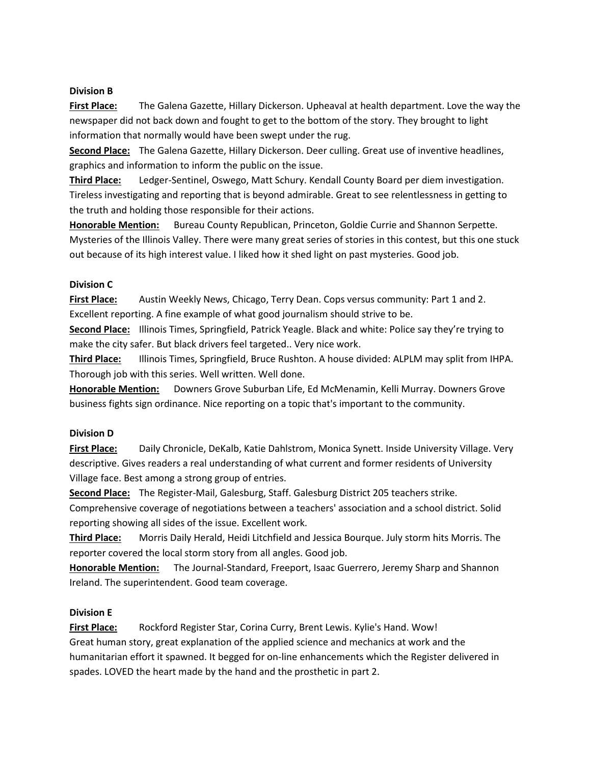### **Division B**

**First Place:** The Galena Gazette, Hillary Dickerson. Upheaval at health department. Love the way the newspaper did not back down and fought to get to the bottom of the story. They brought to light information that normally would have been swept under the rug.

**Second Place:** The Galena Gazette, Hillary Dickerson. Deer culling. Great use of inventive headlines, graphics and information to inform the public on the issue.

**Third Place:** Ledger-Sentinel, Oswego, Matt Schury. Kendall County Board per diem investigation. Tireless investigating and reporting that is beyond admirable. Great to see relentlessness in getting to the truth and holding those responsible for their actions.

**Honorable Mention:** Bureau County Republican, Princeton, Goldie Currie and Shannon Serpette. Mysteries of the Illinois Valley. There were many great series of stories in this contest, but this one stuck out because of its high interest value. I liked how it shed light on past mysteries. Good job.

# **Division C**

**First Place:** Austin Weekly News, Chicago, Terry Dean. Cops versus community: Part 1 and 2. Excellent reporting. A fine example of what good journalism should strive to be.

**Second Place:** Illinois Times, Springfield, Patrick Yeagle. Black and white: Police say they're trying to make the city safer. But black drivers feel targeted.. Very nice work.

**Third Place:** Illinois Times, Springfield, Bruce Rushton. A house divided: ALPLM may split from IHPA. Thorough job with this series. Well written. Well done.

**Honorable Mention:** Downers Grove Suburban Life, Ed McMenamin, Kelli Murray. Downers Grove business fights sign ordinance. Nice reporting on a topic that's important to the community.

### **Division D**

**First Place:** Daily Chronicle, DeKalb, Katie Dahlstrom, Monica Synett. Inside University Village. Very descriptive. Gives readers a real understanding of what current and former residents of University Village face. Best among a strong group of entries.

**Second Place:** The Register-Mail, Galesburg, Staff. Galesburg District 205 teachers strike.

Comprehensive coverage of negotiations between a teachers' association and a school district. Solid reporting showing all sides of the issue. Excellent work.

**Third Place:** Morris Daily Herald, Heidi Litchfield and Jessica Bourque. July storm hits Morris. The reporter covered the local storm story from all angles. Good job.

**Honorable Mention:** The Journal-Standard, Freeport, Isaac Guerrero, Jeremy Sharp and Shannon Ireland. The superintendent. Good team coverage.

# **Division E**

**First Place:** Rockford Register Star, Corina Curry, Brent Lewis. Kylie's Hand. Wow! Great human story, great explanation of the applied science and mechanics at work and the humanitarian effort it spawned. It begged for on-line enhancements which the Register delivered in spades. LOVED the heart made by the hand and the prosthetic in part 2.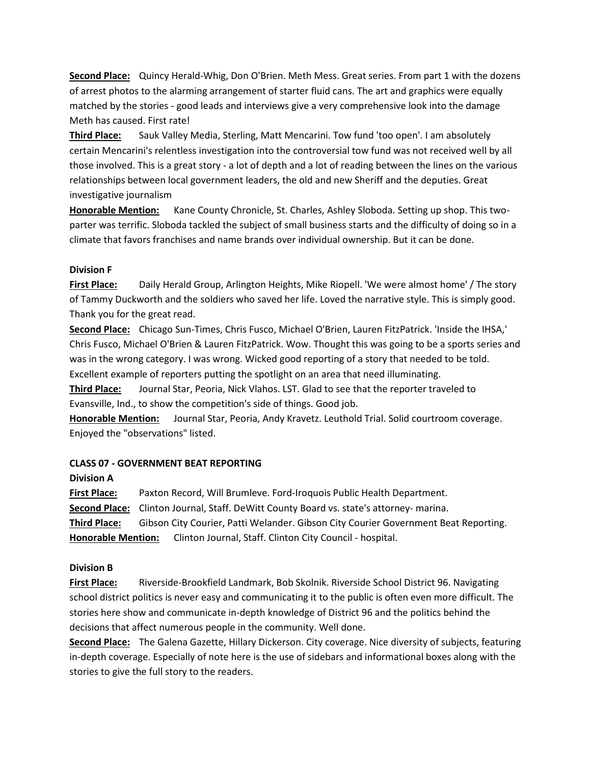**Second Place:** Quincy Herald-Whig, Don O'Brien. Meth Mess. Great series. From part 1 with the dozens of arrest photos to the alarming arrangement of starter fluid cans. The art and graphics were equally matched by the stories - good leads and interviews give a very comprehensive look into the damage Meth has caused. First rate!

**Third Place:** Sauk Valley Media, Sterling, Matt Mencarini. Tow fund 'too open'. I am absolutely certain Mencarini's relentless investigation into the controversial tow fund was not received well by all those involved. This is a great story - a lot of depth and a lot of reading between the lines on the various relationships between local government leaders, the old and new Sheriff and the deputies. Great investigative journalism

**Honorable Mention:** Kane County Chronicle, St. Charles, Ashley Sloboda. Setting up shop. This twoparter was terrific. Sloboda tackled the subject of small business starts and the difficulty of doing so in a climate that favors franchises and name brands over individual ownership. But it can be done.

### **Division F**

**First Place:** Daily Herald Group, Arlington Heights, Mike Riopell. 'We were almost home' / The story of Tammy Duckworth and the soldiers who saved her life. Loved the narrative style. This is simply good. Thank you for the great read.

**Second Place:** Chicago Sun-Times, Chris Fusco, Michael O'Brien, Lauren FitzPatrick. 'Inside the IHSA,' Chris Fusco, Michael O'Brien & Lauren FitzPatrick. Wow. Thought this was going to be a sports series and was in the wrong category. I was wrong. Wicked good reporting of a story that needed to be told. Excellent example of reporters putting the spotlight on an area that need illuminating.

**Third Place:** Journal Star, Peoria, Nick Vlahos. LST. Glad to see that the reporter traveled to Evansville, Ind., to show the competition's side of things. Good job.

**Honorable Mention:** Journal Star, Peoria, Andy Kravetz. Leuthold Trial. Solid courtroom coverage. Enjoyed the "observations" listed.

### **CLASS 07 - GOVERNMENT BEAT REPORTING**

### **Division A**

**First Place:** Paxton Record, Will Brumleve. Ford-Iroquois Public Health Department. **Second Place:** Clinton Journal, Staff. DeWitt County Board vs. state's attorney- marina. **Third Place:** Gibson City Courier, Patti Welander. Gibson City Courier Government Beat Reporting. **Honorable Mention:** Clinton Journal, Staff. Clinton City Council - hospital.

# **Division B**

**First Place:** Riverside-Brookfield Landmark, Bob Skolnik. Riverside School District 96. Navigating school district politics is never easy and communicating it to the public is often even more difficult. The stories here show and communicate in-depth knowledge of District 96 and the politics behind the decisions that affect numerous people in the community. Well done.

**Second Place:** The Galena Gazette, Hillary Dickerson. City coverage. Nice diversity of subjects, featuring in-depth coverage. Especially of note here is the use of sidebars and informational boxes along with the stories to give the full story to the readers.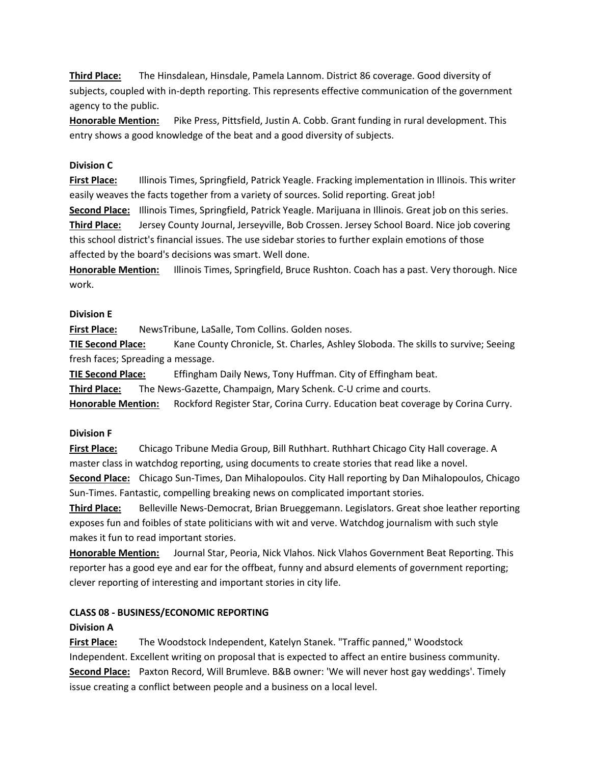**Third Place:** The Hinsdalean, Hinsdale, Pamela Lannom. District 86 coverage. Good diversity of subjects, coupled with in-depth reporting. This represents effective communication of the government agency to the public.

**Honorable Mention:** Pike Press, Pittsfield, Justin A. Cobb. Grant funding in rural development. This entry shows a good knowledge of the beat and a good diversity of subjects.

### **Division C**

**First Place:** Illinois Times, Springfield, Patrick Yeagle. Fracking implementation in Illinois. This writer easily weaves the facts together from a variety of sources. Solid reporting. Great job!

**Second Place:** Illinois Times, Springfield, Patrick Yeagle. Marijuana in Illinois. Great job on this series.

**Third Place:** Jersey County Journal, Jerseyville, Bob Crossen. Jersey School Board. Nice job covering this school district's financial issues. The use sidebar stories to further explain emotions of those affected by the board's decisions was smart. Well done.

**Honorable Mention:** Illinois Times, Springfield, Bruce Rushton. Coach has a past. Very thorough. Nice work.

### **Division E**

**First Place:** NewsTribune, LaSalle, Tom Collins. Golden noses.

**TIE Second Place:** Kane County Chronicle, St. Charles, Ashley Sloboda. The skills to survive; Seeing fresh faces; Spreading a message.

**TIE Second Place:** Effingham Daily News, Tony Huffman. City of Effingham beat.

**Third Place:** The News-Gazette, Champaign, Mary Schenk. C-U crime and courts.

**Honorable Mention:** Rockford Register Star, Corina Curry. Education beat coverage by Corina Curry.

### **Division F**

**First Place:** Chicago Tribune Media Group, Bill Ruthhart. Ruthhart Chicago City Hall coverage. A master class in watchdog reporting, using documents to create stories that read like a novel.

**Second Place:** Chicago Sun-Times, Dan Mihalopoulos. City Hall reporting by Dan Mihalopoulos, Chicago Sun-Times. Fantastic, compelling breaking news on complicated important stories.

**Third Place:** Belleville News-Democrat, Brian Brueggemann. Legislators. Great shoe leather reporting exposes fun and foibles of state politicians with wit and verve. Watchdog journalism with such style makes it fun to read important stories.

**Honorable Mention:** Journal Star, Peoria, Nick Vlahos. Nick Vlahos Government Beat Reporting. This reporter has a good eye and ear for the offbeat, funny and absurd elements of government reporting; clever reporting of interesting and important stories in city life.

# **CLASS 08 - BUSINESS/ECONOMIC REPORTING**

### **Division A**

**First Place:** The Woodstock Independent, Katelyn Stanek. "Traffic panned," Woodstock Independent. Excellent writing on proposal that is expected to affect an entire business community. **Second Place:** Paxton Record, Will Brumleve. B&B owner: 'We will never host gay weddings'. Timely issue creating a conflict between people and a business on a local level.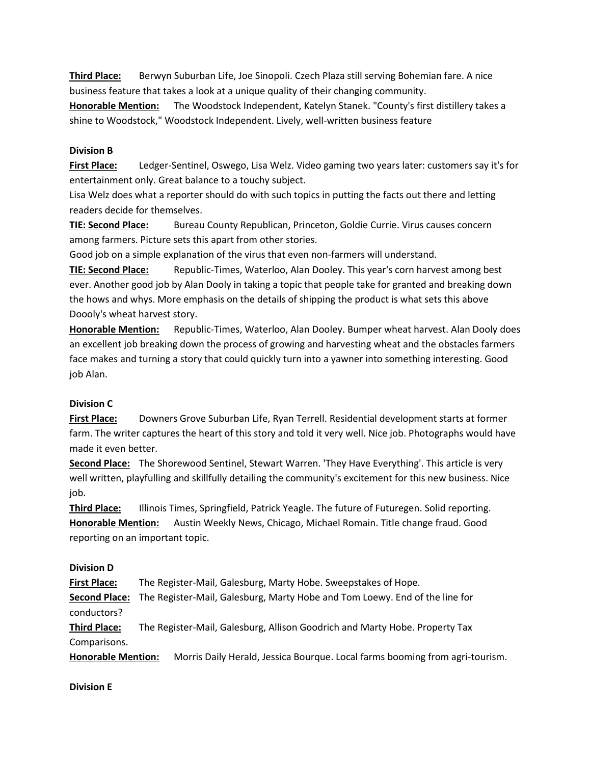**Third Place:** Berwyn Suburban Life, Joe Sinopoli. Czech Plaza still serving Bohemian fare. A nice business feature that takes a look at a unique quality of their changing community.

**Honorable Mention:** The Woodstock Independent, Katelyn Stanek. "County's first distillery takes a shine to Woodstock," Woodstock Independent. Lively, well-written business feature

### **Division B**

**First Place:** Ledger-Sentinel, Oswego, Lisa Welz. Video gaming two years later: customers say it's for entertainment only. Great balance to a touchy subject.

Lisa Welz does what a reporter should do with such topics in putting the facts out there and letting readers decide for themselves.

**TIE: Second Place:** Bureau County Republican, Princeton, Goldie Currie. Virus causes concern among farmers. Picture sets this apart from other stories.

Good job on a simple explanation of the virus that even non-farmers will understand.

**TIE: Second Place:** Republic-Times, Waterloo, Alan Dooley. This year's corn harvest among best ever. Another good job by Alan Dooly in taking a topic that people take for granted and breaking down the hows and whys. More emphasis on the details of shipping the product is what sets this above Doooly's wheat harvest story.

**Honorable Mention:** Republic-Times, Waterloo, Alan Dooley. Bumper wheat harvest. Alan Dooly does an excellent job breaking down the process of growing and harvesting wheat and the obstacles farmers face makes and turning a story that could quickly turn into a yawner into something interesting. Good job Alan.

### **Division C**

**First Place:** Downers Grove Suburban Life, Ryan Terrell. Residential development starts at former farm. The writer captures the heart of this story and told it very well. Nice job. Photographs would have made it even better.

**Second Place:** The Shorewood Sentinel, Stewart Warren. 'They Have Everything'. This article is very well written, playfulling and skillfully detailing the community's excitement for this new business. Nice job.

**Third Place:** Illinois Times, Springfield, Patrick Yeagle. The future of Futuregen. Solid reporting. **Honorable Mention:** Austin Weekly News, Chicago, Michael Romain. Title change fraud. Good reporting on an important topic.

### **Division D**

**First Place:** The Register-Mail, Galesburg, Marty Hobe. Sweepstakes of Hope.

**Second Place:** The Register-Mail, Galesburg, Marty Hobe and Tom Loewy. End of the line for conductors?

**Third Place:** The Register-Mail, Galesburg, Allison Goodrich and Marty Hobe. Property Tax Comparisons.

**Honorable Mention:** Morris Daily Herald, Jessica Bourque. Local farms booming from agri-tourism.

### **Division E**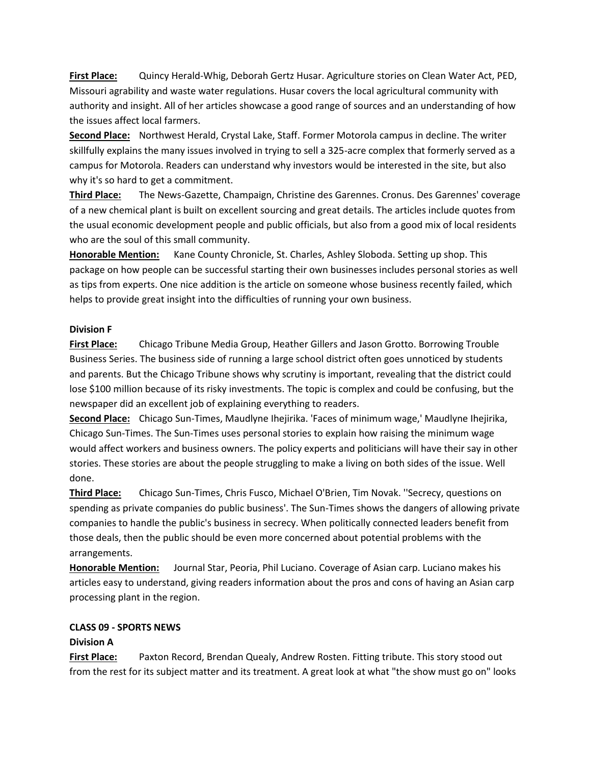**First Place:** Quincy Herald-Whig, Deborah Gertz Husar. Agriculture stories on Clean Water Act, PED, Missouri agrability and waste water regulations. Husar covers the local agricultural community with authority and insight. All of her articles showcase a good range of sources and an understanding of how the issues affect local farmers.

**Second Place:** Northwest Herald, Crystal Lake, Staff. Former Motorola campus in decline. The writer skillfully explains the many issues involved in trying to sell a 325-acre complex that formerly served as a campus for Motorola. Readers can understand why investors would be interested in the site, but also why it's so hard to get a commitment.

**Third Place:** The News-Gazette, Champaign, Christine des Garennes. Cronus. Des Garennes' coverage of a new chemical plant is built on excellent sourcing and great details. The articles include quotes from the usual economic development people and public officials, but also from a good mix of local residents who are the soul of this small community.

**Honorable Mention:** Kane County Chronicle, St. Charles, Ashley Sloboda. Setting up shop. This package on how people can be successful starting their own businesses includes personal stories as well as tips from experts. One nice addition is the article on someone whose business recently failed, which helps to provide great insight into the difficulties of running your own business.

### **Division F**

**First Place:** Chicago Tribune Media Group, Heather Gillers and Jason Grotto. Borrowing Trouble Business Series. The business side of running a large school district often goes unnoticed by students and parents. But the Chicago Tribune shows why scrutiny is important, revealing that the district could lose \$100 million because of its risky investments. The topic is complex and could be confusing, but the newspaper did an excellent job of explaining everything to readers.

**Second Place:** Chicago Sun-Times, Maudlyne Ihejirika. 'Faces of minimum wage,' Maudlyne Ihejirika, Chicago Sun-Times. The Sun-Times uses personal stories to explain how raising the minimum wage would affect workers and business owners. The policy experts and politicians will have their say in other stories. These stories are about the people struggling to make a living on both sides of the issue. Well done.

**Third Place:** Chicago Sun-Times, Chris Fusco, Michael O'Brien, Tim Novak. ''Secrecy, questions on spending as private companies do public business'. The Sun-Times shows the dangers of allowing private companies to handle the public's business in secrecy. When politically connected leaders benefit from those deals, then the public should be even more concerned about potential problems with the arrangements.

**Honorable Mention:** Journal Star, Peoria, Phil Luciano. Coverage of Asian carp. Luciano makes his articles easy to understand, giving readers information about the pros and cons of having an Asian carp processing plant in the region.

# **CLASS 09 - SPORTS NEWS**

# **Division A**

**First Place:** Paxton Record, Brendan Quealy, Andrew Rosten. Fitting tribute. This story stood out from the rest for its subject matter and its treatment. A great look at what "the show must go on" looks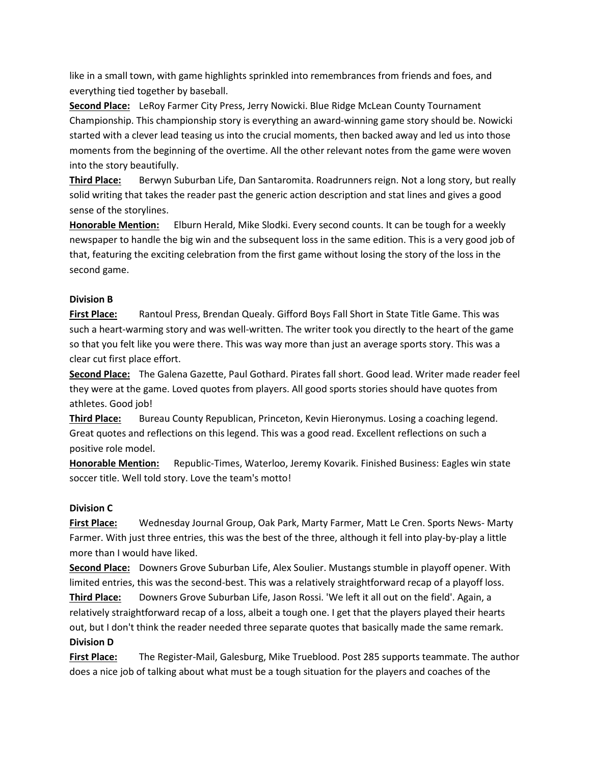like in a small town, with game highlights sprinkled into remembrances from friends and foes, and everything tied together by baseball.

**Second Place:** LeRoy Farmer City Press, Jerry Nowicki. Blue Ridge McLean County Tournament Championship. This championship story is everything an award-winning game story should be. Nowicki started with a clever lead teasing us into the crucial moments, then backed away and led us into those moments from the beginning of the overtime. All the other relevant notes from the game were woven into the story beautifully.

**Third Place:** Berwyn Suburban Life, Dan Santaromita. Roadrunners reign. Not a long story, but really solid writing that takes the reader past the generic action description and stat lines and gives a good sense of the storylines.

**Honorable Mention:** Elburn Herald, Mike Slodki. Every second counts. It can be tough for a weekly newspaper to handle the big win and the subsequent loss in the same edition. This is a very good job of that, featuring the exciting celebration from the first game without losing the story of the loss in the second game.

### **Division B**

**First Place:** Rantoul Press, Brendan Quealy. Gifford Boys Fall Short in State Title Game. This was such a heart-warming story and was well-written. The writer took you directly to the heart of the game so that you felt like you were there. This was way more than just an average sports story. This was a clear cut first place effort.

**Second Place:** The Galena Gazette, Paul Gothard. Pirates fall short. Good lead. Writer made reader feel they were at the game. Loved quotes from players. All good sports stories should have quotes from athletes. Good job!

**Third Place:** Bureau County Republican, Princeton, Kevin Hieronymus. Losing a coaching legend. Great quotes and reflections on this legend. This was a good read. Excellent reflections on such a positive role model.

**Honorable Mention:** Republic-Times, Waterloo, Jeremy Kovarik. Finished Business: Eagles win state soccer title. Well told story. Love the team's motto!

# **Division C**

**First Place:** Wednesday Journal Group, Oak Park, Marty Farmer, Matt Le Cren. Sports News- Marty Farmer. With just three entries, this was the best of the three, although it fell into play-by-play a little more than I would have liked.

**Second Place:** Downers Grove Suburban Life, Alex Soulier. Mustangs stumble in playoff opener. With limited entries, this was the second-best. This was a relatively straightforward recap of a playoff loss.

**Third Place:** Downers Grove Suburban Life, Jason Rossi. 'We left it all out on the field'. Again, a relatively straightforward recap of a loss, albeit a tough one. I get that the players played their hearts out, but I don't think the reader needed three separate quotes that basically made the same remark. **Division D**

**First Place:** The Register-Mail, Galesburg, Mike Trueblood. Post 285 supports teammate. The author does a nice job of talking about what must be a tough situation for the players and coaches of the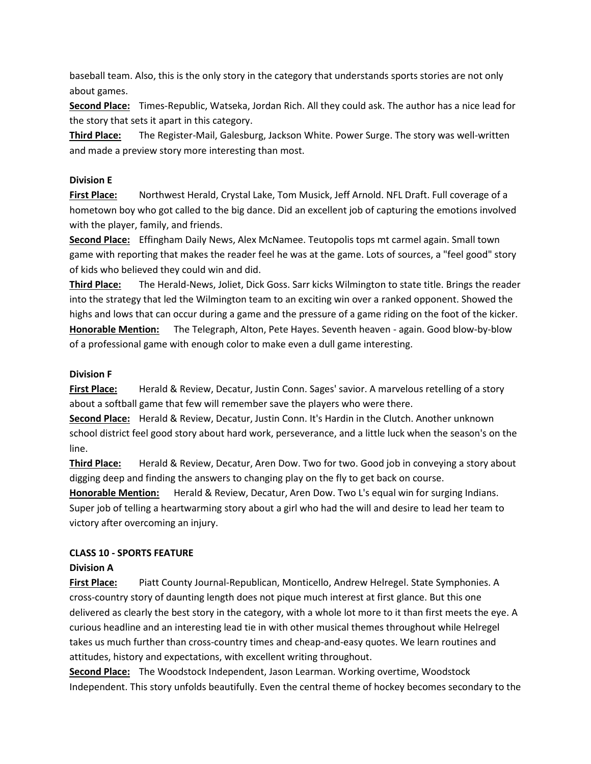baseball team. Also, this is the only story in the category that understands sports stories are not only about games.

**Second Place:** Times-Republic, Watseka, Jordan Rich. All they could ask. The author has a nice lead for the story that sets it apart in this category.

**Third Place:** The Register-Mail, Galesburg, Jackson White. Power Surge. The story was well-written and made a preview story more interesting than most.

### **Division E**

**First Place:** Northwest Herald, Crystal Lake, Tom Musick, Jeff Arnold. NFL Draft. Full coverage of a hometown boy who got called to the big dance. Did an excellent job of capturing the emotions involved with the player, family, and friends.

**Second Place:** Effingham Daily News, Alex McNamee. Teutopolis tops mt carmel again. Small town game with reporting that makes the reader feel he was at the game. Lots of sources, a "feel good" story of kids who believed they could win and did.

**Third Place:** The Herald-News, Joliet, Dick Goss. Sarr kicks Wilmington to state title. Brings the reader into the strategy that led the Wilmington team to an exciting win over a ranked opponent. Showed the highs and lows that can occur during a game and the pressure of a game riding on the foot of the kicker. **Honorable Mention:** The Telegraph, Alton, Pete Hayes. Seventh heaven - again. Good blow-by-blow of a professional game with enough color to make even a dull game interesting.

### **Division F**

**First Place:** Herald & Review, Decatur, Justin Conn. Sages' savior. A marvelous retelling of a story about a softball game that few will remember save the players who were there.

**Second Place:** Herald & Review, Decatur, Justin Conn. It's Hardin in the Clutch. Another unknown school district feel good story about hard work, perseverance, and a little luck when the season's on the line.

**Third Place:** Herald & Review, Decatur, Aren Dow. Two for two. Good job in conveying a story about digging deep and finding the answers to changing play on the fly to get back on course.

**Honorable Mention:** Herald & Review, Decatur, Aren Dow. Two L's equal win for surging Indians. Super job of telling a heartwarming story about a girl who had the will and desire to lead her team to victory after overcoming an injury.

# **CLASS 10 - SPORTS FEATURE**

# **Division A**

**First Place:** Piatt County Journal-Republican, Monticello, Andrew Helregel. State Symphonies. A cross-country story of daunting length does not pique much interest at first glance. But this one delivered as clearly the best story in the category, with a whole lot more to it than first meets the eye. A curious headline and an interesting lead tie in with other musical themes throughout while Helregel takes us much further than cross-country times and cheap-and-easy quotes. We learn routines and attitudes, history and expectations, with excellent writing throughout.

**Second Place:** The Woodstock Independent, Jason Learman. Working overtime, Woodstock Independent. This story unfolds beautifully. Even the central theme of hockey becomes secondary to the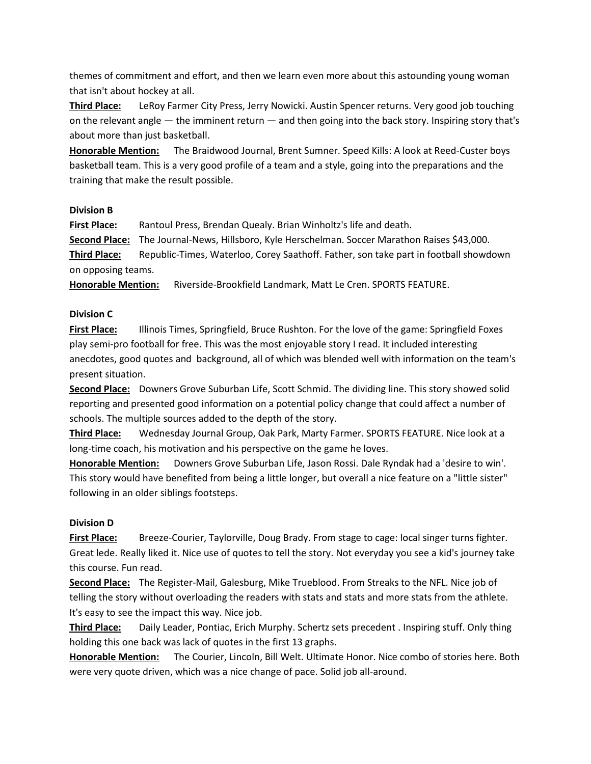themes of commitment and effort, and then we learn even more about this astounding young woman that isn't about hockey at all.

**Third Place:** LeRoy Farmer City Press, Jerry Nowicki. Austin Spencer returns. Very good job touching on the relevant angle — the imminent return — and then going into the back story. Inspiring story that's about more than just basketball.

**Honorable Mention:** The Braidwood Journal, Brent Sumner. Speed Kills: A look at Reed-Custer boys basketball team. This is a very good profile of a team and a style, going into the preparations and the training that make the result possible.

### **Division B**

**First Place:** Rantoul Press, Brendan Quealy. Brian Winholtz's life and death. **Second Place:** The Journal-News, Hillsboro, Kyle Herschelman. Soccer Marathon Raises \$43,000.

**Third Place:** Republic-Times, Waterloo, Corey Saathoff. Father, son take part in football showdown on opposing teams.

**Honorable Mention:** Riverside-Brookfield Landmark, Matt Le Cren. SPORTS FEATURE.

# **Division C**

**First Place:** Illinois Times, Springfield, Bruce Rushton. For the love of the game: Springfield Foxes play semi-pro football for free. This was the most enjoyable story I read. It included interesting anecdotes, good quotes and background, all of which was blended well with information on the team's present situation.

**Second Place:** Downers Grove Suburban Life, Scott Schmid. The dividing line. This story showed solid reporting and presented good information on a potential policy change that could affect a number of schools. The multiple sources added to the depth of the story.

**Third Place:** Wednesday Journal Group, Oak Park, Marty Farmer. SPORTS FEATURE. Nice look at a long-time coach, his motivation and his perspective on the game he loves.

**Honorable Mention:** Downers Grove Suburban Life, Jason Rossi. Dale Ryndak had a 'desire to win'. This story would have benefited from being a little longer, but overall a nice feature on a "little sister" following in an older siblings footsteps.

# **Division D**

**First Place:** Breeze-Courier, Taylorville, Doug Brady. From stage to cage: local singer turns fighter. Great lede. Really liked it. Nice use of quotes to tell the story. Not everyday you see a kid's journey take this course. Fun read.

**Second Place:** The Register-Mail, Galesburg, Mike Trueblood. From Streaks to the NFL. Nice job of telling the story without overloading the readers with stats and stats and more stats from the athlete. It's easy to see the impact this way. Nice job.

**Third Place:** Daily Leader, Pontiac, Erich Murphy. Schertz sets precedent . Inspiring stuff. Only thing holding this one back was lack of quotes in the first 13 graphs.

**Honorable Mention:** The Courier, Lincoln, Bill Welt. Ultimate Honor. Nice combo of stories here. Both were very quote driven, which was a nice change of pace. Solid job all-around.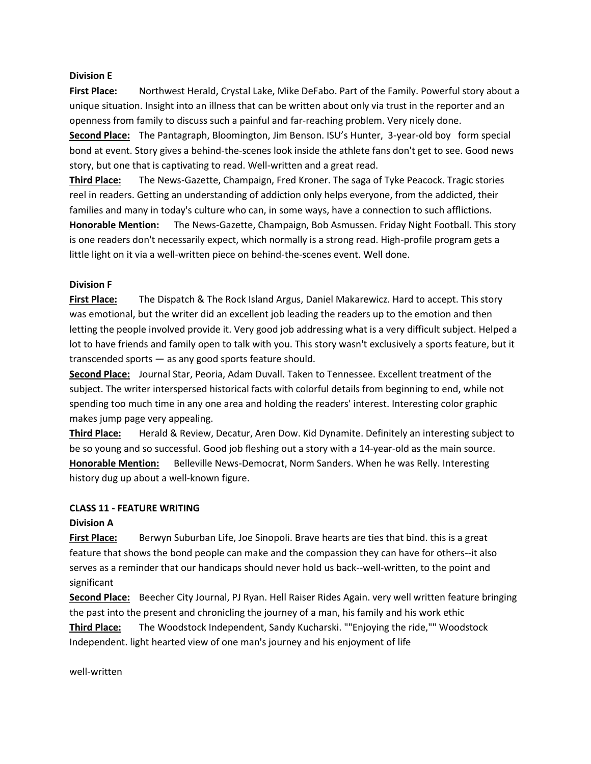#### **Division E**

**First Place:** Northwest Herald, Crystal Lake, Mike DeFabo. Part of the Family. Powerful story about a unique situation. Insight into an illness that can be written about only via trust in the reporter and an openness from family to discuss such a painful and far-reaching problem. Very nicely done.

**Second Place:** The Pantagraph, Bloomington, Jim Benson. ISU's Hunter, 3-year-old boy form special bond at event. Story gives a behind-the-scenes look inside the athlete fans don't get to see. Good news story, but one that is captivating to read. Well-written and a great read.

**Third Place:** The News-Gazette, Champaign, Fred Kroner. The saga of Tyke Peacock. Tragic stories reel in readers. Getting an understanding of addiction only helps everyone, from the addicted, their families and many in today's culture who can, in some ways, have a connection to such afflictions. **Honorable Mention:** The News-Gazette, Champaign, Bob Asmussen. Friday Night Football. This story is one readers don't necessarily expect, which normally is a strong read. High-profile program gets a little light on it via a well-written piece on behind-the-scenes event. Well done.

### **Division F**

**First Place:** The Dispatch & The Rock Island Argus, Daniel Makarewicz. Hard to accept. This story was emotional, but the writer did an excellent job leading the readers up to the emotion and then letting the people involved provide it. Very good job addressing what is a very difficult subject. Helped a lot to have friends and family open to talk with you. This story wasn't exclusively a sports feature, but it transcended sports — as any good sports feature should.

**Second Place:** Journal Star, Peoria, Adam Duvall. Taken to Tennessee. Excellent treatment of the subject. The writer interspersed historical facts with colorful details from beginning to end, while not spending too much time in any one area and holding the readers' interest. Interesting color graphic makes jump page very appealing.

**Third Place:** Herald & Review, Decatur, Aren Dow. Kid Dynamite. Definitely an interesting subject to be so young and so successful. Good job fleshing out a story with a 14-year-old as the main source. **Honorable Mention:** Belleville News-Democrat, Norm Sanders. When he was Relly. Interesting history dug up about a well-known figure.

#### **CLASS 11 - FEATURE WRITING**

### **Division A**

First Place: Berwyn Suburban Life, Joe Sinopoli. Brave hearts are ties that bind. this is a great feature that shows the bond people can make and the compassion they can have for others--it also serves as a reminder that our handicaps should never hold us back--well-written, to the point and significant

**Second Place:** Beecher City Journal, PJ Ryan. Hell Raiser Rides Again. very well written feature bringing the past into the present and chronicling the journey of a man, his family and his work ethic

**Third Place:** The Woodstock Independent, Sandy Kucharski. ""Enjoying the ride,"" Woodstock Independent. light hearted view of one man's journey and his enjoyment of life

well-written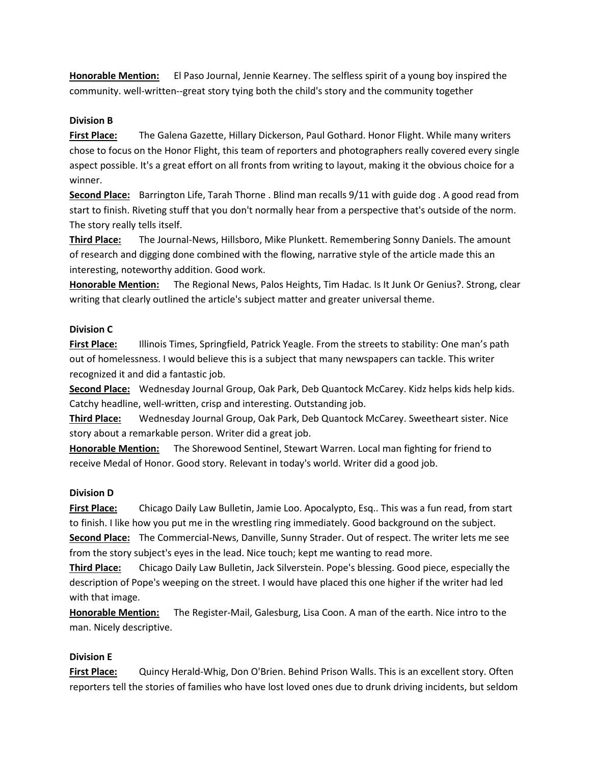**Honorable Mention:** El Paso Journal, Jennie Kearney. The selfless spirit of a young boy inspired the community. well-written--great story tying both the child's story and the community together

### **Division B**

**First Place:** The Galena Gazette, Hillary Dickerson, Paul Gothard. Honor Flight. While many writers chose to focus on the Honor Flight, this team of reporters and photographers really covered every single aspect possible. It's a great effort on all fronts from writing to layout, making it the obvious choice for a winner.

**Second Place:** Barrington Life, Tarah Thorne . Blind man recalls 9/11 with guide dog . A good read from start to finish. Riveting stuff that you don't normally hear from a perspective that's outside of the norm. The story really tells itself.

**Third Place:** The Journal-News, Hillsboro, Mike Plunkett. Remembering Sonny Daniels. The amount of research and digging done combined with the flowing, narrative style of the article made this an interesting, noteworthy addition. Good work.

**Honorable Mention:** The Regional News, Palos Heights, Tim Hadac. Is It Junk Or Genius?. Strong, clear writing that clearly outlined the article's subject matter and greater universal theme.

### **Division C**

**First Place:** Illinois Times, Springfield, Patrick Yeagle. From the streets to stability: One man's path out of homelessness. I would believe this is a subject that many newspapers can tackle. This writer recognized it and did a fantastic job.

**Second Place:** Wednesday Journal Group, Oak Park, Deb Quantock McCarey. Kidz helps kids help kids. Catchy headline, well-written, crisp and interesting. Outstanding job.

**Third Place:** Wednesday Journal Group, Oak Park, Deb Quantock McCarey. Sweetheart sister. Nice story about a remarkable person. Writer did a great job.

**Honorable Mention:** The Shorewood Sentinel, Stewart Warren. Local man fighting for friend to receive Medal of Honor. Good story. Relevant in today's world. Writer did a good job.

### **Division D**

**First Place:** Chicago Daily Law Bulletin, Jamie Loo. Apocalypto, Esq.. This was a fun read, from start to finish. I like how you put me in the wrestling ring immediately. Good background on the subject. **Second Place:** The Commercial-News, Danville, Sunny Strader. Out of respect. The writer lets me see from the story subject's eyes in the lead. Nice touch; kept me wanting to read more.

**Third Place:** Chicago Daily Law Bulletin, Jack Silverstein. Pope's blessing. Good piece, especially the description of Pope's weeping on the street. I would have placed this one higher if the writer had led with that image.

**Honorable Mention:** The Register-Mail, Galesburg, Lisa Coon. A man of the earth. Nice intro to the man. Nicely descriptive.

### **Division E**

**First Place:** Quincy Herald-Whig, Don O'Brien. Behind Prison Walls. This is an excellent story. Often reporters tell the stories of families who have lost loved ones due to drunk driving incidents, but seldom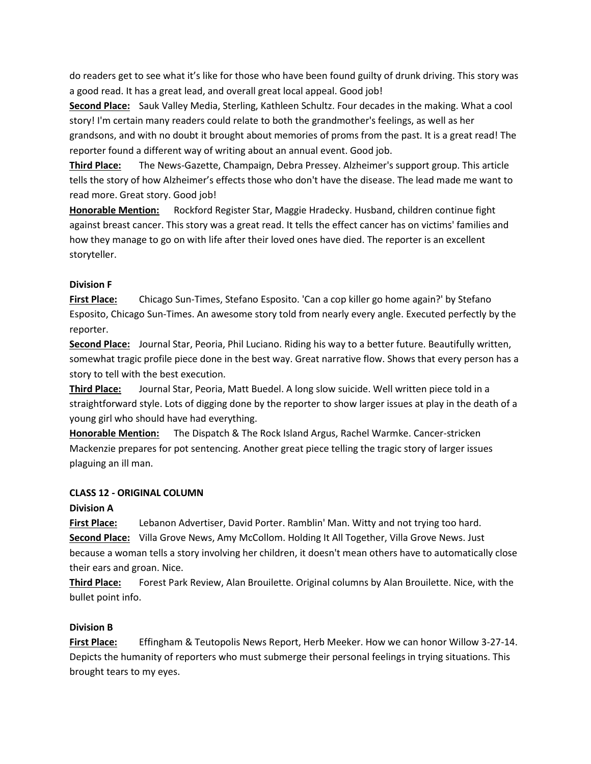do readers get to see what it's like for those who have been found guilty of drunk driving. This story was a good read. It has a great lead, and overall great local appeal. Good job!

**Second Place:** Sauk Valley Media, Sterling, Kathleen Schultz. Four decades in the making. What a cool story! I'm certain many readers could relate to both the grandmother's feelings, as well as her grandsons, and with no doubt it brought about memories of proms from the past. It is a great read! The reporter found a different way of writing about an annual event. Good job.

**Third Place:** The News-Gazette, Champaign, Debra Pressey. Alzheimer's support group. This article tells the story of how Alzheimer's effects those who don't have the disease. The lead made me want to read more. Great story. Good job!

**Honorable Mention:** Rockford Register Star, Maggie Hradecky. Husband, children continue fight against breast cancer. This story was a great read. It tells the effect cancer has on victims' families and how they manage to go on with life after their loved ones have died. The reporter is an excellent storyteller.

# **Division F**

**First Place:** Chicago Sun-Times, Stefano Esposito. 'Can a cop killer go home again?' by Stefano Esposito, Chicago Sun-Times. An awesome story told from nearly every angle. Executed perfectly by the reporter.

**Second Place:** Journal Star, Peoria, Phil Luciano. Riding his way to a better future. Beautifully written, somewhat tragic profile piece done in the best way. Great narrative flow. Shows that every person has a story to tell with the best execution.

**Third Place:** Journal Star, Peoria, Matt Buedel. A long slow suicide. Well written piece told in a straightforward style. Lots of digging done by the reporter to show larger issues at play in the death of a young girl who should have had everything.

**Honorable Mention:** The Dispatch & The Rock Island Argus, Rachel Warmke. Cancer-stricken Mackenzie prepares for pot sentencing. Another great piece telling the tragic story of larger issues plaguing an ill man.

### **CLASS 12 - ORIGINAL COLUMN**

### **Division A**

**First Place:** Lebanon Advertiser, David Porter. Ramblin' Man. Witty and not trying too hard. **Second Place:** Villa Grove News, Amy McCollom. Holding It All Together, Villa Grove News. Just because a woman tells a story involving her children, it doesn't mean others have to automatically close their ears and groan. Nice.

**Third Place:** Forest Park Review, Alan Brouilette. Original columns by Alan Brouilette. Nice, with the bullet point info.

### **Division B**

**First Place:** Effingham & Teutopolis News Report, Herb Meeker. How we can honor Willow 3-27-14. Depicts the humanity of reporters who must submerge their personal feelings in trying situations. This brought tears to my eyes.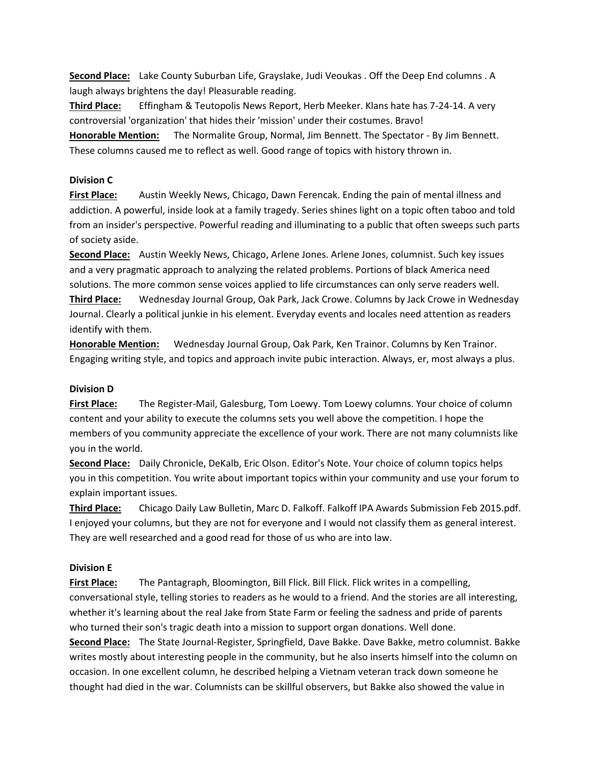**Second Place:** Lake County Suburban Life, Grayslake, Judi Veoukas . Off the Deep End columns . A laugh always brightens the day! Pleasurable reading.

**Third Place:** Effingham & Teutopolis News Report, Herb Meeker. Klans hate has 7-24-14. A very controversial 'organization' that hides their 'mission' under their costumes. Bravo!

**Honorable Mention:** The Normalite Group, Normal, Jim Bennett. The Spectator - By Jim Bennett. These columns caused me to reflect as well. Good range of topics with history thrown in.

### **Division C**

**First Place:** Austin Weekly News, Chicago, Dawn Ferencak. Ending the pain of mental illness and addiction. A powerful, inside look at a family tragedy. Series shines light on a topic often taboo and told from an insider's perspective. Powerful reading and illuminating to a public that often sweeps such parts of society aside.

**Second Place:** Austin Weekly News, Chicago, Arlene Jones. Arlene Jones, columnist. Such key issues and a very pragmatic approach to analyzing the related problems. Portions of black America need solutions. The more common sense voices applied to life circumstances can only serve readers well.

**Third Place:** Wednesday Journal Group, Oak Park, Jack Crowe. Columns by Jack Crowe in Wednesday Journal. Clearly a political junkie in his element. Everyday events and locales need attention as readers identify with them.

**Honorable Mention:** Wednesday Journal Group, Oak Park, Ken Trainor. Columns by Ken Trainor. Engaging writing style, and topics and approach invite pubic interaction. Always, er, most always a plus.

### **Division D**

**First Place:** The Register-Mail, Galesburg, Tom Loewy. Tom Loewy columns. Your choice of column content and your ability to execute the columns sets you well above the competition. I hope the members of you community appreciate the excellence of your work. There are not many columnists like you in the world.

**Second Place:** Daily Chronicle, DeKalb, Eric Olson. Editor's Note. Your choice of column topics helps you in this competition. You write about important topics within your community and use your forum to explain important issues.

**Third Place:** Chicago Daily Law Bulletin, Marc D. Falkoff. Falkoff IPA Awards Submission Feb 2015.pdf. I enjoyed your columns, but they are not for everyone and I would not classify them as general interest. They are well researched and a good read for those of us who are into law.

### **Division E**

**First Place:** The Pantagraph, Bloomington, Bill Flick. Bill Flick. Flick writes in a compelling, conversational style, telling stories to readers as he would to a friend. And the stories are all interesting, whether it's learning about the real Jake from State Farm or feeling the sadness and pride of parents who turned their son's tragic death into a mission to support organ donations. Well done.

**Second Place:** The State Journal-Register, Springfield, Dave Bakke. Dave Bakke, metro columnist. Bakke writes mostly about interesting people in the community, but he also inserts himself into the column on occasion. In one excellent column, he described helping a Vietnam veteran track down someone he thought had died in the war. Columnists can be skillful observers, but Bakke also showed the value in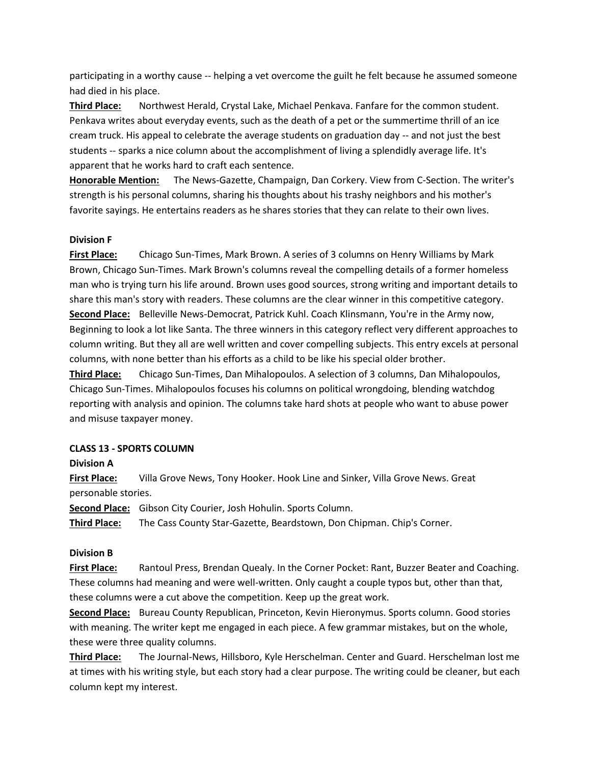participating in a worthy cause -- helping a vet overcome the guilt he felt because he assumed someone had died in his place.

**Third Place:** Northwest Herald, Crystal Lake, Michael Penkava. Fanfare for the common student. Penkava writes about everyday events, such as the death of a pet or the summertime thrill of an ice cream truck. His appeal to celebrate the average students on graduation day -- and not just the best students -- sparks a nice column about the accomplishment of living a splendidly average life. It's apparent that he works hard to craft each sentence.

**Honorable Mention:** The News-Gazette, Champaign, Dan Corkery. View from C-Section. The writer's strength is his personal columns, sharing his thoughts about his trashy neighbors and his mother's favorite sayings. He entertains readers as he shares stories that they can relate to their own lives.

### **Division F**

**First Place:** Chicago Sun-Times, Mark Brown. A series of 3 columns on Henry Williams by Mark Brown, Chicago Sun-Times. Mark Brown's columns reveal the compelling details of a former homeless man who is trying turn his life around. Brown uses good sources, strong writing and important details to share this man's story with readers. These columns are the clear winner in this competitive category. **Second Place:** Belleville News-Democrat, Patrick Kuhl. Coach Klinsmann, You're in the Army now, Beginning to look a lot like Santa. The three winners in this category reflect very different approaches to column writing. But they all are well written and cover compelling subjects. This entry excels at personal columns, with none better than his efforts as a child to be like his special older brother.

**Third Place:** Chicago Sun-Times, Dan Mihalopoulos. A selection of 3 columns, Dan Mihalopoulos, Chicago Sun-Times. Mihalopoulos focuses his columns on political wrongdoing, blending watchdog reporting with analysis and opinion. The columns take hard shots at people who want to abuse power and misuse taxpayer money.

#### **CLASS 13 - SPORTS COLUMN**

### **Division A**

**First Place:** Villa Grove News, Tony Hooker. Hook Line and Sinker, Villa Grove News. Great personable stories.

**Second Place:** Gibson City Courier, Josh Hohulin. Sports Column.

**Third Place:** The Cass County Star-Gazette, Beardstown, Don Chipman. Chip's Corner.

### **Division B**

**First Place:** Rantoul Press, Brendan Quealy. In the Corner Pocket: Rant, Buzzer Beater and Coaching. These columns had meaning and were well-written. Only caught a couple typos but, other than that, these columns were a cut above the competition. Keep up the great work.

**Second Place:** Bureau County Republican, Princeton, Kevin Hieronymus. Sports column. Good stories with meaning. The writer kept me engaged in each piece. A few grammar mistakes, but on the whole, these were three quality columns.

**Third Place:** The Journal-News, Hillsboro, Kyle Herschelman. Center and Guard. Herschelman lost me at times with his writing style, but each story had a clear purpose. The writing could be cleaner, but each column kept my interest.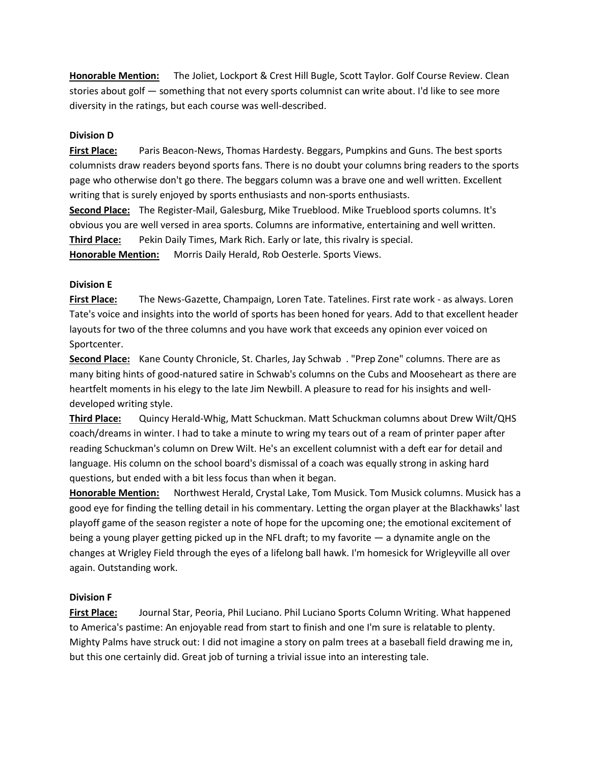**Honorable Mention:** The Joliet, Lockport & Crest Hill Bugle, Scott Taylor. Golf Course Review. Clean stories about golf — something that not every sports columnist can write about. I'd like to see more diversity in the ratings, but each course was well-described.

### **Division D**

**First Place:** Paris Beacon-News, Thomas Hardesty. Beggars, Pumpkins and Guns. The best sports columnists draw readers beyond sports fans. There is no doubt your columns bring readers to the sports page who otherwise don't go there. The beggars column was a brave one and well written. Excellent writing that is surely enjoyed by sports enthusiasts and non-sports enthusiasts.

**Second Place:** The Register-Mail, Galesburg, Mike Trueblood. Mike Trueblood sports columns. It's obvious you are well versed in area sports. Columns are informative, entertaining and well written. **Third Place:** Pekin Daily Times, Mark Rich. Early or late, this rivalry is special. **Honorable Mention:** Morris Daily Herald, Rob Oesterle. Sports Views.

### **Division E**

**First Place:** The News-Gazette, Champaign, Loren Tate. Tatelines. First rate work - as always. Loren Tate's voice and insights into the world of sports has been honed for years. Add to that excellent header layouts for two of the three columns and you have work that exceeds any opinion ever voiced on Sportcenter.

**Second Place:** Kane County Chronicle, St. Charles, Jay Schwab . "Prep Zone" columns. There are as many biting hints of good-natured satire in Schwab's columns on the Cubs and Mooseheart as there are heartfelt moments in his elegy to the late Jim Newbill. A pleasure to read for his insights and welldeveloped writing style.

**Third Place:** Quincy Herald-Whig, Matt Schuckman. Matt Schuckman columns about Drew Wilt/QHS coach/dreams in winter. I had to take a minute to wring my tears out of a ream of printer paper after reading Schuckman's column on Drew Wilt. He's an excellent columnist with a deft ear for detail and language. His column on the school board's dismissal of a coach was equally strong in asking hard questions, but ended with a bit less focus than when it began.

**Honorable Mention:** Northwest Herald, Crystal Lake, Tom Musick. Tom Musick columns. Musick has a good eye for finding the telling detail in his commentary. Letting the organ player at the Blackhawks' last playoff game of the season register a note of hope for the upcoming one; the emotional excitement of being a young player getting picked up in the NFL draft; to my favorite — a dynamite angle on the changes at Wrigley Field through the eyes of a lifelong ball hawk. I'm homesick for Wrigleyville all over again. Outstanding work.

### **Division F**

**First Place:** Journal Star, Peoria, Phil Luciano. Phil Luciano Sports Column Writing. What happened to America's pastime: An enjoyable read from start to finish and one I'm sure is relatable to plenty. Mighty Palms have struck out: I did not imagine a story on palm trees at a baseball field drawing me in, but this one certainly did. Great job of turning a trivial issue into an interesting tale.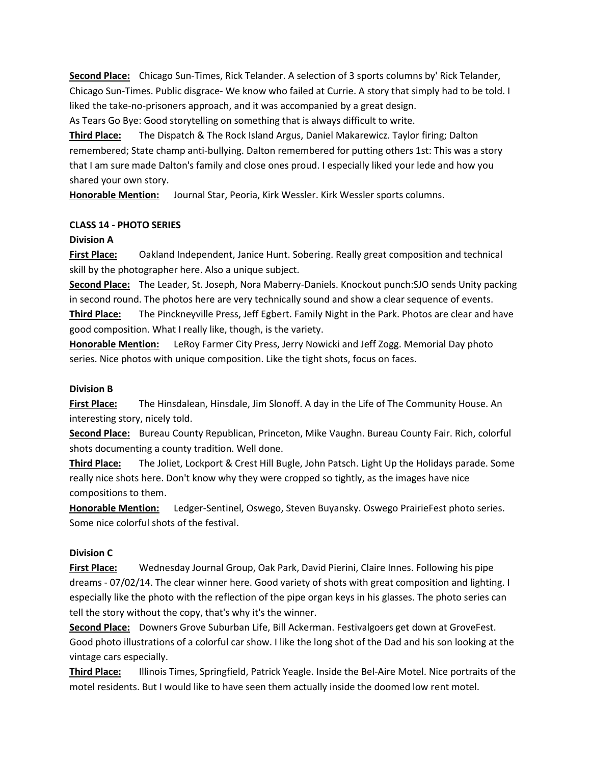**Second Place:** Chicago Sun-Times, Rick Telander. A selection of 3 sports columns by' Rick Telander, Chicago Sun-Times. Public disgrace- We know who failed at Currie. A story that simply had to be told. I liked the take-no-prisoners approach, and it was accompanied by a great design. As Tears Go Bye: Good storytelling on something that is always difficult to write.

**Third Place:** The Dispatch & The Rock Island Argus, Daniel Makarewicz. Taylor firing; Dalton remembered; State champ anti-bullying. Dalton remembered for putting others 1st: This was a story that I am sure made Dalton's family and close ones proud. I especially liked your lede and how you shared your own story.

**Honorable Mention:** Journal Star, Peoria, Kirk Wessler. Kirk Wessler sports columns.

### **CLASS 14 - PHOTO SERIES**

### **Division A**

**First Place:** Oakland Independent, Janice Hunt. Sobering. Really great composition and technical skill by the photographer here. Also a unique subject.

**Second Place:** The Leader, St. Joseph, Nora Maberry-Daniels. Knockout punch:SJO sends Unity packing in second round. The photos here are very technically sound and show a clear sequence of events. **Third Place:** The Pinckneyville Press, Jeff Egbert. Family Night in the Park. Photos are clear and have good composition. What I really like, though, is the variety.

**Honorable Mention:** LeRoy Farmer City Press, Jerry Nowicki and Jeff Zogg. Memorial Day photo series. Nice photos with unique composition. Like the tight shots, focus on faces.

### **Division B**

**First Place:** The Hinsdalean, Hinsdale, Jim Slonoff. A day in the Life of The Community House. An interesting story, nicely told.

**Second Place:** Bureau County Republican, Princeton, Mike Vaughn. Bureau County Fair. Rich, colorful shots documenting a county tradition. Well done.

**Third Place:** The Joliet, Lockport & Crest Hill Bugle, John Patsch. Light Up the Holidays parade. Some really nice shots here. Don't know why they were cropped so tightly, as the images have nice compositions to them.

**Honorable Mention:** Ledger-Sentinel, Oswego, Steven Buyansky. Oswego PrairieFest photo series. Some nice colorful shots of the festival.

# **Division C**

**First Place:** Wednesday Journal Group, Oak Park, David Pierini, Claire Innes. Following his pipe dreams - 07/02/14. The clear winner here. Good variety of shots with great composition and lighting. I especially like the photo with the reflection of the pipe organ keys in his glasses. The photo series can tell the story without the copy, that's why it's the winner.

**Second Place:** Downers Grove Suburban Life, Bill Ackerman. Festivalgoers get down at GroveFest. Good photo illustrations of a colorful car show. I like the long shot of the Dad and his son looking at the vintage cars especially.

**Third Place:** Illinois Times, Springfield, Patrick Yeagle. Inside the Bel-Aire Motel. Nice portraits of the motel residents. But I would like to have seen them actually inside the doomed low rent motel.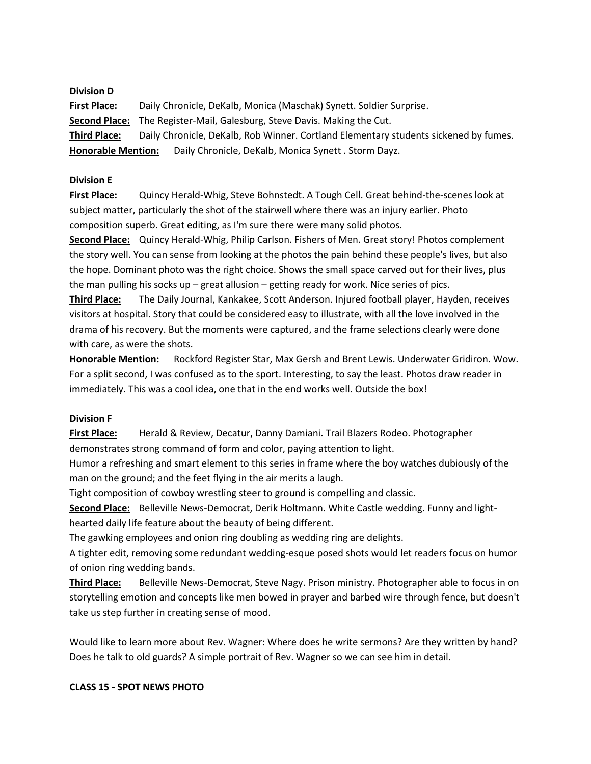**Division D First Place:** Daily Chronicle, DeKalb, Monica (Maschak) Synett. Soldier Surprise. **Second Place:** The Register-Mail, Galesburg, Steve Davis. Making the Cut. **Third Place:** Daily Chronicle, DeKalb, Rob Winner. Cortland Elementary students sickened by fumes. **Honorable Mention:** Daily Chronicle, DeKalb, Monica Synett . Storm Dayz.

### **Division E**

**First Place:** Quincy Herald-Whig, Steve Bohnstedt. A Tough Cell. Great behind-the-scenes look at subject matter, particularly the shot of the stairwell where there was an injury earlier. Photo composition superb. Great editing, as I'm sure there were many solid photos.

**Second Place:** Quincy Herald-Whig, Philip Carlson. Fishers of Men. Great story! Photos complement the story well. You can sense from looking at the photos the pain behind these people's lives, but also the hope. Dominant photo was the right choice. Shows the small space carved out for their lives, plus the man pulling his socks up – great allusion – getting ready for work. Nice series of pics.

**Third Place:** The Daily Journal, Kankakee, Scott Anderson. Injured football player, Hayden, receives visitors at hospital. Story that could be considered easy to illustrate, with all the love involved in the drama of his recovery. But the moments were captured, and the frame selections clearly were done with care, as were the shots.

**Honorable Mention:** Rockford Register Star, Max Gersh and Brent Lewis. Underwater Gridiron. Wow. For a split second, I was confused as to the sport. Interesting, to say the least. Photos draw reader in immediately. This was a cool idea, one that in the end works well. Outside the box!

### **Division F**

**First Place:** Herald & Review, Decatur, Danny Damiani. Trail Blazers Rodeo. Photographer demonstrates strong command of form and color, paying attention to light.

Humor a refreshing and smart element to this series in frame where the boy watches dubiously of the man on the ground; and the feet flying in the air merits a laugh.

Tight composition of cowboy wrestling steer to ground is compelling and classic.

**Second Place:** Belleville News-Democrat, Derik Holtmann. White Castle wedding. Funny and lighthearted daily life feature about the beauty of being different.

The gawking employees and onion ring doubling as wedding ring are delights.

A tighter edit, removing some redundant wedding-esque posed shots would let readers focus on humor of onion ring wedding bands.

**Third Place:** Belleville News-Democrat, Steve Nagy. Prison ministry. Photographer able to focus in on storytelling emotion and concepts like men bowed in prayer and barbed wire through fence, but doesn't take us step further in creating sense of mood.

Would like to learn more about Rev. Wagner: Where does he write sermons? Are they written by hand? Does he talk to old guards? A simple portrait of Rev. Wagner so we can see him in detail.

### **CLASS 15 - SPOT NEWS PHOTO**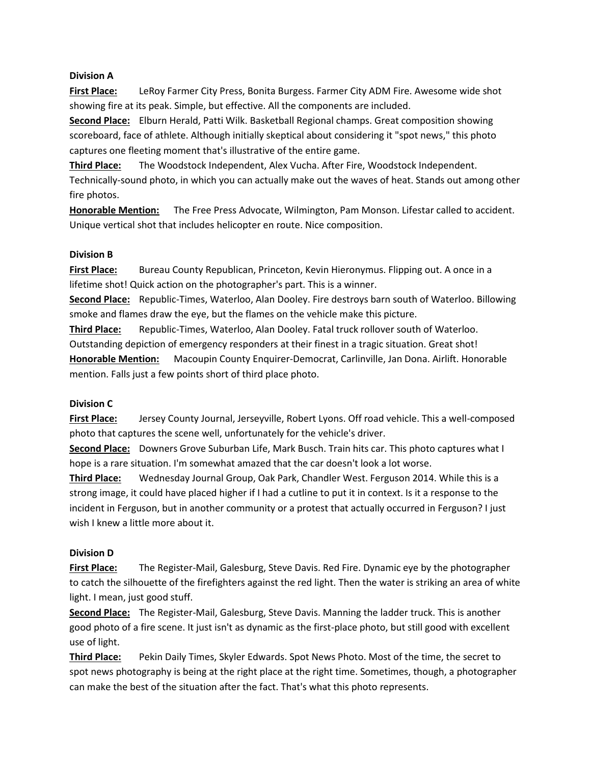### **Division A**

**First Place:** LeRoy Farmer City Press, Bonita Burgess. Farmer City ADM Fire. Awesome wide shot showing fire at its peak. Simple, but effective. All the components are included.

**Second Place:** Elburn Herald, Patti Wilk. Basketball Regional champs. Great composition showing scoreboard, face of athlete. Although initially skeptical about considering it "spot news," this photo captures one fleeting moment that's illustrative of the entire game.

**Third Place:** The Woodstock Independent, Alex Vucha. After Fire, Woodstock Independent. Technically-sound photo, in which you can actually make out the waves of heat. Stands out among other fire photos.

**Honorable Mention:** The Free Press Advocate, Wilmington, Pam Monson. Lifestar called to accident. Unique vertical shot that includes helicopter en route. Nice composition.

### **Division B**

**First Place:** Bureau County Republican, Princeton, Kevin Hieronymus. Flipping out. A once in a lifetime shot! Quick action on the photographer's part. This is a winner.

**Second Place:** Republic-Times, Waterloo, Alan Dooley. Fire destroys barn south of Waterloo. Billowing smoke and flames draw the eye, but the flames on the vehicle make this picture.

**Third Place:** Republic-Times, Waterloo, Alan Dooley. Fatal truck rollover south of Waterloo. Outstanding depiction of emergency responders at their finest in a tragic situation. Great shot! **Honorable Mention:** Macoupin County Enquirer-Democrat, Carlinville, Jan Dona. Airlift. Honorable mention. Falls just a few points short of third place photo.

### **Division C**

**First Place:** Jersey County Journal, Jerseyville, Robert Lyons. Off road vehicle. This a well-composed photo that captures the scene well, unfortunately for the vehicle's driver.

**Second Place:** Downers Grove Suburban Life, Mark Busch. Train hits car. This photo captures what I hope is a rare situation. I'm somewhat amazed that the car doesn't look a lot worse.

**Third Place:** Wednesday Journal Group, Oak Park, Chandler West. Ferguson 2014. While this is a strong image, it could have placed higher if I had a cutline to put it in context. Is it a response to the incident in Ferguson, but in another community or a protest that actually occurred in Ferguson? I just wish I knew a little more about it.

# **Division D**

**First Place:** The Register-Mail, Galesburg, Steve Davis. Red Fire. Dynamic eye by the photographer to catch the silhouette of the firefighters against the red light. Then the water is striking an area of white light. I mean, just good stuff.

**Second Place:** The Register-Mail, Galesburg, Steve Davis. Manning the ladder truck. This is another good photo of a fire scene. It just isn't as dynamic as the first-place photo, but still good with excellent use of light.

**Third Place:** Pekin Daily Times, Skyler Edwards. Spot News Photo. Most of the time, the secret to spot news photography is being at the right place at the right time. Sometimes, though, a photographer can make the best of the situation after the fact. That's what this photo represents.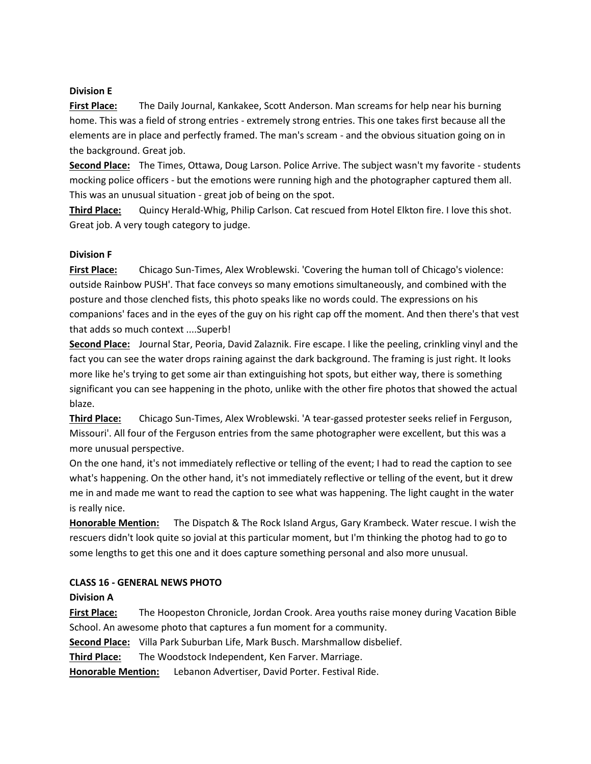### **Division E**

**First Place:** The Daily Journal, Kankakee, Scott Anderson. Man screams for help near his burning home. This was a field of strong entries - extremely strong entries. This one takes first because all the elements are in place and perfectly framed. The man's scream - and the obvious situation going on in the background. Great job.

**Second Place:** The Times, Ottawa, Doug Larson. Police Arrive. The subject wasn't my favorite - students mocking police officers - but the emotions were running high and the photographer captured them all. This was an unusual situation - great job of being on the spot.

**Third Place:** Quincy Herald-Whig, Philip Carlson. Cat rescued from Hotel Elkton fire. I love this shot. Great job. A very tough category to judge.

### **Division F**

**First Place:** Chicago Sun-Times, Alex Wroblewski. 'Covering the human toll of Chicago's violence: outside Rainbow PUSH'. That face conveys so many emotions simultaneously, and combined with the posture and those clenched fists, this photo speaks like no words could. The expressions on his companions' faces and in the eyes of the guy on his right cap off the moment. And then there's that vest that adds so much context ....Superb!

**Second Place:** Journal Star, Peoria, David Zalaznik. Fire escape. I like the peeling, crinkling vinyl and the fact you can see the water drops raining against the dark background. The framing is just right. It looks more like he's trying to get some air than extinguishing hot spots, but either way, there is something significant you can see happening in the photo, unlike with the other fire photos that showed the actual blaze.

**Third Place:** Chicago Sun-Times, Alex Wroblewski. 'A tear-gassed protester seeks relief in Ferguson, Missouri'. All four of the Ferguson entries from the same photographer were excellent, but this was a more unusual perspective.

On the one hand, it's not immediately reflective or telling of the event; I had to read the caption to see what's happening. On the other hand, it's not immediately reflective or telling of the event, but it drew me in and made me want to read the caption to see what was happening. The light caught in the water is really nice.

**Honorable Mention:** The Dispatch & The Rock Island Argus, Gary Krambeck. Water rescue. I wish the rescuers didn't look quite so jovial at this particular moment, but I'm thinking the photog had to go to some lengths to get this one and it does capture something personal and also more unusual.

### **CLASS 16 - GENERAL NEWS PHOTO**

### **Division A**

**First Place:** The Hoopeston Chronicle, Jordan Crook. Area youths raise money during Vacation Bible School. An awesome photo that captures a fun moment for a community.

**Second Place:** Villa Park Suburban Life, Mark Busch. Marshmallow disbelief.

**Third Place:** The Woodstock Independent, Ken Farver. Marriage.

**Honorable Mention:** Lebanon Advertiser, David Porter. Festival Ride.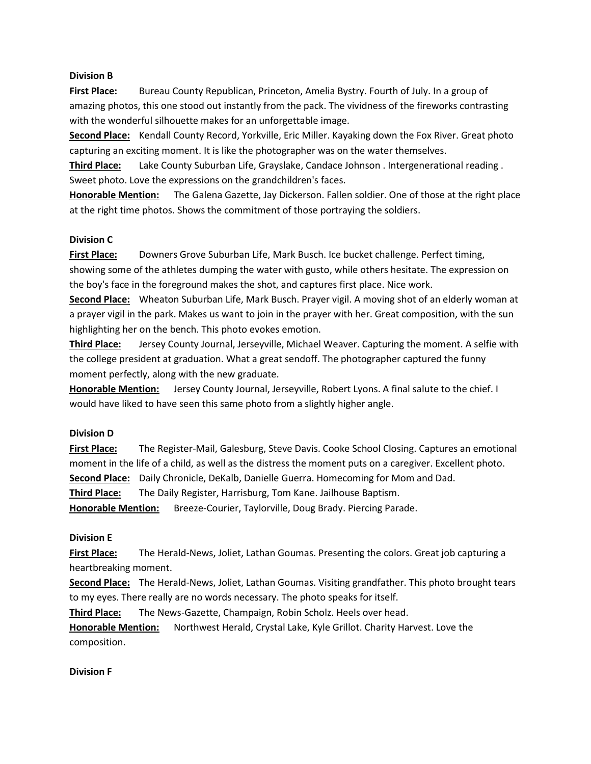### **Division B**

**First Place:** Bureau County Republican, Princeton, Amelia Bystry. Fourth of July. In a group of amazing photos, this one stood out instantly from the pack. The vividness of the fireworks contrasting with the wonderful silhouette makes for an unforgettable image.

**Second Place:** Kendall County Record, Yorkville, Eric Miller. Kayaking down the Fox River. Great photo capturing an exciting moment. It is like the photographer was on the water themselves.

**Third Place:** Lake County Suburban Life, Grayslake, Candace Johnson . Intergenerational reading . Sweet photo. Love the expressions on the grandchildren's faces.

**Honorable Mention:** The Galena Gazette, Jay Dickerson. Fallen soldier. One of those at the right place at the right time photos. Shows the commitment of those portraying the soldiers.

### **Division C**

**First Place:** Downers Grove Suburban Life, Mark Busch. Ice bucket challenge. Perfect timing, showing some of the athletes dumping the water with gusto, while others hesitate. The expression on the boy's face in the foreground makes the shot, and captures first place. Nice work.

**Second Place:** Wheaton Suburban Life, Mark Busch. Prayer vigil. A moving shot of an elderly woman at a prayer vigil in the park. Makes us want to join in the prayer with her. Great composition, with the sun highlighting her on the bench. This photo evokes emotion.

**Third Place:** Jersey County Journal, Jerseyville, Michael Weaver. Capturing the moment. A selfie with the college president at graduation. What a great sendoff. The photographer captured the funny moment perfectly, along with the new graduate.

**Honorable Mention:** Jersey County Journal, Jerseyville, Robert Lyons. A final salute to the chief. I would have liked to have seen this same photo from a slightly higher angle.

### **Division D**

**First Place:** The Register-Mail, Galesburg, Steve Davis. Cooke School Closing. Captures an emotional moment in the life of a child, as well as the distress the moment puts on a caregiver. Excellent photo. **Second Place:** Daily Chronicle, DeKalb, Danielle Guerra. Homecoming for Mom and Dad. **Third Place:** The Daily Register, Harrisburg, Tom Kane. Jailhouse Baptism. **Honorable Mention:** Breeze-Courier, Taylorville, Doug Brady. Piercing Parade.

### **Division E**

**First Place:** The Herald-News, Joliet, Lathan Goumas. Presenting the colors. Great job capturing a heartbreaking moment.

**Second Place:** The Herald-News, Joliet, Lathan Goumas. Visiting grandfather. This photo brought tears to my eyes. There really are no words necessary. The photo speaks for itself.

**Third Place:** The News-Gazette, Champaign, Robin Scholz. Heels over head.

**Honorable Mention:** Northwest Herald, Crystal Lake, Kyle Grillot. Charity Harvest. Love the composition.

### **Division F**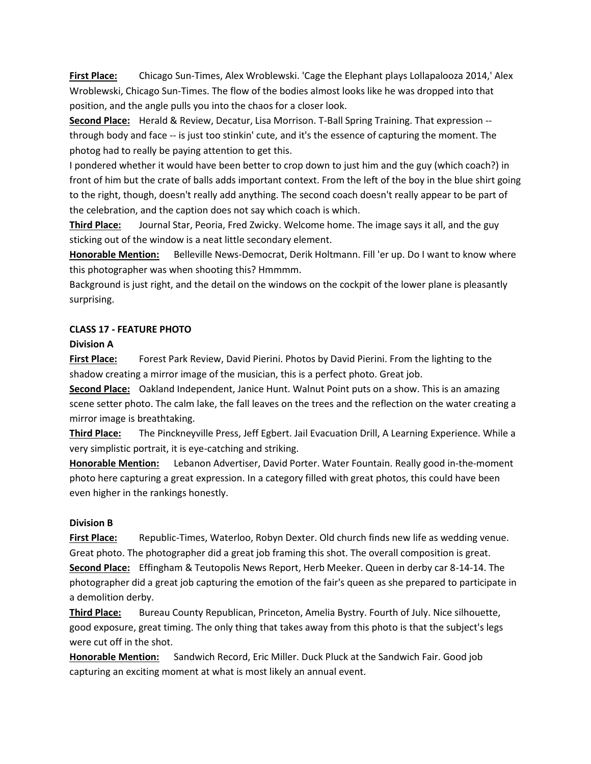**First Place:** Chicago Sun-Times, Alex Wroblewski. 'Cage the Elephant plays Lollapalooza 2014,' Alex Wroblewski, Chicago Sun-Times. The flow of the bodies almost looks like he was dropped into that position, and the angle pulls you into the chaos for a closer look.

**Second Place:** Herald & Review, Decatur, Lisa Morrison. T-Ball Spring Training. That expression - through body and face -- is just too stinkin' cute, and it's the essence of capturing the moment. The photog had to really be paying attention to get this.

I pondered whether it would have been better to crop down to just him and the guy (which coach?) in front of him but the crate of balls adds important context. From the left of the boy in the blue shirt going to the right, though, doesn't really add anything. The second coach doesn't really appear to be part of the celebration, and the caption does not say which coach is which.

**Third Place:** Journal Star, Peoria, Fred Zwicky. Welcome home. The image says it all, and the guy sticking out of the window is a neat little secondary element.

**Honorable Mention:** Belleville News-Democrat, Derik Holtmann. Fill 'er up. Do I want to know where this photographer was when shooting this? Hmmmm.

Background is just right, and the detail on the windows on the cockpit of the lower plane is pleasantly surprising.

### **CLASS 17 - FEATURE PHOTO**

### **Division A**

**First Place:** Forest Park Review, David Pierini. Photos by David Pierini. From the lighting to the shadow creating a mirror image of the musician, this is a perfect photo. Great job.

**Second Place:** Oakland Independent, Janice Hunt. Walnut Point puts on a show. This is an amazing scene setter photo. The calm lake, the fall leaves on the trees and the reflection on the water creating a mirror image is breathtaking.

**Third Place:** The Pinckneyville Press, Jeff Egbert. Jail Evacuation Drill, A Learning Experience. While a very simplistic portrait, it is eye-catching and striking.

**Honorable Mention:** Lebanon Advertiser, David Porter. Water Fountain. Really good in-the-moment photo here capturing a great expression. In a category filled with great photos, this could have been even higher in the rankings honestly.

### **Division B**

**First Place:** Republic-Times, Waterloo, Robyn Dexter. Old church finds new life as wedding venue. Great photo. The photographer did a great job framing this shot. The overall composition is great. **Second Place:** Effingham & Teutopolis News Report, Herb Meeker. Queen in derby car 8-14-14. The photographer did a great job capturing the emotion of the fair's queen as she prepared to participate in a demolition derby.

**Third Place:** Bureau County Republican, Princeton, Amelia Bystry. Fourth of July. Nice silhouette, good exposure, great timing. The only thing that takes away from this photo is that the subject's legs were cut off in the shot.

**Honorable Mention:** Sandwich Record, Eric Miller. Duck Pluck at the Sandwich Fair. Good job capturing an exciting moment at what is most likely an annual event.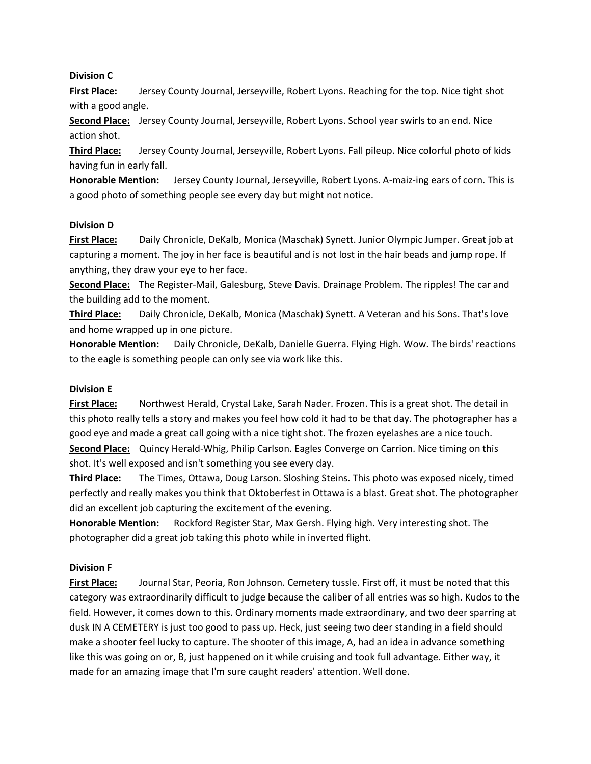### **Division C**

**First Place:** Jersey County Journal, Jerseyville, Robert Lyons. Reaching for the top. Nice tight shot with a good angle.

**Second Place:** Jersey County Journal, Jerseyville, Robert Lyons. School year swirls to an end. Nice action shot.

**Third Place:** Jersey County Journal, Jerseyville, Robert Lyons. Fall pileup. Nice colorful photo of kids having fun in early fall.

**Honorable Mention:** Jersey County Journal, Jerseyville, Robert Lyons. A-maiz-ing ears of corn. This is a good photo of something people see every day but might not notice.

### **Division D**

**First Place:** Daily Chronicle, DeKalb, Monica (Maschak) Synett. Junior Olympic Jumper. Great job at capturing a moment. The joy in her face is beautiful and is not lost in the hair beads and jump rope. If anything, they draw your eye to her face.

**Second Place:** The Register-Mail, Galesburg, Steve Davis. Drainage Problem. The ripples! The car and the building add to the moment.

**Third Place:** Daily Chronicle, DeKalb, Monica (Maschak) Synett. A Veteran and his Sons. That's love and home wrapped up in one picture.

**Honorable Mention:** Daily Chronicle, DeKalb, Danielle Guerra. Flying High. Wow. The birds' reactions to the eagle is something people can only see via work like this.

# **Division E**

**First Place:** Northwest Herald, Crystal Lake, Sarah Nader. Frozen. This is a great shot. The detail in this photo really tells a story and makes you feel how cold it had to be that day. The photographer has a good eye and made a great call going with a nice tight shot. The frozen eyelashes are a nice touch. **Second Place:** Quincy Herald-Whig, Philip Carlson. Eagles Converge on Carrion. Nice timing on this shot. It's well exposed and isn't something you see every day.

**Third Place:** The Times, Ottawa, Doug Larson. Sloshing Steins. This photo was exposed nicely, timed perfectly and really makes you think that Oktoberfest in Ottawa is a blast. Great shot. The photographer did an excellent job capturing the excitement of the evening.

**Honorable Mention:** Rockford Register Star, Max Gersh. Flying high. Very interesting shot. The photographer did a great job taking this photo while in inverted flight.

# **Division F**

**First Place:** Journal Star, Peoria, Ron Johnson. Cemetery tussle. First off, it must be noted that this category was extraordinarily difficult to judge because the caliber of all entries was so high. Kudos to the field. However, it comes down to this. Ordinary moments made extraordinary, and two deer sparring at dusk IN A CEMETERY is just too good to pass up. Heck, just seeing two deer standing in a field should make a shooter feel lucky to capture. The shooter of this image, A, had an idea in advance something like this was going on or, B, just happened on it while cruising and took full advantage. Either way, it made for an amazing image that I'm sure caught readers' attention. Well done.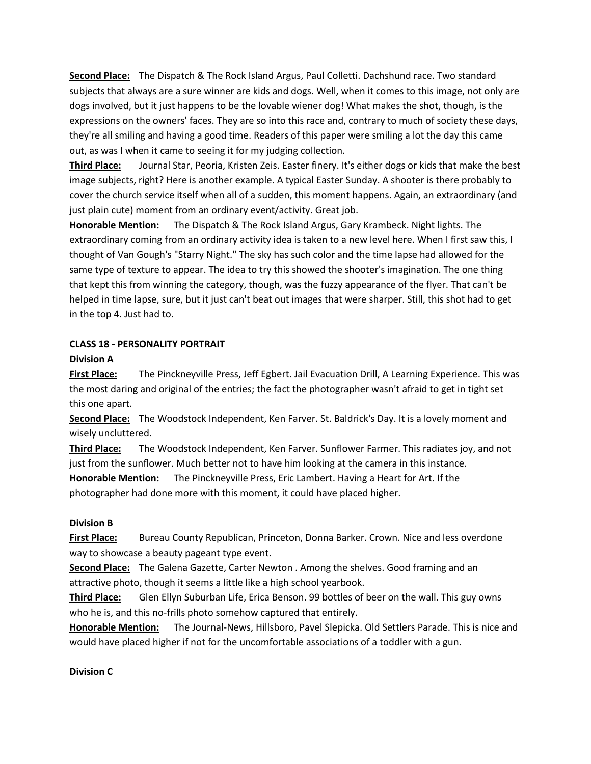**Second Place:** The Dispatch & The Rock Island Argus, Paul Colletti. Dachshund race. Two standard subjects that always are a sure winner are kids and dogs. Well, when it comes to this image, not only are dogs involved, but it just happens to be the lovable wiener dog! What makes the shot, though, is the expressions on the owners' faces. They are so into this race and, contrary to much of society these days, they're all smiling and having a good time. Readers of this paper were smiling a lot the day this came out, as was I when it came to seeing it for my judging collection.

**Third Place:** Journal Star, Peoria, Kristen Zeis. Easter finery. It's either dogs or kids that make the best image subjects, right? Here is another example. A typical Easter Sunday. A shooter is there probably to cover the church service itself when all of a sudden, this moment happens. Again, an extraordinary (and just plain cute) moment from an ordinary event/activity. Great job.

**Honorable Mention:** The Dispatch & The Rock Island Argus, Gary Krambeck. Night lights. The extraordinary coming from an ordinary activity idea is taken to a new level here. When I first saw this, I thought of Van Gough's "Starry Night." The sky has such color and the time lapse had allowed for the same type of texture to appear. The idea to try this showed the shooter's imagination. The one thing that kept this from winning the category, though, was the fuzzy appearance of the flyer. That can't be helped in time lapse, sure, but it just can't beat out images that were sharper. Still, this shot had to get in the top 4. Just had to.

### **CLASS 18 - PERSONALITY PORTRAIT**

#### **Division A**

**First Place:** The Pinckneyville Press, Jeff Egbert. Jail Evacuation Drill, A Learning Experience. This was the most daring and original of the entries; the fact the photographer wasn't afraid to get in tight set this one apart.

**Second Place:** The Woodstock Independent, Ken Farver. St. Baldrick's Day. It is a lovely moment and wisely uncluttered.

**Third Place:** The Woodstock Independent, Ken Farver. Sunflower Farmer. This radiates joy, and not just from the sunflower. Much better not to have him looking at the camera in this instance.

**Honorable Mention:** The Pinckneyville Press, Eric Lambert. Having a Heart for Art. If the photographer had done more with this moment, it could have placed higher.

### **Division B**

**First Place:** Bureau County Republican, Princeton, Donna Barker. Crown. Nice and less overdone way to showcase a beauty pageant type event.

**Second Place:** The Galena Gazette, Carter Newton . Among the shelves. Good framing and an attractive photo, though it seems a little like a high school yearbook.

**Third Place:** Glen Ellyn Suburban Life, Erica Benson. 99 bottles of beer on the wall. This guy owns who he is, and this no-frills photo somehow captured that entirely.

**Honorable Mention:** The Journal-News, Hillsboro, Pavel Slepicka. Old Settlers Parade. This is nice and would have placed higher if not for the uncomfortable associations of a toddler with a gun.

### **Division C**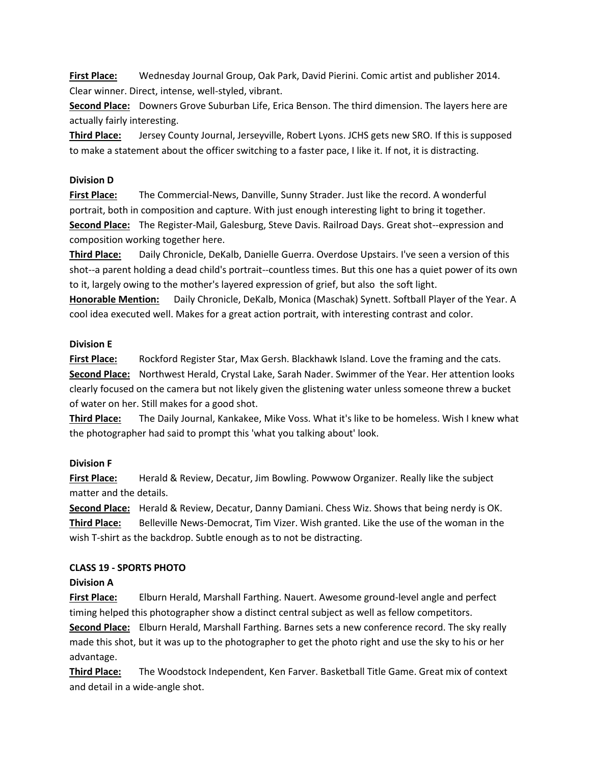**First Place:** Wednesday Journal Group, Oak Park, David Pierini. Comic artist and publisher 2014. Clear winner. Direct, intense, well-styled, vibrant.

**Second Place:** Downers Grove Suburban Life, Erica Benson. The third dimension. The layers here are actually fairly interesting.

**Third Place:** Jersey County Journal, Jerseyville, Robert Lyons. JCHS gets new SRO. If this is supposed to make a statement about the officer switching to a faster pace, I like it. If not, it is distracting.

### **Division D**

**First Place:** The Commercial-News, Danville, Sunny Strader. Just like the record. A wonderful portrait, both in composition and capture. With just enough interesting light to bring it together. **Second Place:** The Register-Mail, Galesburg, Steve Davis. Railroad Days. Great shot--expression and composition working together here.

**Third Place:** Daily Chronicle, DeKalb, Danielle Guerra. Overdose Upstairs. I've seen a version of this shot--a parent holding a dead child's portrait--countless times. But this one has a quiet power of its own to it, largely owing to the mother's layered expression of grief, but also the soft light.

**Honorable Mention:** Daily Chronicle, DeKalb, Monica (Maschak) Synett. Softball Player of the Year. A cool idea executed well. Makes for a great action portrait, with interesting contrast and color.

### **Division E**

**First Place:** Rockford Register Star, Max Gersh. Blackhawk Island. Love the framing and the cats. **Second Place:** Northwest Herald, Crystal Lake, Sarah Nader. Swimmer of the Year. Her attention looks clearly focused on the camera but not likely given the glistening water unless someone threw a bucket of water on her. Still makes for a good shot.

**Third Place:** The Daily Journal, Kankakee, Mike Voss. What it's like to be homeless. Wish I knew what the photographer had said to prompt this 'what you talking about' look.

### **Division F**

**First Place:** Herald & Review, Decatur, Jim Bowling. Powwow Organizer. Really like the subject matter and the details.

**Second Place:** Herald & Review, Decatur, Danny Damiani. Chess Wiz. Shows that being nerdy is OK. **Third Place:** Belleville News-Democrat, Tim Vizer. Wish granted. Like the use of the woman in the wish T-shirt as the backdrop. Subtle enough as to not be distracting.

# **CLASS 19 - SPORTS PHOTO**

### **Division A**

**First Place:** Elburn Herald, Marshall Farthing. Nauert. Awesome ground-level angle and perfect timing helped this photographer show a distinct central subject as well as fellow competitors.

**Second Place:** Elburn Herald, Marshall Farthing. Barnes sets a new conference record. The sky really made this shot, but it was up to the photographer to get the photo right and use the sky to his or her advantage.

**Third Place:** The Woodstock Independent, Ken Farver. Basketball Title Game. Great mix of context and detail in a wide-angle shot.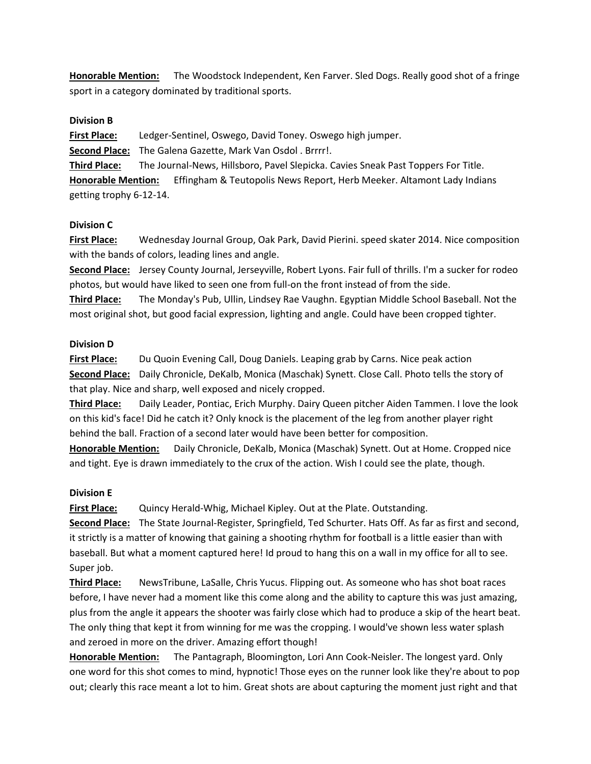**Honorable Mention:** The Woodstock Independent, Ken Farver. Sled Dogs. Really good shot of a fringe sport in a category dominated by traditional sports.

### **Division B**

**First Place:** Ledger-Sentinel, Oswego, David Toney. Oswego high jumper. **Second Place:** The Galena Gazette, Mark Van Osdol . Brrrr!. **Third Place:** The Journal-News, Hillsboro, Pavel Slepicka. Cavies Sneak Past Toppers For Title. **Honorable Mention:** Effingham & Teutopolis News Report, Herb Meeker. Altamont Lady Indians getting trophy 6-12-14.

### **Division C**

**First Place:** Wednesday Journal Group, Oak Park, David Pierini. speed skater 2014. Nice composition with the bands of colors, leading lines and angle.

**Second Place:** Jersey County Journal, Jerseyville, Robert Lyons. Fair full of thrills. I'm a sucker for rodeo photos, but would have liked to seen one from full-on the front instead of from the side.

**Third Place:** The Monday's Pub, Ullin, Lindsey Rae Vaughn. Egyptian Middle School Baseball. Not the most original shot, but good facial expression, lighting and angle. Could have been cropped tighter.

### **Division D**

**First Place:** Du Quoin Evening Call, Doug Daniels. Leaping grab by Carns. Nice peak action **Second Place:** Daily Chronicle, DeKalb, Monica (Maschak) Synett. Close Call. Photo tells the story of that play. Nice and sharp, well exposed and nicely cropped.

**Third Place:** Daily Leader, Pontiac, Erich Murphy. Dairy Queen pitcher Aiden Tammen. I love the look on this kid's face! Did he catch it? Only knock is the placement of the leg from another player right behind the ball. Fraction of a second later would have been better for composition.

**Honorable Mention:** Daily Chronicle, DeKalb, Monica (Maschak) Synett. Out at Home. Cropped nice and tight. Eye is drawn immediately to the crux of the action. Wish I could see the plate, though.

### **Division E**

**First Place:** Quincy Herald-Whig, Michael Kipley. Out at the Plate. Outstanding.

**Second Place:** The State Journal-Register, Springfield, Ted Schurter. Hats Off. As far as first and second, it strictly is a matter of knowing that gaining a shooting rhythm for football is a little easier than with baseball. But what a moment captured here! Id proud to hang this on a wall in my office for all to see. Super job.

**Third Place:** NewsTribune, LaSalle, Chris Yucus. Flipping out. As someone who has shot boat races before, I have never had a moment like this come along and the ability to capture this was just amazing, plus from the angle it appears the shooter was fairly close which had to produce a skip of the heart beat. The only thing that kept it from winning for me was the cropping. I would've shown less water splash and zeroed in more on the driver. Amazing effort though!

**Honorable Mention:** The Pantagraph, Bloomington, Lori Ann Cook-Neisler. The longest yard. Only one word for this shot comes to mind, hypnotic! Those eyes on the runner look like they're about to pop out; clearly this race meant a lot to him. Great shots are about capturing the moment just right and that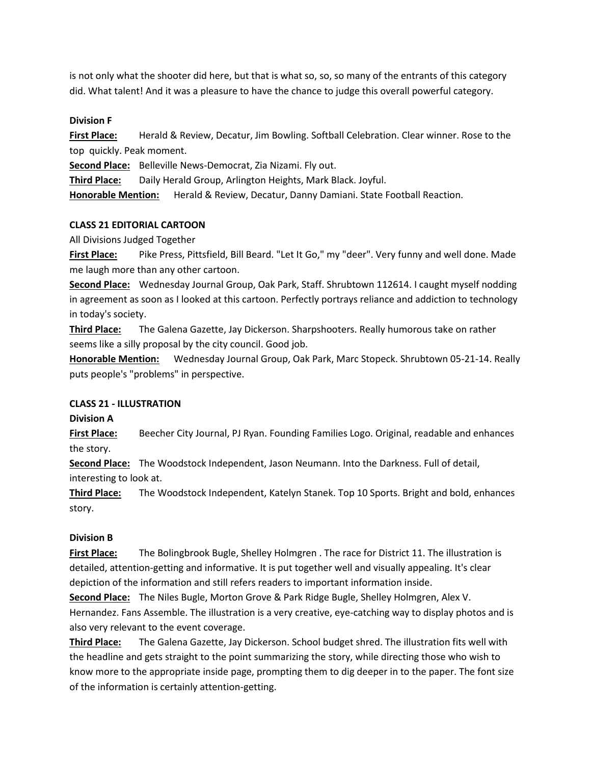is not only what the shooter did here, but that is what so, so, so many of the entrants of this category did. What talent! And it was a pleasure to have the chance to judge this overall powerful category.

### **Division F**

**First Place:** Herald & Review, Decatur, Jim Bowling. Softball Celebration. Clear winner. Rose to the top quickly. Peak moment.

**Second Place:** Belleville News-Democrat, Zia Nizami. Fly out.

**Third Place:** Daily Herald Group, Arlington Heights, Mark Black. Joyful.

**Honorable Mention:** Herald & Review, Decatur, Danny Damiani. State Football Reaction.

#### **CLASS 21 EDITORIAL CARTOON**

All Divisions Judged Together

**First Place:** Pike Press, Pittsfield, Bill Beard. "Let It Go," my "deer". Very funny and well done. Made me laugh more than any other cartoon.

**Second Place:** Wednesday Journal Group, Oak Park, Staff. Shrubtown 112614. I caught myself nodding in agreement as soon as I looked at this cartoon. Perfectly portrays reliance and addiction to technology in today's society.

**Third Place:** The Galena Gazette, Jay Dickerson. Sharpshooters. Really humorous take on rather seems like a silly proposal by the city council. Good job.

**Honorable Mention:** Wednesday Journal Group, Oak Park, Marc Stopeck. Shrubtown 05-21-14. Really puts people's "problems" in perspective.

#### **CLASS 21 - ILLUSTRATION**

**Division A**

**First Place:** Beecher City Journal, PJ Ryan. Founding Families Logo. Original, readable and enhances the story.

**Second Place:** The Woodstock Independent, Jason Neumann. Into the Darkness. Full of detail, interesting to look at.

**Third Place:** The Woodstock Independent, Katelyn Stanek. Top 10 Sports. Bright and bold, enhances story.

### **Division B**

**First Place:** The Bolingbrook Bugle, Shelley Holmgren . The race for District 11. The illustration is detailed, attention-getting and informative. It is put together well and visually appealing. It's clear depiction of the information and still refers readers to important information inside.

**Second Place:** The Niles Bugle, Morton Grove & Park Ridge Bugle, Shelley Holmgren, Alex V. Hernandez. Fans Assemble. The illustration is a very creative, eye-catching way to display photos and is also very relevant to the event coverage.

**Third Place:** The Galena Gazette, Jay Dickerson. School budget shred. The illustration fits well with the headline and gets straight to the point summarizing the story, while directing those who wish to know more to the appropriate inside page, prompting them to dig deeper in to the paper. The font size of the information is certainly attention-getting.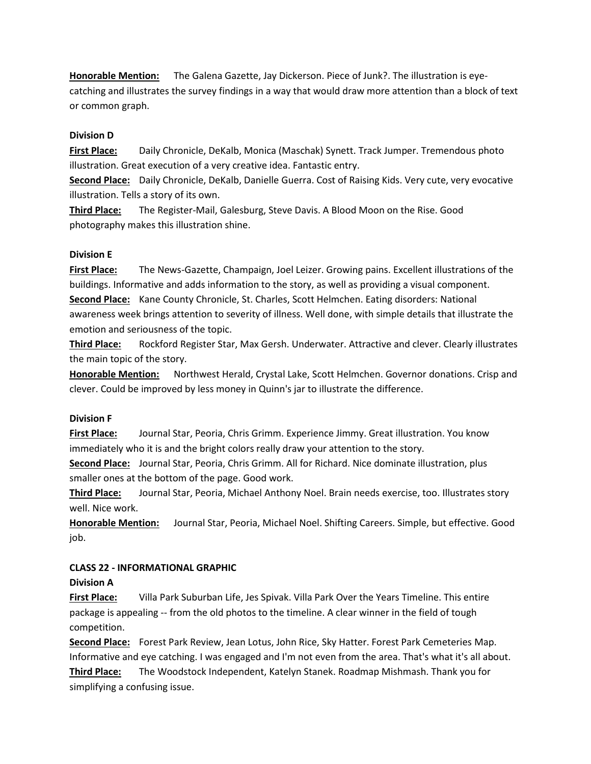**Honorable Mention:** The Galena Gazette, Jay Dickerson. Piece of Junk?. The illustration is eyecatching and illustrates the survey findings in a way that would draw more attention than a block of text or common graph.

### **Division D**

**First Place:** Daily Chronicle, DeKalb, Monica (Maschak) Synett. Track Jumper. Tremendous photo illustration. Great execution of a very creative idea. Fantastic entry.

**Second Place:** Daily Chronicle, DeKalb, Danielle Guerra. Cost of Raising Kids. Very cute, very evocative illustration. Tells a story of its own.

**Third Place:** The Register-Mail, Galesburg, Steve Davis. A Blood Moon on the Rise. Good photography makes this illustration shine.

### **Division E**

**First Place:** The News-Gazette, Champaign, Joel Leizer. Growing pains. Excellent illustrations of the buildings. Informative and adds information to the story, as well as providing a visual component. **Second Place:** Kane County Chronicle, St. Charles, Scott Helmchen. Eating disorders: National awareness week brings attention to severity of illness. Well done, with simple details that illustrate the emotion and seriousness of the topic.

**Third Place:** Rockford Register Star, Max Gersh. Underwater. Attractive and clever. Clearly illustrates the main topic of the story.

**Honorable Mention:** Northwest Herald, Crystal Lake, Scott Helmchen. Governor donations. Crisp and clever. Could be improved by less money in Quinn's jar to illustrate the difference.

### **Division F**

**First Place:** Journal Star, Peoria, Chris Grimm. Experience Jimmy. Great illustration. You know immediately who it is and the bright colors really draw your attention to the story.

**Second Place:** Journal Star, Peoria, Chris Grimm. All for Richard. Nice dominate illustration, plus smaller ones at the bottom of the page. Good work.

**Third Place:** Journal Star, Peoria, Michael Anthony Noel. Brain needs exercise, too. Illustrates story well. Nice work.

**Honorable Mention:** Journal Star, Peoria, Michael Noel. Shifting Careers. Simple, but effective. Good job.

# **CLASS 22 - INFORMATIONAL GRAPHIC**

### **Division A**

**First Place:** Villa Park Suburban Life, Jes Spivak. Villa Park Over the Years Timeline. This entire package is appealing -- from the old photos to the timeline. A clear winner in the field of tough competition.

**Second Place:** Forest Park Review, Jean Lotus, John Rice, Sky Hatter. Forest Park Cemeteries Map. Informative and eye catching. I was engaged and I'm not even from the area. That's what it's all about. **Third Place:** The Woodstock Independent, Katelyn Stanek. Roadmap Mishmash. Thank you for simplifying a confusing issue.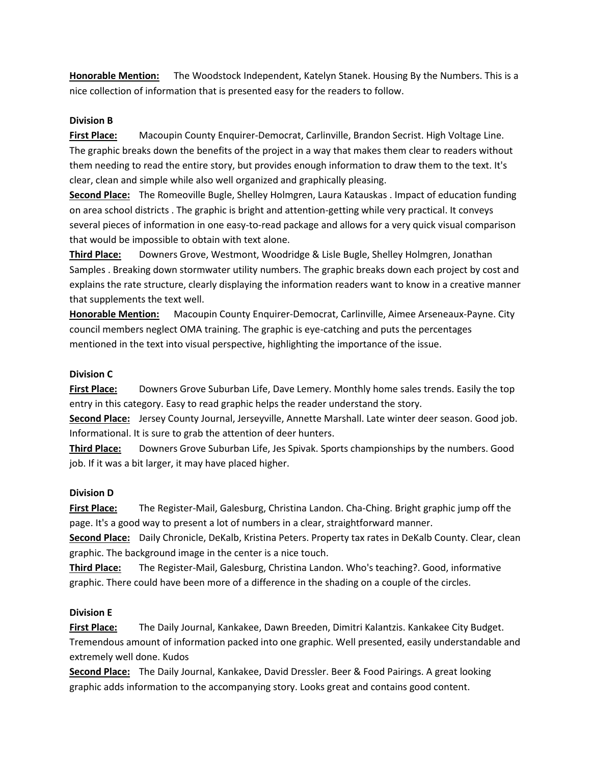**Honorable Mention:** The Woodstock Independent, Katelyn Stanek. Housing By the Numbers. This is a nice collection of information that is presented easy for the readers to follow.

### **Division B**

**First Place:** Macoupin County Enquirer-Democrat, Carlinville, Brandon Secrist. High Voltage Line. The graphic breaks down the benefits of the project in a way that makes them clear to readers without them needing to read the entire story, but provides enough information to draw them to the text. It's clear, clean and simple while also well organized and graphically pleasing.

**Second Place:** The Romeoville Bugle, Shelley Holmgren, Laura Katauskas . Impact of education funding on area school districts . The graphic is bright and attention-getting while very practical. It conveys several pieces of information in one easy-to-read package and allows for a very quick visual comparison that would be impossible to obtain with text alone.

**Third Place:** Downers Grove, Westmont, Woodridge & Lisle Bugle, Shelley Holmgren, Jonathan Samples . Breaking down stormwater utility numbers. The graphic breaks down each project by cost and explains the rate structure, clearly displaying the information readers want to know in a creative manner that supplements the text well.

**Honorable Mention:** Macoupin County Enquirer-Democrat, Carlinville, Aimee Arseneaux-Payne. City council members neglect OMA training. The graphic is eye-catching and puts the percentages mentioned in the text into visual perspective, highlighting the importance of the issue.

### **Division C**

**First Place:** Downers Grove Suburban Life, Dave Lemery. Monthly home sales trends. Easily the top entry in this category. Easy to read graphic helps the reader understand the story.

**Second Place:** Jersey County Journal, Jerseyville, Annette Marshall. Late winter deer season. Good job. Informational. It is sure to grab the attention of deer hunters.

**Third Place:** Downers Grove Suburban Life, Jes Spivak. Sports championships by the numbers. Good job. If it was a bit larger, it may have placed higher.

### **Division D**

**First Place:** The Register-Mail, Galesburg, Christina Landon. Cha-Ching. Bright graphic jump off the page. It's a good way to present a lot of numbers in a clear, straightforward manner.

**Second Place:** Daily Chronicle, DeKalb, Kristina Peters. Property tax rates in DeKalb County. Clear, clean graphic. The background image in the center is a nice touch.

**Third Place:** The Register-Mail, Galesburg, Christina Landon. Who's teaching?. Good, informative graphic. There could have been more of a difference in the shading on a couple of the circles.

### **Division E**

**First Place:** The Daily Journal, Kankakee, Dawn Breeden, Dimitri Kalantzis. Kankakee City Budget. Tremendous amount of information packed into one graphic. Well presented, easily understandable and extremely well done. Kudos

**Second Place:** The Daily Journal, Kankakee, David Dressler. Beer & Food Pairings. A great looking graphic adds information to the accompanying story. Looks great and contains good content.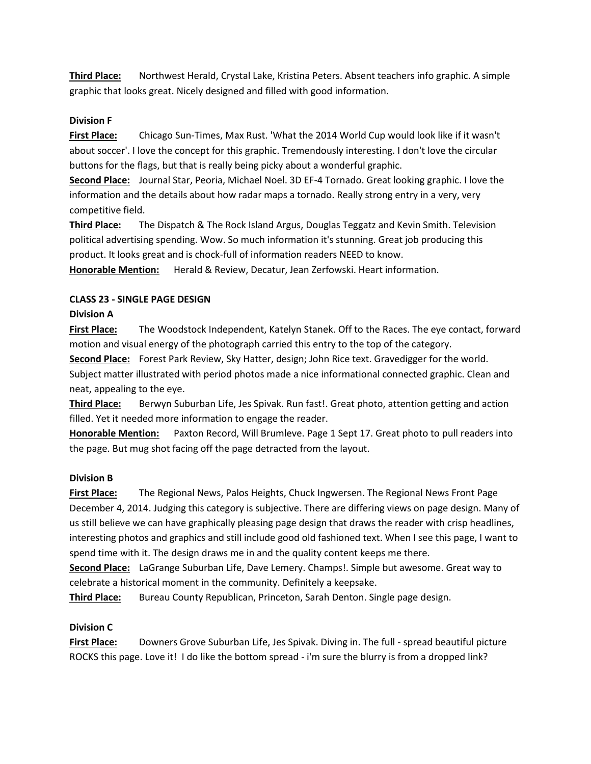**Third Place:** Northwest Herald, Crystal Lake, Kristina Peters. Absent teachers info graphic. A simple graphic that looks great. Nicely designed and filled with good information.

### **Division F**

**First Place:** Chicago Sun-Times, Max Rust. 'What the 2014 World Cup would look like if it wasn't about soccer'. I love the concept for this graphic. Tremendously interesting. I don't love the circular buttons for the flags, but that is really being picky about a wonderful graphic.

**Second Place:** Journal Star, Peoria, Michael Noel. 3D EF-4 Tornado. Great looking graphic. I love the information and the details about how radar maps a tornado. Really strong entry in a very, very competitive field.

**Third Place:** The Dispatch & The Rock Island Argus, Douglas Teggatz and Kevin Smith. Television political advertising spending. Wow. So much information it's stunning. Great job producing this product. It looks great and is chock-full of information readers NEED to know.

**Honorable Mention:** Herald & Review, Decatur, Jean Zerfowski. Heart information.

### **CLASS 23 - SINGLE PAGE DESIGN**

### **Division A**

**First Place:** The Woodstock Independent, Katelyn Stanek. Off to the Races. The eye contact, forward motion and visual energy of the photograph carried this entry to the top of the category.

**Second Place:** Forest Park Review, Sky Hatter, design; John Rice text. Gravedigger for the world. Subject matter illustrated with period photos made a nice informational connected graphic. Clean and neat, appealing to the eye.

**Third Place:** Berwyn Suburban Life, Jes Spivak. Run fast!. Great photo, attention getting and action filled. Yet it needed more information to engage the reader.

**Honorable Mention:** Paxton Record, Will Brumleve. Page 1 Sept 17. Great photo to pull readers into the page. But mug shot facing off the page detracted from the layout.

# **Division B**

**First Place:** The Regional News, Palos Heights, Chuck Ingwersen. The Regional News Front Page December 4, 2014. Judging this category is subjective. There are differing views on page design. Many of us still believe we can have graphically pleasing page design that draws the reader with crisp headlines, interesting photos and graphics and still include good old fashioned text. When I see this page, I want to spend time with it. The design draws me in and the quality content keeps me there.

**Second Place:** LaGrange Suburban Life, Dave Lemery. Champs!. Simple but awesome. Great way to celebrate a historical moment in the community. Definitely a keepsake.

**Third Place:** Bureau County Republican, Princeton, Sarah Denton. Single page design.

# **Division C**

**First Place:** Downers Grove Suburban Life, Jes Spivak. Diving in. The full - spread beautiful picture ROCKS this page. Love it! I do like the bottom spread - i'm sure the blurry is from a dropped link?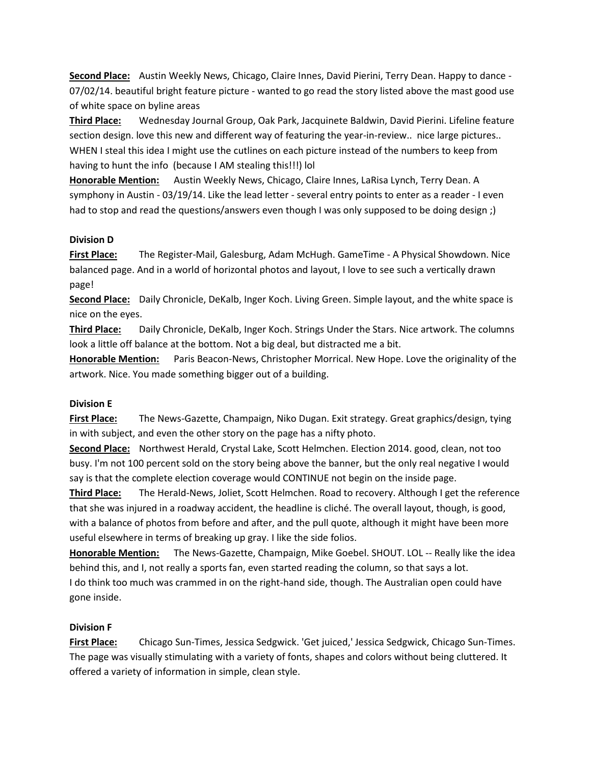**Second Place:** Austin Weekly News, Chicago, Claire Innes, David Pierini, Terry Dean. Happy to dance - 07/02/14. beautiful bright feature picture - wanted to go read the story listed above the mast good use of white space on byline areas

**Third Place:** Wednesday Journal Group, Oak Park, Jacquinete Baldwin, David Pierini. Lifeline feature section design. love this new and different way of featuring the year-in-review.. nice large pictures.. WHEN I steal this idea I might use the cutlines on each picture instead of the numbers to keep from having to hunt the info (because I AM stealing this!!!) lol

**Honorable Mention:** Austin Weekly News, Chicago, Claire Innes, LaRisa Lynch, Terry Dean. A symphony in Austin - 03/19/14. Like the lead letter - several entry points to enter as a reader - I even had to stop and read the questions/answers even though I was only supposed to be doing design;)

### **Division D**

**First Place:** The Register-Mail, Galesburg, Adam McHugh. GameTime - A Physical Showdown. Nice balanced page. And in a world of horizontal photos and layout, I love to see such a vertically drawn page!

**Second Place:** Daily Chronicle, DeKalb, Inger Koch. Living Green. Simple layout, and the white space is nice on the eyes.

**Third Place:** Daily Chronicle, DeKalb, Inger Koch. Strings Under the Stars. Nice artwork. The columns look a little off balance at the bottom. Not a big deal, but distracted me a bit.

**Honorable Mention:** Paris Beacon-News, Christopher Morrical. New Hope. Love the originality of the artwork. Nice. You made something bigger out of a building.

# **Division E**

**First Place:** The News-Gazette, Champaign, Niko Dugan. Exit strategy. Great graphics/design, tying in with subject, and even the other story on the page has a nifty photo.

**Second Place:** Northwest Herald, Crystal Lake, Scott Helmchen. Election 2014. good, clean, not too busy. I'm not 100 percent sold on the story being above the banner, but the only real negative I would say is that the complete election coverage would CONTINUE not begin on the inside page.

**Third Place:** The Herald-News, Joliet, Scott Helmchen. Road to recovery. Although I get the reference that she was injured in a roadway accident, the headline is cliché. The overall layout, though, is good, with a balance of photos from before and after, and the pull quote, although it might have been more useful elsewhere in terms of breaking up gray. I like the side folios.

**Honorable Mention:** The News-Gazette, Champaign, Mike Goebel. SHOUT. LOL -- Really like the idea behind this, and I, not really a sports fan, even started reading the column, so that says a lot. I do think too much was crammed in on the right-hand side, though. The Australian open could have gone inside.

# **Division F**

**First Place:** Chicago Sun-Times, Jessica Sedgwick. 'Get juiced,' Jessica Sedgwick, Chicago Sun-Times. The page was visually stimulating with a variety of fonts, shapes and colors without being cluttered. It offered a variety of information in simple, clean style.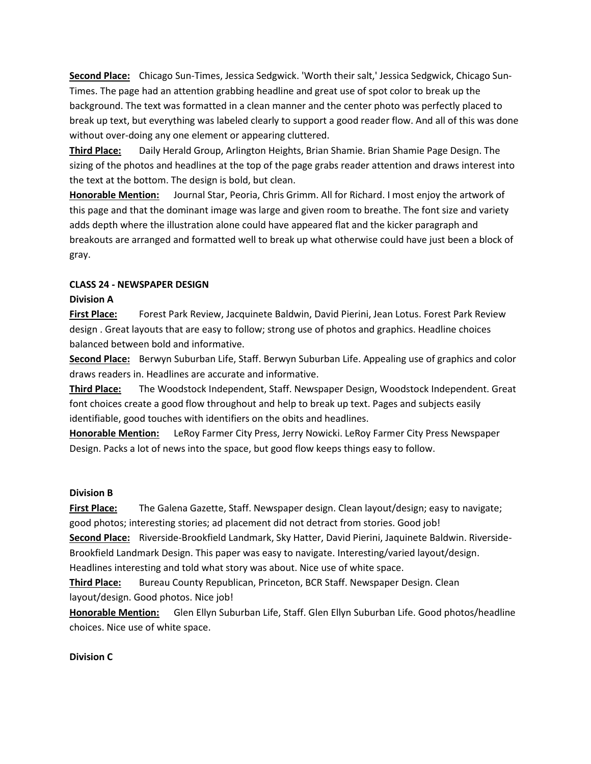**Second Place:** Chicago Sun-Times, Jessica Sedgwick. 'Worth their salt,' Jessica Sedgwick, Chicago Sun-Times. The page had an attention grabbing headline and great use of spot color to break up the background. The text was formatted in a clean manner and the center photo was perfectly placed to break up text, but everything was labeled clearly to support a good reader flow. And all of this was done without over-doing any one element or appearing cluttered.

**Third Place:** Daily Herald Group, Arlington Heights, Brian Shamie. Brian Shamie Page Design. The sizing of the photos and headlines at the top of the page grabs reader attention and draws interest into the text at the bottom. The design is bold, but clean.

**Honorable Mention:** Journal Star, Peoria, Chris Grimm. All for Richard. I most enjoy the artwork of this page and that the dominant image was large and given room to breathe. The font size and variety adds depth where the illustration alone could have appeared flat and the kicker paragraph and breakouts are arranged and formatted well to break up what otherwise could have just been a block of gray.

### **CLASS 24 - NEWSPAPER DESIGN**

### **Division A**

**First Place:** Forest Park Review, Jacquinete Baldwin, David Pierini, Jean Lotus. Forest Park Review design . Great layouts that are easy to follow; strong use of photos and graphics. Headline choices balanced between bold and informative.

**Second Place:** Berwyn Suburban Life, Staff. Berwyn Suburban Life. Appealing use of graphics and color draws readers in. Headlines are accurate and informative.

**Third Place:** The Woodstock Independent, Staff. Newspaper Design, Woodstock Independent. Great font choices create a good flow throughout and help to break up text. Pages and subjects easily identifiable, good touches with identifiers on the obits and headlines.

**Honorable Mention:** LeRoy Farmer City Press, Jerry Nowicki. LeRoy Farmer City Press Newspaper Design. Packs a lot of news into the space, but good flow keeps things easy to follow.

### **Division B**

**First Place:** The Galena Gazette, Staff. Newspaper design. Clean layout/design; easy to navigate; good photos; interesting stories; ad placement did not detract from stories. Good job!

**Second Place:** Riverside-Brookfield Landmark, Sky Hatter, David Pierini, Jaquinete Baldwin. Riverside-Brookfield Landmark Design. This paper was easy to navigate. Interesting/varied layout/design.

Headlines interesting and told what story was about. Nice use of white space.

**Third Place:** Bureau County Republican, Princeton, BCR Staff. Newspaper Design. Clean layout/design. Good photos. Nice job!

**Honorable Mention:** Glen Ellyn Suburban Life, Staff. Glen Ellyn Suburban Life. Good photos/headline choices. Nice use of white space.

### **Division C**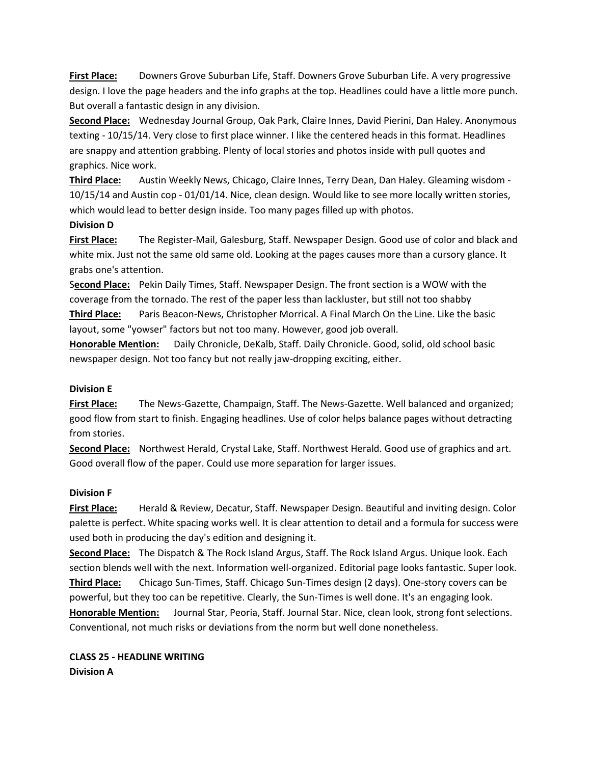**First Place:** Downers Grove Suburban Life, Staff. Downers Grove Suburban Life. A very progressive design. I love the page headers and the info graphs at the top. Headlines could have a little more punch. But overall a fantastic design in any division.

**Second Place:** Wednesday Journal Group, Oak Park, Claire Innes, David Pierini, Dan Haley. Anonymous texting - 10/15/14. Very close to first place winner. I like the centered heads in this format. Headlines are snappy and attention grabbing. Plenty of local stories and photos inside with pull quotes and graphics. Nice work.

**Third Place:** Austin Weekly News, Chicago, Claire Innes, Terry Dean, Dan Haley. Gleaming wisdom - 10/15/14 and Austin cop - 01/01/14. Nice, clean design. Would like to see more locally written stories, which would lead to better design inside. Too many pages filled up with photos.

### **Division D**

**First Place:** The Register-Mail, Galesburg, Staff. Newspaper Design. Good use of color and black and white mix. Just not the same old same old. Looking at the pages causes more than a cursory glance. It grabs one's attention.

S**econd Place:** Pekin Daily Times, Staff. Newspaper Design. The front section is a WOW with the coverage from the tornado. The rest of the paper less than lackluster, but still not too shabby **Third Place:** Paris Beacon-News, Christopher Morrical. A Final March On the Line. Like the basic layout, some "yowser" factors but not too many. However, good job overall.

**Honorable Mention:** Daily Chronicle, DeKalb, Staff. Daily Chronicle. Good, solid, old school basic newspaper design. Not too fancy but not really jaw-dropping exciting, either.

### **Division E**

**First Place:** The News-Gazette, Champaign, Staff. The News-Gazette. Well balanced and organized; good flow from start to finish. Engaging headlines. Use of color helps balance pages without detracting from stories.

**Second Place:** Northwest Herald, Crystal Lake, Staff. Northwest Herald. Good use of graphics and art. Good overall flow of the paper. Could use more separation for larger issues.

### **Division F**

**First Place:** Herald & Review, Decatur, Staff. Newspaper Design. Beautiful and inviting design. Color palette is perfect. White spacing works well. It is clear attention to detail and a formula for success were used both in producing the day's edition and designing it.

**Second Place:** The Dispatch & The Rock Island Argus, Staff. The Rock Island Argus. Unique look. Each section blends well with the next. Information well-organized. Editorial page looks fantastic. Super look.

**Third Place:** Chicago Sun-Times, Staff. Chicago Sun-Times design (2 days). One-story covers can be powerful, but they too can be repetitive. Clearly, the Sun-Times is well done. It's an engaging look. **Honorable Mention:** Journal Star, Peoria, Staff. Journal Star. Nice, clean look, strong font selections. Conventional, not much risks or deviations from the norm but well done nonetheless.

**CLASS 25 - HEADLINE WRITING Division A**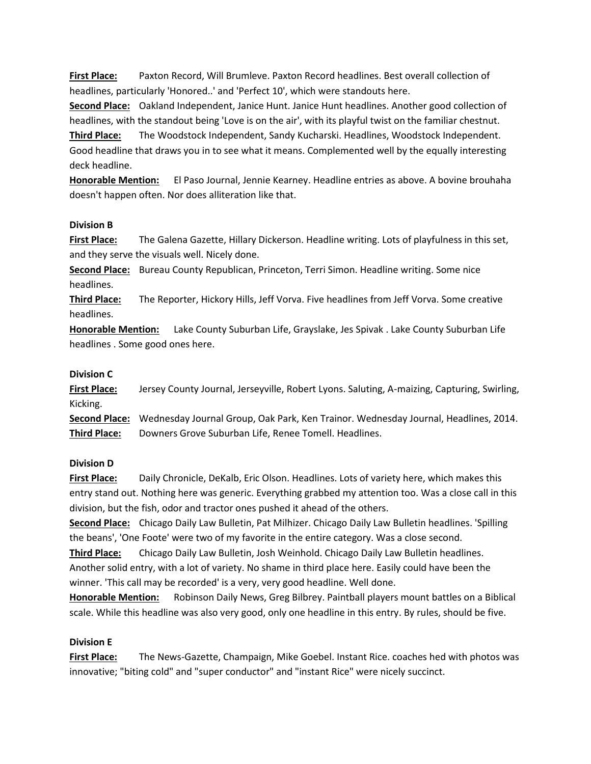**First Place:** Paxton Record, Will Brumleve. Paxton Record headlines. Best overall collection of headlines, particularly 'Honored..' and 'Perfect 10', which were standouts here.

**Second Place:** Oakland Independent, Janice Hunt. Janice Hunt headlines. Another good collection of headlines, with the standout being 'Love is on the air', with its playful twist on the familiar chestnut.

**Third Place:** The Woodstock Independent, Sandy Kucharski. Headlines, Woodstock Independent. Good headline that draws you in to see what it means. Complemented well by the equally interesting deck headline.

**Honorable Mention:** El Paso Journal, Jennie Kearney. Headline entries as above. A bovine brouhaha doesn't happen often. Nor does alliteration like that.

### **Division B**

**First Place:** The Galena Gazette, Hillary Dickerson. Headline writing. Lots of playfulness in this set, and they serve the visuals well. Nicely done.

**Second Place:** Bureau County Republican, Princeton, Terri Simon. Headline writing. Some nice headlines.

**Third Place:** The Reporter, Hickory Hills, Jeff Vorva. Five headlines from Jeff Vorva. Some creative headlines.

**Honorable Mention:** Lake County Suburban Life, Grayslake, Jes Spivak . Lake County Suburban Life headlines . Some good ones here.

### **Division C**

**First Place:** Jersey County Journal, Jerseyville, Robert Lyons. Saluting, A-maizing, Capturing, Swirling, Kicking. **Second Place:** Wednesday Journal Group, Oak Park, Ken Trainor. Wednesday Journal, Headlines, 2014.

**Third Place:** Downers Grove Suburban Life, Renee Tomell. Headlines.

### **Division D**

**First Place:** Daily Chronicle, DeKalb, Eric Olson. Headlines. Lots of variety here, which makes this entry stand out. Nothing here was generic. Everything grabbed my attention too. Was a close call in this division, but the fish, odor and tractor ones pushed it ahead of the others.

**Second Place:** Chicago Daily Law Bulletin, Pat Milhizer. Chicago Daily Law Bulletin headlines. 'Spilling the beans', 'One Foote' were two of my favorite in the entire category. Was a close second.

**Third Place:** Chicago Daily Law Bulletin, Josh Weinhold. Chicago Daily Law Bulletin headlines. Another solid entry, with a lot of variety. No shame in third place here. Easily could have been the winner. 'This call may be recorded' is a very, very good headline. Well done.

**Honorable Mention:** Robinson Daily News, Greg Bilbrey. Paintball players mount battles on a Biblical scale. While this headline was also very good, only one headline in this entry. By rules, should be five.

# **Division E**

**First Place:** The News-Gazette, Champaign, Mike Goebel. Instant Rice. coaches hed with photos was innovative; "biting cold" and "super conductor" and "instant Rice" were nicely succinct.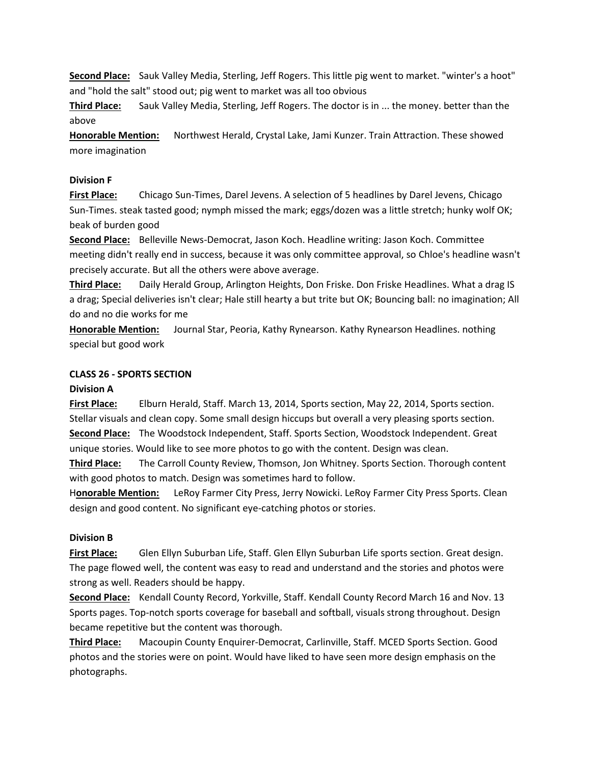**Second Place:** Sauk Valley Media, Sterling, Jeff Rogers. This little pig went to market. "winter's a hoot" and "hold the salt" stood out; pig went to market was all too obvious

**Third Place:** Sauk Valley Media, Sterling, Jeff Rogers. The doctor is in ... the money. better than the above

**Honorable Mention:** Northwest Herald, Crystal Lake, Jami Kunzer. Train Attraction. These showed more imagination

### **Division F**

**First Place:** Chicago Sun-Times, Darel Jevens. A selection of 5 headlines by Darel Jevens, Chicago Sun-Times. steak tasted good; nymph missed the mark; eggs/dozen was a little stretch; hunky wolf OK; beak of burden good

**Second Place:** Belleville News-Democrat, Jason Koch. Headline writing: Jason Koch. Committee meeting didn't really end in success, because it was only committee approval, so Chloe's headline wasn't precisely accurate. But all the others were above average.

**Third Place:** Daily Herald Group, Arlington Heights, Don Friske. Don Friske Headlines. What a drag IS a drag; Special deliveries isn't clear; Hale still hearty a but trite but OK; Bouncing ball: no imagination; All do and no die works for me

**Honorable Mention:** Journal Star, Peoria, Kathy Rynearson. Kathy Rynearson Headlines. nothing special but good work

### **CLASS 26 - SPORTS SECTION**

### **Division A**

**First Place:** Elburn Herald, Staff. March 13, 2014, Sports section, May 22, 2014, Sports section. Stellar visuals and clean copy. Some small design hiccups but overall a very pleasing sports section. **Second Place:** The Woodstock Independent, Staff. Sports Section, Woodstock Independent. Great unique stories. Would like to see more photos to go with the content. Design was clean.

**Third Place:** The Carroll County Review, Thomson, Jon Whitney. Sports Section. Thorough content with good photos to match. Design was sometimes hard to follow.

H**onorable Mention:** LeRoy Farmer City Press, Jerry Nowicki. LeRoy Farmer City Press Sports. Clean design and good content. No significant eye-catching photos or stories.

### **Division B**

**First Place:** Glen Ellyn Suburban Life, Staff. Glen Ellyn Suburban Life sports section. Great design. The page flowed well, the content was easy to read and understand and the stories and photos were strong as well. Readers should be happy.

**Second Place:** Kendall County Record, Yorkville, Staff. Kendall County Record March 16 and Nov. 13 Sports pages. Top-notch sports coverage for baseball and softball, visuals strong throughout. Design became repetitive but the content was thorough.

**Third Place:** Macoupin County Enquirer-Democrat, Carlinville, Staff. MCED Sports Section. Good photos and the stories were on point. Would have liked to have seen more design emphasis on the photographs.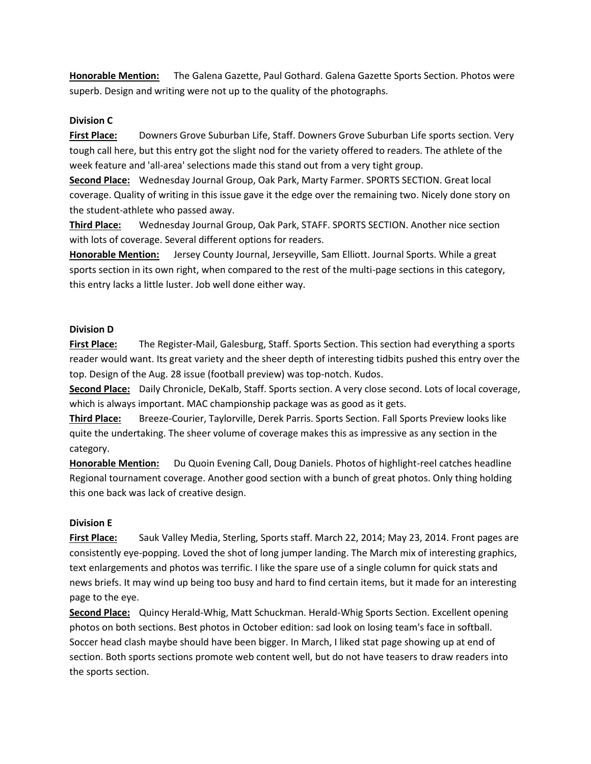**Honorable Mention:** The Galena Gazette, Paul Gothard. Galena Gazette Sports Section. Photos were superb. Design and writing were not up to the quality of the photographs.

### **Division C**

**First Place:** Downers Grove Suburban Life, Staff. Downers Grove Suburban Life sports section. Very tough call here, but this entry got the slight nod for the variety offered to readers. The athlete of the week feature and 'all-area' selections made this stand out from a very tight group.

**Second Place:** Wednesday Journal Group, Oak Park, Marty Farmer. SPORTS SECTION. Great local coverage. Quality of writing in this issue gave it the edge over the remaining two. Nicely done story on the student-athlete who passed away.

**Third Place:** Wednesday Journal Group, Oak Park, STAFF. SPORTS SECTION. Another nice section with lots of coverage. Several different options for readers.

**Honorable Mention:** Jersey County Journal, Jerseyville, Sam Elliott. Journal Sports. While a great sports section in its own right, when compared to the rest of the multi-page sections in this category, this entry lacks a little luster. Job well done either way.

### **Division D**

**First Place:** The Register-Mail, Galesburg, Staff. Sports Section. This section had everything a sports reader would want. Its great variety and the sheer depth of interesting tidbits pushed this entry over the top. Design of the Aug. 28 issue (football preview) was top-notch. Kudos.

**Second Place:** Daily Chronicle, DeKalb, Staff. Sports section. A very close second. Lots of local coverage, which is always important. MAC championship package was as good as it gets.

**Third Place:** Breeze-Courier, Taylorville, Derek Parris. Sports Section. Fall Sports Preview looks like quite the undertaking. The sheer volume of coverage makes this as impressive as any section in the category.

**Honorable Mention:** Du Quoin Evening Call, Doug Daniels. Photos of highlight-reel catches headline Regional tournament coverage. Another good section with a bunch of great photos. Only thing holding this one back was lack of creative design.

### **Division E**

**First Place:** Sauk Valley Media, Sterling, Sports staff. March 22, 2014; May 23, 2014. Front pages are consistently eye-popping. Loved the shot of long jumper landing. The March mix of interesting graphics, text enlargements and photos was terrific. I like the spare use of a single column for quick stats and news briefs. It may wind up being too busy and hard to find certain items, but it made for an interesting page to the eye.

**Second Place:** Quincy Herald-Whig, Matt Schuckman. Herald-Whig Sports Section. Excellent opening photos on both sections. Best photos in October edition: sad look on losing team's face in softball. Soccer head clash maybe should have been bigger. In March, I liked stat page showing up at end of section. Both sports sections promote web content well, but do not have teasers to draw readers into the sports section.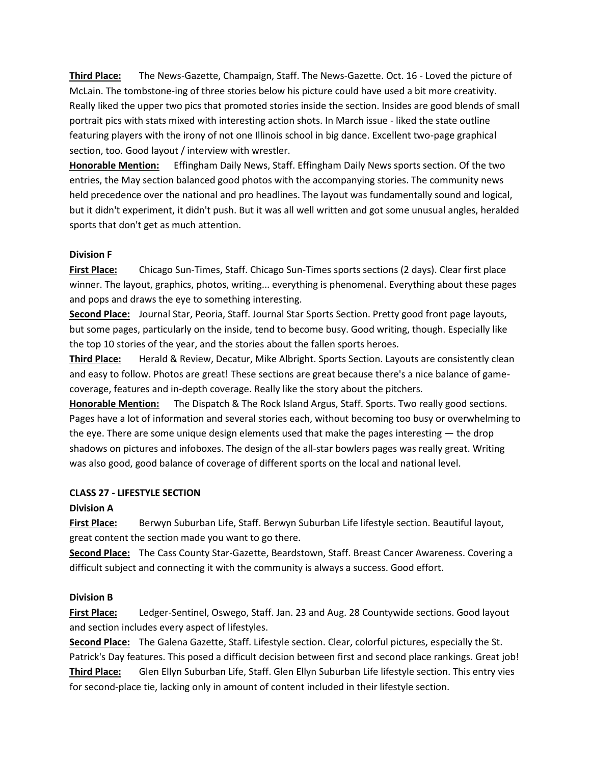**Third Place:** The News-Gazette, Champaign, Staff. The News-Gazette. Oct. 16 - Loved the picture of McLain. The tombstone-ing of three stories below his picture could have used a bit more creativity. Really liked the upper two pics that promoted stories inside the section. Insides are good blends of small portrait pics with stats mixed with interesting action shots. In March issue - liked the state outline featuring players with the irony of not one Illinois school in big dance. Excellent two-page graphical section, too. Good layout / interview with wrestler.

**Honorable Mention:** Effingham Daily News, Staff. Effingham Daily News sports section. Of the two entries, the May section balanced good photos with the accompanying stories. The community news held precedence over the national and pro headlines. The layout was fundamentally sound and logical, but it didn't experiment, it didn't push. But it was all well written and got some unusual angles, heralded sports that don't get as much attention.

### **Division F**

**First Place:** Chicago Sun-Times, Staff. Chicago Sun-Times sports sections (2 days). Clear first place winner. The layout, graphics, photos, writing... everything is phenomenal. Everything about these pages and pops and draws the eye to something interesting.

**Second Place:** Journal Star, Peoria, Staff. Journal Star Sports Section. Pretty good front page layouts, but some pages, particularly on the inside, tend to become busy. Good writing, though. Especially like the top 10 stories of the year, and the stories about the fallen sports heroes.

**Third Place:** Herald & Review, Decatur, Mike Albright. Sports Section. Layouts are consistently clean and easy to follow. Photos are great! These sections are great because there's a nice balance of gamecoverage, features and in-depth coverage. Really like the story about the pitchers.

**Honorable Mention:** The Dispatch & The Rock Island Argus, Staff. Sports. Two really good sections. Pages have a lot of information and several stories each, without becoming too busy or overwhelming to the eye. There are some unique design elements used that make the pages interesting — the drop shadows on pictures and infoboxes. The design of the all-star bowlers pages was really great. Writing was also good, good balance of coverage of different sports on the local and national level.

#### **CLASS 27 - LIFESTYLE SECTION**

### **Division A**

**First Place:** Berwyn Suburban Life, Staff. Berwyn Suburban Life lifestyle section. Beautiful layout, great content the section made you want to go there.

**Second Place:** The Cass County Star-Gazette, Beardstown, Staff. Breast Cancer Awareness. Covering a difficult subject and connecting it with the community is always a success. Good effort.

#### **Division B**

**First Place:** Ledger-Sentinel, Oswego, Staff. Jan. 23 and Aug. 28 Countywide sections. Good layout and section includes every aspect of lifestyles.

**Second Place:** The Galena Gazette, Staff. Lifestyle section. Clear, colorful pictures, especially the St. Patrick's Day features. This posed a difficult decision between first and second place rankings. Great job! **Third Place:** Glen Ellyn Suburban Life, Staff. Glen Ellyn Suburban Life lifestyle section. This entry vies for second-place tie, lacking only in amount of content included in their lifestyle section.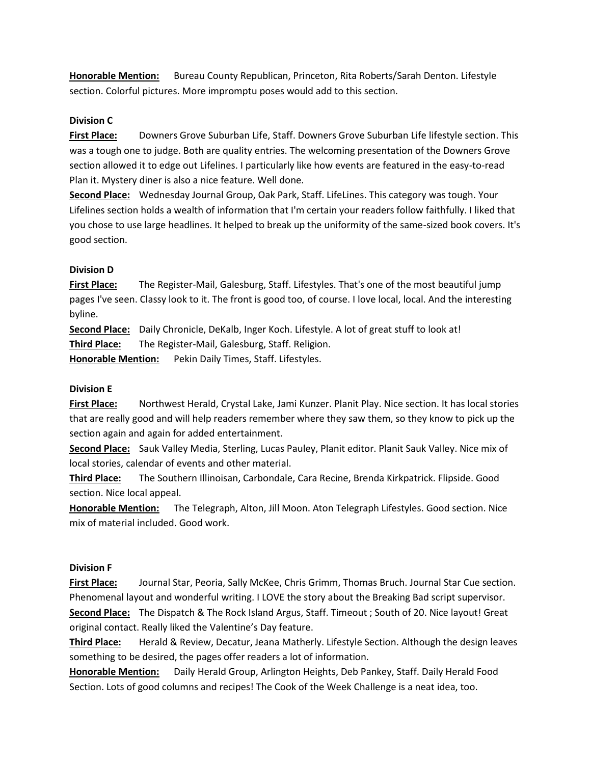**Honorable Mention:** Bureau County Republican, Princeton, Rita Roberts/Sarah Denton. Lifestyle section. Colorful pictures. More impromptu poses would add to this section.

### **Division C**

**First Place:** Downers Grove Suburban Life, Staff. Downers Grove Suburban Life lifestyle section. This was a tough one to judge. Both are quality entries. The welcoming presentation of the Downers Grove section allowed it to edge out Lifelines. I particularly like how events are featured in the easy-to-read Plan it. Mystery diner is also a nice feature. Well done.

**Second Place:** Wednesday Journal Group, Oak Park, Staff. LifeLines. This category was tough. Your Lifelines section holds a wealth of information that I'm certain your readers follow faithfully. I liked that you chose to use large headlines. It helped to break up the uniformity of the same-sized book covers. It's good section.

### **Division D**

**First Place:** The Register-Mail, Galesburg, Staff. Lifestyles. That's one of the most beautiful jump pages I've seen. Classy look to it. The front is good too, of course. I love local, local. And the interesting byline.

**Second Place:** Daily Chronicle, DeKalb, Inger Koch. Lifestyle. A lot of great stuff to look at! **Third Place:** The Register-Mail, Galesburg, Staff. Religion.

**Honorable Mention:** Pekin Daily Times, Staff. Lifestyles.

### **Division E**

**First Place:** Northwest Herald, Crystal Lake, Jami Kunzer. Planit Play. Nice section. It has local stories that are really good and will help readers remember where they saw them, so they know to pick up the section again and again for added entertainment.

**Second Place:** Sauk Valley Media, Sterling, Lucas Pauley, Planit editor. Planit Sauk Valley. Nice mix of local stories, calendar of events and other material.

**Third Place:** The Southern Illinoisan, Carbondale, Cara Recine, Brenda Kirkpatrick. Flipside. Good section. Nice local appeal.

**Honorable Mention:** The Telegraph, Alton, Jill Moon. Aton Telegraph Lifestyles. Good section. Nice mix of material included. Good work.

### **Division F**

**First Place:** Journal Star, Peoria, Sally McKee, Chris Grimm, Thomas Bruch. Journal Star Cue section. Phenomenal layout and wonderful writing. I LOVE the story about the Breaking Bad script supervisor. **Second Place:** The Dispatch & The Rock Island Argus, Staff. Timeout ; South of 20. Nice layout! Great original contact. Really liked the Valentine's Day feature.

**Third Place:** Herald & Review, Decatur, Jeana Matherly. Lifestyle Section. Although the design leaves something to be desired, the pages offer readers a lot of information.

**Honorable Mention:** Daily Herald Group, Arlington Heights, Deb Pankey, Staff. Daily Herald Food Section. Lots of good columns and recipes! The Cook of the Week Challenge is a neat idea, too.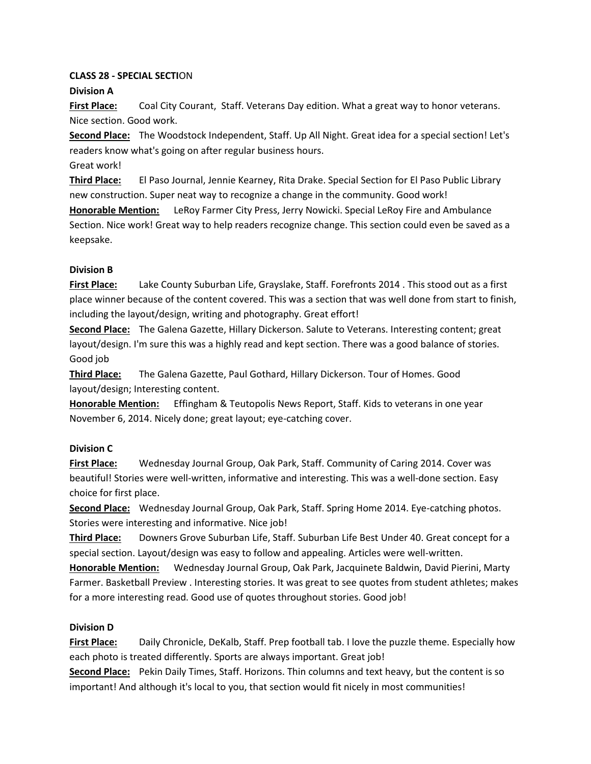# **CLASS 28 - SPECIAL SECTI**ON

# **Division A**

**First Place:** Coal City Courant, Staff. Veterans Day edition. What a great way to honor veterans. Nice section. Good work.

**Second Place:** The Woodstock Independent, Staff. Up All Night. Great idea for a special section! Let's readers know what's going on after regular business hours.

Great work!

**Third Place:** El Paso Journal, Jennie Kearney, Rita Drake. Special Section for El Paso Public Library new construction. Super neat way to recognize a change in the community. Good work!

**Honorable Mention:** LeRoy Farmer City Press, Jerry Nowicki. Special LeRoy Fire and Ambulance Section. Nice work! Great way to help readers recognize change. This section could even be saved as a keepsake.

# **Division B**

**First Place:** Lake County Suburban Life, Grayslake, Staff. Forefronts 2014 . This stood out as a first place winner because of the content covered. This was a section that was well done from start to finish, including the layout/design, writing and photography. Great effort!

**Second Place:** The Galena Gazette, Hillary Dickerson. Salute to Veterans. Interesting content; great layout/design. I'm sure this was a highly read and kept section. There was a good balance of stories. Good job

**Third Place:** The Galena Gazette, Paul Gothard, Hillary Dickerson. Tour of Homes. Good layout/design; Interesting content.

**Honorable Mention:** Effingham & Teutopolis News Report, Staff. Kids to veterans in one year November 6, 2014. Nicely done; great layout; eye-catching cover.

# **Division C**

**First Place:** Wednesday Journal Group, Oak Park, Staff. Community of Caring 2014. Cover was beautiful! Stories were well-written, informative and interesting. This was a well-done section. Easy choice for first place.

**Second Place:** Wednesday Journal Group, Oak Park, Staff. Spring Home 2014. Eye-catching photos. Stories were interesting and informative. Nice job!

**Third Place:** Downers Grove Suburban Life, Staff. Suburban Life Best Under 40. Great concept for a special section. Layout/design was easy to follow and appealing. Articles were well-written.

**Honorable Mention:** Wednesday Journal Group, Oak Park, Jacquinete Baldwin, David Pierini, Marty Farmer. Basketball Preview . Interesting stories. It was great to see quotes from student athletes; makes for a more interesting read. Good use of quotes throughout stories. Good job!

# **Division D**

**First Place:** Daily Chronicle, DeKalb, Staff. Prep football tab. I love the puzzle theme. Especially how each photo is treated differently. Sports are always important. Great job!

**Second Place:** Pekin Daily Times, Staff. Horizons. Thin columns and text heavy, but the content is so important! And although it's local to you, that section would fit nicely in most communities!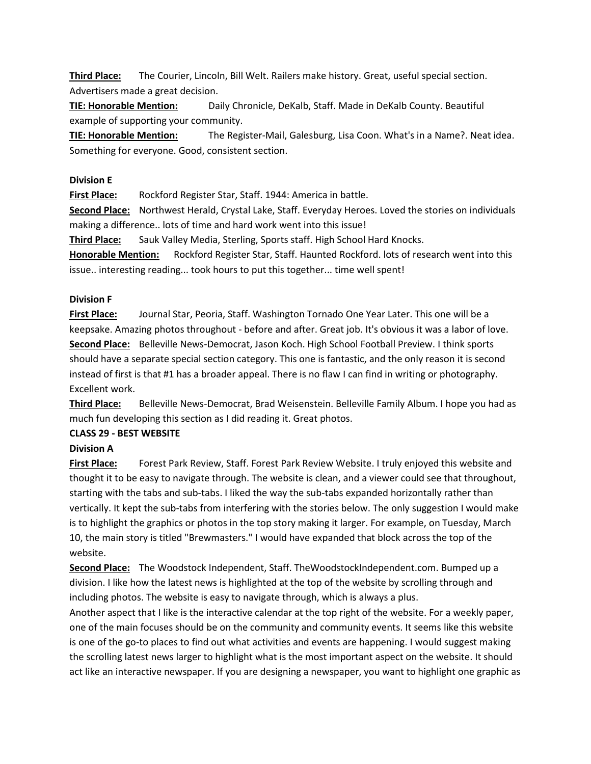**Third Place:** The Courier, Lincoln, Bill Welt. Railers make history. Great, useful special section. Advertisers made a great decision.

**TIE: Honorable Mention:** Daily Chronicle, DeKalb, Staff. Made in DeKalb County. Beautiful example of supporting your community.

**TIE: Honorable Mention:** The Register-Mail, Galesburg, Lisa Coon. What's in a Name?. Neat idea. Something for everyone. Good, consistent section.

### **Division E**

**First Place:** Rockford Register Star, Staff. 1944: America in battle.

**Second Place:** Northwest Herald, Crystal Lake, Staff. Everyday Heroes. Loved the stories on individuals making a difference.. lots of time and hard work went into this issue!

**Third Place:** Sauk Valley Media, Sterling, Sports staff. High School Hard Knocks.

**Honorable Mention:** Rockford Register Star, Staff. Haunted Rockford. lots of research went into this issue.. interesting reading... took hours to put this together... time well spent!

### **Division F**

**First Place:** Journal Star, Peoria, Staff. Washington Tornado One Year Later. This one will be a keepsake. Amazing photos throughout - before and after. Great job. It's obvious it was a labor of love. **Second Place:** Belleville News-Democrat, Jason Koch. High School Football Preview. I think sports should have a separate special section category. This one is fantastic, and the only reason it is second instead of first is that #1 has a broader appeal. There is no flaw I can find in writing or photography. Excellent work.

**Third Place:** Belleville News-Democrat, Brad Weisenstein. Belleville Family Album. I hope you had as much fun developing this section as I did reading it. Great photos.

### **CLASS 29 - BEST WEBSITE**

### **Division A**

**First Place:** Forest Park Review, Staff. Forest Park Review Website. I truly enjoyed this website and thought it to be easy to navigate through. The website is clean, and a viewer could see that throughout, starting with the tabs and sub-tabs. I liked the way the sub-tabs expanded horizontally rather than vertically. It kept the sub-tabs from interfering with the stories below. The only suggestion I would make is to highlight the graphics or photos in the top story making it larger. For example, on Tuesday, March 10, the main story is titled "Brewmasters." I would have expanded that block across the top of the website.

**Second Place:** The Woodstock Independent, Staff. TheWoodstockIndependent.com. Bumped up a division. I like how the latest news is highlighted at the top of the website by scrolling through and including photos. The website is easy to navigate through, which is always a plus.

Another aspect that I like is the interactive calendar at the top right of the website. For a weekly paper, one of the main focuses should be on the community and community events. It seems like this website is one of the go-to places to find out what activities and events are happening. I would suggest making the scrolling latest news larger to highlight what is the most important aspect on the website. It should act like an interactive newspaper. If you are designing a newspaper, you want to highlight one graphic as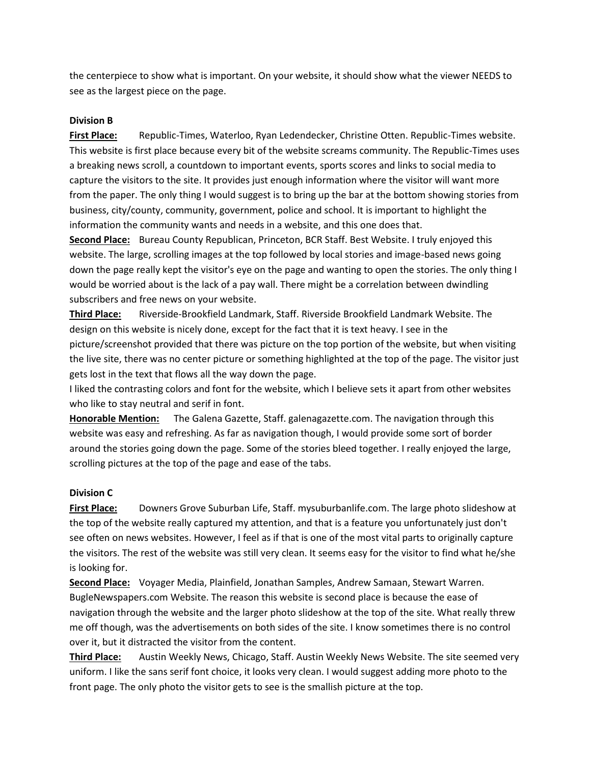the centerpiece to show what is important. On your website, it should show what the viewer NEEDS to see as the largest piece on the page.

### **Division B**

**First Place:** Republic-Times, Waterloo, Ryan Ledendecker, Christine Otten. Republic-Times website. This website is first place because every bit of the website screams community. The Republic-Times uses a breaking news scroll, a countdown to important events, sports scores and links to social media to capture the visitors to the site. It provides just enough information where the visitor will want more from the paper. The only thing I would suggest is to bring up the bar at the bottom showing stories from business, city/county, community, government, police and school. It is important to highlight the information the community wants and needs in a website, and this one does that.

**Second Place:** Bureau County Republican, Princeton, BCR Staff. Best Website. I truly enjoyed this website. The large, scrolling images at the top followed by local stories and image-based news going down the page really kept the visitor's eye on the page and wanting to open the stories. The only thing I would be worried about is the lack of a pay wall. There might be a correlation between dwindling subscribers and free news on your website.

**Third Place:** Riverside-Brookfield Landmark, Staff. Riverside Brookfield Landmark Website. The design on this website is nicely done, except for the fact that it is text heavy. I see in the picture/screenshot provided that there was picture on the top portion of the website, but when visiting the live site, there was no center picture or something highlighted at the top of the page. The visitor just gets lost in the text that flows all the way down the page.

I liked the contrasting colors and font for the website, which I believe sets it apart from other websites who like to stay neutral and serif in font.

**Honorable Mention:** The Galena Gazette, Staff. galenagazette.com. The navigation through this website was easy and refreshing. As far as navigation though, I would provide some sort of border around the stories going down the page. Some of the stories bleed together. I really enjoyed the large, scrolling pictures at the top of the page and ease of the tabs.

### **Division C**

**First Place:** Downers Grove Suburban Life, Staff. mysuburbanlife.com. The large photo slideshow at the top of the website really captured my attention, and that is a feature you unfortunately just don't see often on news websites. However, I feel as if that is one of the most vital parts to originally capture the visitors. The rest of the website was still very clean. It seems easy for the visitor to find what he/she is looking for.

**Second Place:** Voyager Media, Plainfield, Jonathan Samples, Andrew Samaan, Stewart Warren. BugleNewspapers.com Website. The reason this website is second place is because the ease of navigation through the website and the larger photo slideshow at the top of the site. What really threw me off though, was the advertisements on both sides of the site. I know sometimes there is no control over it, but it distracted the visitor from the content.

**Third Place:** Austin Weekly News, Chicago, Staff. Austin Weekly News Website. The site seemed very uniform. I like the sans serif font choice, it looks very clean. I would suggest adding more photo to the front page. The only photo the visitor gets to see is the smallish picture at the top.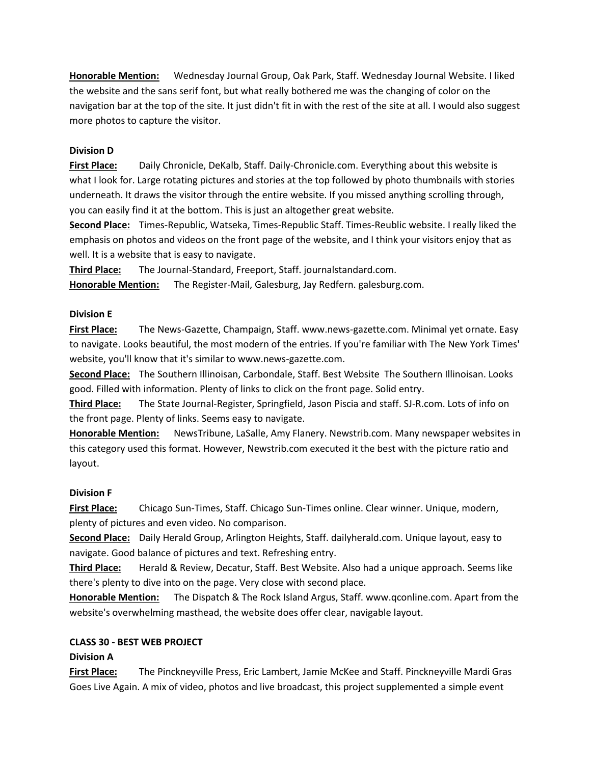**Honorable Mention:** Wednesday Journal Group, Oak Park, Staff. Wednesday Journal Website. I liked the website and the sans serif font, but what really bothered me was the changing of color on the navigation bar at the top of the site. It just didn't fit in with the rest of the site at all. I would also suggest more photos to capture the visitor.

### **Division D**

**First Place:** Daily Chronicle, DeKalb, Staff. Daily-Chronicle.com. Everything about this website is what I look for. Large rotating pictures and stories at the top followed by photo thumbnails with stories underneath. It draws the visitor through the entire website. If you missed anything scrolling through, you can easily find it at the bottom. This is just an altogether great website.

**Second Place:** Times-Republic, Watseka, Times-Republic Staff. Times-Reublic website. I really liked the emphasis on photos and videos on the front page of the website, and I think your visitors enjoy that as well. It is a website that is easy to navigate.

**Third Place:** The Journal-Standard, Freeport, Staff. journalstandard.com.

**Honorable Mention:** The Register-Mail, Galesburg, Jay Redfern. galesburg.com.

### **Division E**

**First Place:** The News-Gazette, Champaign, Staff. www.news-gazette.com. Minimal yet ornate. Easy to navigate. Looks beautiful, the most modern of the entries. If you're familiar with The New York Times' website, you'll know that it's similar to www.news-gazette.com.

**Second Place:** The Southern Illinoisan, Carbondale, Staff. Best Website The Southern Illinoisan. Looks good. Filled with information. Plenty of links to click on the front page. Solid entry.

**Third Place:** The State Journal-Register, Springfield, Jason Piscia and staff. SJ-R.com. Lots of info on the front page. Plenty of links. Seems easy to navigate.

**Honorable Mention:** NewsTribune, LaSalle, Amy Flanery. Newstrib.com. Many newspaper websites in this category used this format. However, Newstrib.com executed it the best with the picture ratio and layout.

### **Division F**

**First Place:** Chicago Sun-Times, Staff. Chicago Sun-Times online. Clear winner. Unique, modern, plenty of pictures and even video. No comparison.

**Second Place:** Daily Herald Group, Arlington Heights, Staff. dailyherald.com. Unique layout, easy to navigate. Good balance of pictures and text. Refreshing entry.

**Third Place:** Herald & Review, Decatur, Staff. Best Website. Also had a unique approach. Seems like there's plenty to dive into on the page. Very close with second place.

**Honorable Mention:** The Dispatch & The Rock Island Argus, Staff. www.qconline.com. Apart from the website's overwhelming masthead, the website does offer clear, navigable layout.

# **CLASS 30 - BEST WEB PROJECT**

# **Division A**

**First Place:** The Pinckneyville Press, Eric Lambert, Jamie McKee and Staff. Pinckneyville Mardi Gras Goes Live Again. A mix of video, photos and live broadcast, this project supplemented a simple event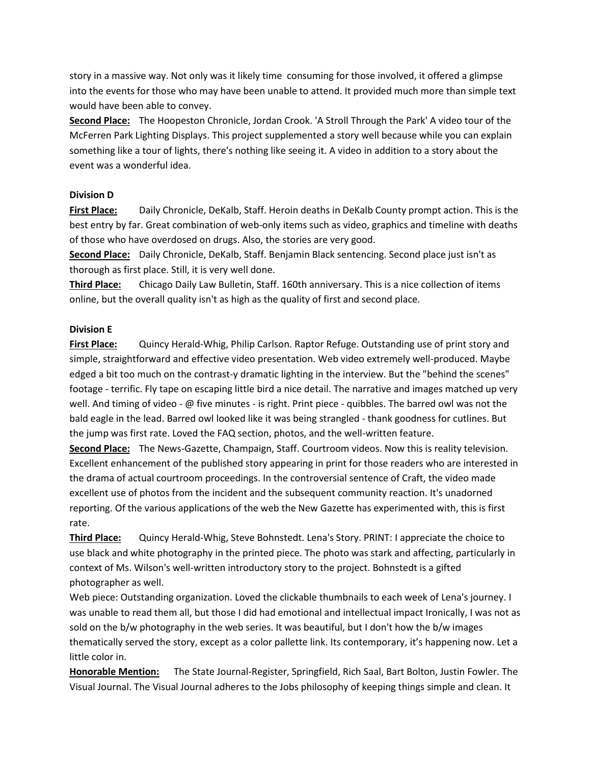story in a massive way. Not only was it likely time consuming for those involved, it offered a glimpse into the events for those who may have been unable to attend. It provided much more than simple text would have been able to convey.

**Second Place:** The Hoopeston Chronicle, Jordan Crook. 'A Stroll Through the Park' A video tour of the McFerren Park Lighting Displays. This project supplemented a story well because while you can explain something like a tour of lights, there's nothing like seeing it. A video in addition to a story about the event was a wonderful idea.

### **Division D**

**First Place:** Daily Chronicle, DeKalb, Staff. Heroin deaths in DeKalb County prompt action. This is the best entry by far. Great combination of web-only items such as video, graphics and timeline with deaths of those who have overdosed on drugs. Also, the stories are very good.

**Second Place:** Daily Chronicle, DeKalb, Staff. Benjamin Black sentencing. Second place just isn't as thorough as first place. Still, it is very well done.

**Third Place:** Chicago Daily Law Bulletin, Staff. 160th anniversary. This is a nice collection of items online, but the overall quality isn't as high as the quality of first and second place.

### **Division E**

**First Place:** Quincy Herald-Whig, Philip Carlson. Raptor Refuge. Outstanding use of print story and simple, straightforward and effective video presentation. Web video extremely well-produced. Maybe edged a bit too much on the contrast-y dramatic lighting in the interview. But the "behind the scenes" footage - terrific. Fly tape on escaping little bird a nice detail. The narrative and images matched up very well. And timing of video - @ five minutes - is right. Print piece - quibbles. The barred owl was not the bald eagle in the lead. Barred owl looked like it was being strangled - thank goodness for cutlines. But the jump was first rate. Loved the FAQ section, photos, and the well-written feature.

**Second Place:** The News-Gazette, Champaign, Staff. Courtroom videos. Now this is reality television. Excellent enhancement of the published story appearing in print for those readers who are interested in the drama of actual courtroom proceedings. In the controversial sentence of Craft, the video made excellent use of photos from the incident and the subsequent community reaction. It's unadorned reporting. Of the various applications of the web the New Gazette has experimented with, this is first rate.

**Third Place:** Quincy Herald-Whig, Steve Bohnstedt. Lena's Story. PRINT: I appreciate the choice to use black and white photography in the printed piece. The photo was stark and affecting, particularly in context of Ms. Wilson's well-written introductory story to the project. Bohnstedt is a gifted photographer as well.

Web piece: Outstanding organization. Loved the clickable thumbnails to each week of Lena's journey. I was unable to read them all, but those I did had emotional and intellectual impact Ironically, I was not as sold on the b/w photography in the web series. It was beautiful, but I don't how the b/w images thematically served the story, except as a color pallette link. Its contemporary, it's happening now. Let a little color in.

**Honorable Mention:** The State Journal-Register, Springfield, Rich Saal, Bart Bolton, Justin Fowler. The Visual Journal. The Visual Journal adheres to the Jobs philosophy of keeping things simple and clean. It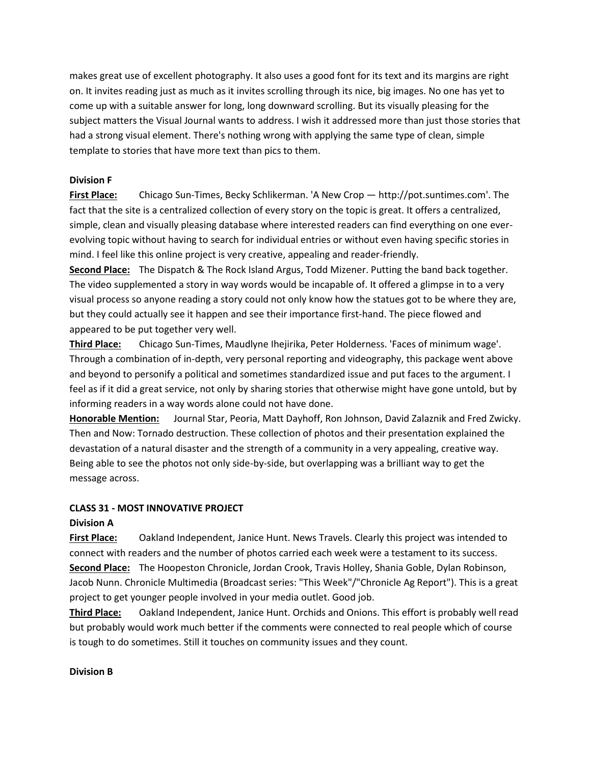makes great use of excellent photography. It also uses a good font for its text and its margins are right on. It invites reading just as much as it invites scrolling through its nice, big images. No one has yet to come up with a suitable answer for long, long downward scrolling. But its visually pleasing for the subject matters the Visual Journal wants to address. I wish it addressed more than just those stories that had a strong visual element. There's nothing wrong with applying the same type of clean, simple template to stories that have more text than pics to them.

### **Division F**

**First Place:** Chicago Sun-Times, Becky Schlikerman. 'A New Crop — http://pot.suntimes.com'. The fact that the site is a centralized collection of every story on the topic is great. It offers a centralized, simple, clean and visually pleasing database where interested readers can find everything on one everevolving topic without having to search for individual entries or without even having specific stories in mind. I feel like this online project is very creative, appealing and reader-friendly.

**Second Place:** The Dispatch & The Rock Island Argus, Todd Mizener. Putting the band back together. The video supplemented a story in way words would be incapable of. It offered a glimpse in to a very visual process so anyone reading a story could not only know how the statues got to be where they are, but they could actually see it happen and see their importance first-hand. The piece flowed and appeared to be put together very well.

**Third Place:** Chicago Sun-Times, Maudlyne Ihejirika, Peter Holderness. 'Faces of minimum wage'. Through a combination of in-depth, very personal reporting and videography, this package went above and beyond to personify a political and sometimes standardized issue and put faces to the argument. I feel as if it did a great service, not only by sharing stories that otherwise might have gone untold, but by informing readers in a way words alone could not have done.

**Honorable Mention:** Journal Star, Peoria, Matt Dayhoff, Ron Johnson, David Zalaznik and Fred Zwicky. Then and Now: Tornado destruction. These collection of photos and their presentation explained the devastation of a natural disaster and the strength of a community in a very appealing, creative way. Being able to see the photos not only side-by-side, but overlapping was a brilliant way to get the message across.

### **CLASS 31 - MOST INNOVATIVE PROJECT**

# **Division A**

**First Place:** Oakland Independent, Janice Hunt. News Travels. Clearly this project was intended to connect with readers and the number of photos carried each week were a testament to its success. **Second Place:** The Hoopeston Chronicle, Jordan Crook, Travis Holley, Shania Goble, Dylan Robinson, Jacob Nunn. Chronicle Multimedia (Broadcast series: "This Week"/"Chronicle Ag Report"). This is a great project to get younger people involved in your media outlet. Good job.

**Third Place:** Oakland Independent, Janice Hunt. Orchids and Onions. This effort is probably well read but probably would work much better if the comments were connected to real people which of course is tough to do sometimes. Still it touches on community issues and they count.

### **Division B**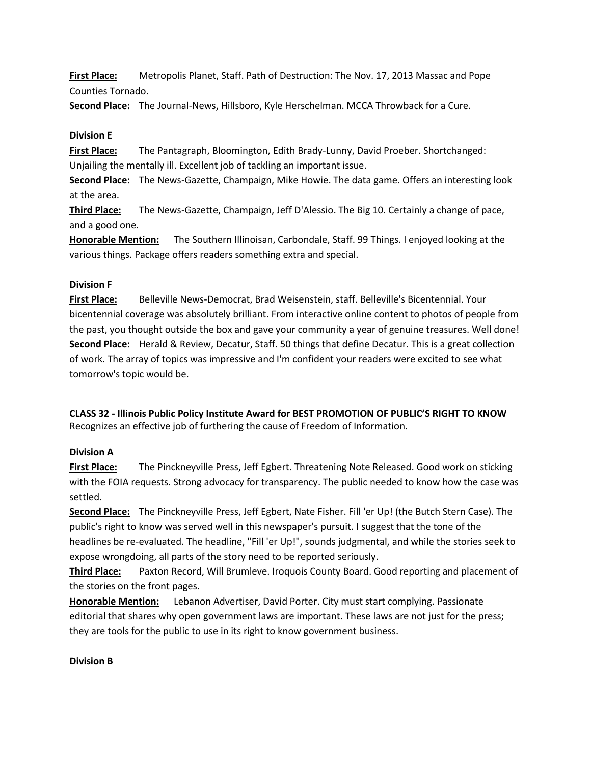**First Place:** Metropolis Planet, Staff. Path of Destruction: The Nov. 17, 2013 Massac and Pope Counties Tornado.

**Second Place:** The Journal-News, Hillsboro, Kyle Herschelman. MCCA Throwback for a Cure.

### **Division E**

**First Place:** The Pantagraph, Bloomington, Edith Brady-Lunny, David Proeber. Shortchanged: Unjailing the mentally ill. Excellent job of tackling an important issue.

**Second Place:** The News-Gazette, Champaign, Mike Howie. The data game. Offers an interesting look at the area.

**Third Place:** The News-Gazette, Champaign, Jeff D'Alessio. The Big 10. Certainly a change of pace, and a good one.

**Honorable Mention:** The Southern Illinoisan, Carbondale, Staff. 99 Things. I enjoyed looking at the various things. Package offers readers something extra and special.

### **Division F**

**First Place:** Belleville News-Democrat, Brad Weisenstein, staff. Belleville's Bicentennial. Your bicentennial coverage was absolutely brilliant. From interactive online content to photos of people from the past, you thought outside the box and gave your community a year of genuine treasures. Well done! **Second Place:** Herald & Review, Decatur, Staff. 50 things that define Decatur. This is a great collection of work. The array of topics was impressive and I'm confident your readers were excited to see what tomorrow's topic would be.

**CLASS 32 - Illinois Public Policy Institute Award for BEST PROMOTION OF PUBLIC'S RIGHT TO KNOW** Recognizes an effective job of furthering the cause of Freedom of Information.

# **Division A**

**First Place:** The Pinckneyville Press, Jeff Egbert. Threatening Note Released. Good work on sticking with the FOIA requests. Strong advocacy for transparency. The public needed to know how the case was settled.

**Second Place:** The Pinckneyville Press, Jeff Egbert, Nate Fisher. Fill 'er Up! (the Butch Stern Case). The public's right to know was served well in this newspaper's pursuit. I suggest that the tone of the headlines be re-evaluated. The headline, "Fill 'er Up!", sounds judgmental, and while the stories seek to expose wrongdoing, all parts of the story need to be reported seriously.

**Third Place:** Paxton Record, Will Brumleve. Iroquois County Board. Good reporting and placement of the stories on the front pages.

**Honorable Mention:** Lebanon Advertiser, David Porter. City must start complying. Passionate editorial that shares why open government laws are important. These laws are not just for the press; they are tools for the public to use in its right to know government business.

### **Division B**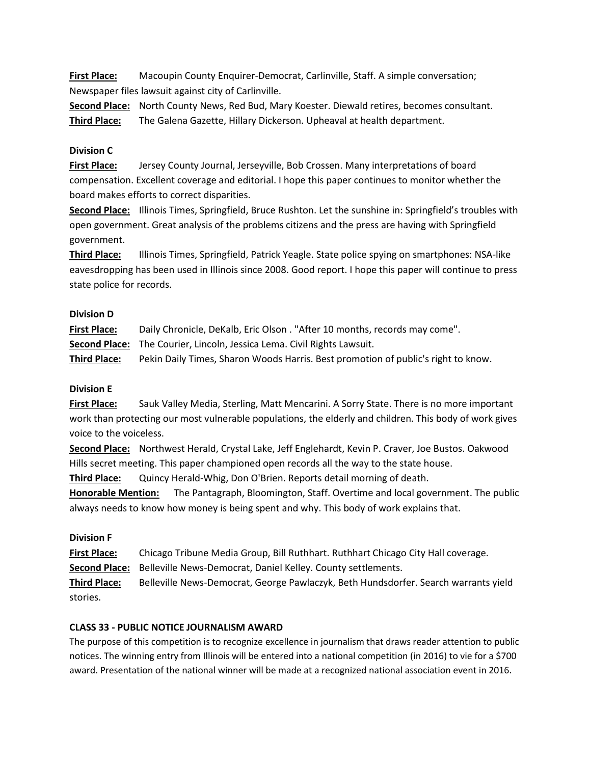**First Place:** Macoupin County Enquirer-Democrat, Carlinville, Staff. A simple conversation; Newspaper files lawsuit against city of Carlinville.

**Second Place:** North County News, Red Bud, Mary Koester. Diewald retires, becomes consultant. **Third Place:** The Galena Gazette, Hillary Dickerson. Upheaval at health department.

### **Division C**

**First Place:** Jersey County Journal, Jerseyville, Bob Crossen. Many interpretations of board compensation. Excellent coverage and editorial. I hope this paper continues to monitor whether the board makes efforts to correct disparities.

**Second Place:** Illinois Times, Springfield, Bruce Rushton. Let the sunshine in: Springfield's troubles with open government. Great analysis of the problems citizens and the press are having with Springfield government.

**Third Place:** Illinois Times, Springfield, Patrick Yeagle. State police spying on smartphones: NSA-like eavesdropping has been used in Illinois since 2008. Good report. I hope this paper will continue to press state police for records.

### **Division D**

| <b>First Place:</b> | Daily Chronicle, DeKalb, Eric Olson. "After 10 months, records may come".         |
|---------------------|-----------------------------------------------------------------------------------|
|                     | <b>Second Place:</b> The Courier, Lincoln, Jessica Lema. Civil Rights Lawsuit.    |
| <b>Third Place:</b> | Pekin Daily Times, Sharon Woods Harris. Best promotion of public's right to know. |

# **Division E**

**First Place:** Sauk Valley Media, Sterling, Matt Mencarini. A Sorry State. There is no more important work than protecting our most vulnerable populations, the elderly and children. This body of work gives voice to the voiceless.

**Second Place:** Northwest Herald, Crystal Lake, Jeff Englehardt, Kevin P. Craver, Joe Bustos. Oakwood Hills secret meeting. This paper championed open records all the way to the state house.

**Third Place:** Quincy Herald-Whig, Don O'Brien. Reports detail morning of death.

**Honorable Mention:** The Pantagraph, Bloomington, Staff. Overtime and local government. The public always needs to know how money is being spent and why. This body of work explains that.

### **Division F**

**First Place:** Chicago Tribune Media Group, Bill Ruthhart. Ruthhart Chicago City Hall coverage.

**Second Place:** Belleville News-Democrat, Daniel Kelley. County settlements.

**Third Place:** Belleville News-Democrat, George Pawlaczyk, Beth Hundsdorfer. Search warrants yield stories.

# **CLASS 33 - PUBLIC NOTICE JOURNALISM AWARD**

The purpose of this competition is to recognize excellence in journalism that draws reader attention to public notices. The winning entry from Illinois will be entered into a national competition (in 2016) to vie for a \$700 award. Presentation of the national winner will be made at a recognized national association event in 2016.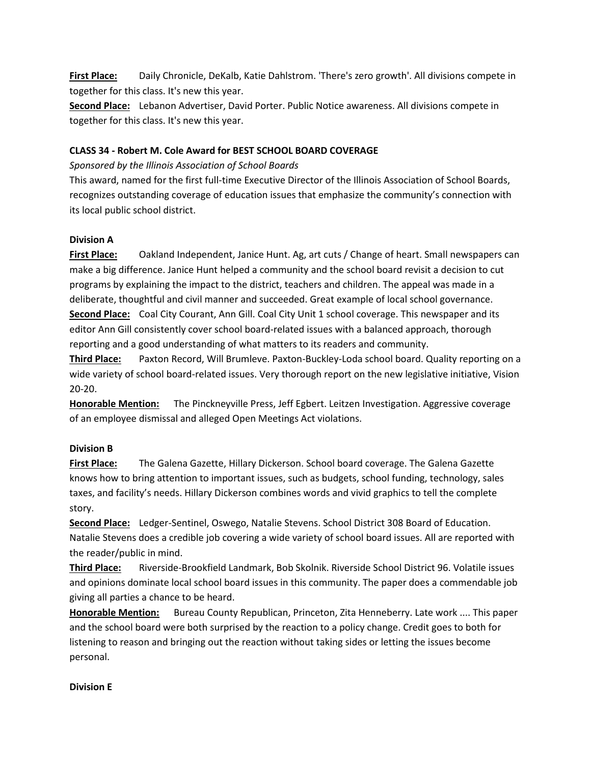**First Place:** Daily Chronicle, DeKalb, Katie Dahlstrom. 'There's zero growth'. All divisions compete in together for this class. It's new this year.

**Second Place:** Lebanon Advertiser, David Porter. Public Notice awareness. All divisions compete in together for this class. It's new this year.

### **CLASS 34 - Robert M. Cole Award for BEST SCHOOL BOARD COVERAGE**

### *Sponsored by the Illinois Association of School Boards*

This award, named for the first full-time Executive Director of the Illinois Association of School Boards, recognizes outstanding coverage of education issues that emphasize the community's connection with its local public school district.

### **Division A**

**First Place:** Oakland Independent, Janice Hunt. Ag, art cuts / Change of heart. Small newspapers can make a big difference. Janice Hunt helped a community and the school board revisit a decision to cut programs by explaining the impact to the district, teachers and children. The appeal was made in a deliberate, thoughtful and civil manner and succeeded. Great example of local school governance. **Second Place:** Coal City Courant, Ann Gill. Coal City Unit 1 school coverage. This newspaper and its editor Ann Gill consistently cover school board-related issues with a balanced approach, thorough reporting and a good understanding of what matters to its readers and community.

**Third Place:** Paxton Record, Will Brumleve. Paxton-Buckley-Loda school board. Quality reporting on a wide variety of school board-related issues. Very thorough report on the new legislative initiative, Vision 20-20.

**Honorable Mention:** The Pinckneyville Press, Jeff Egbert. Leitzen Investigation. Aggressive coverage of an employee dismissal and alleged Open Meetings Act violations.

# **Division B**

**First Place:** The Galena Gazette, Hillary Dickerson. School board coverage. The Galena Gazette knows how to bring attention to important issues, such as budgets, school funding, technology, sales taxes, and facility's needs. Hillary Dickerson combines words and vivid graphics to tell the complete story.

**Second Place:** Ledger-Sentinel, Oswego, Natalie Stevens. School District 308 Board of Education. Natalie Stevens does a credible job covering a wide variety of school board issues. All are reported with the reader/public in mind.

**Third Place:** Riverside-Brookfield Landmark, Bob Skolnik. Riverside School District 96. Volatile issues and opinions dominate local school board issues in this community. The paper does a commendable job giving all parties a chance to be heard.

**Honorable Mention:** Bureau County Republican, Princeton, Zita Henneberry. Late work .... This paper and the school board were both surprised by the reaction to a policy change. Credit goes to both for listening to reason and bringing out the reaction without taking sides or letting the issues become personal.

### **Division E**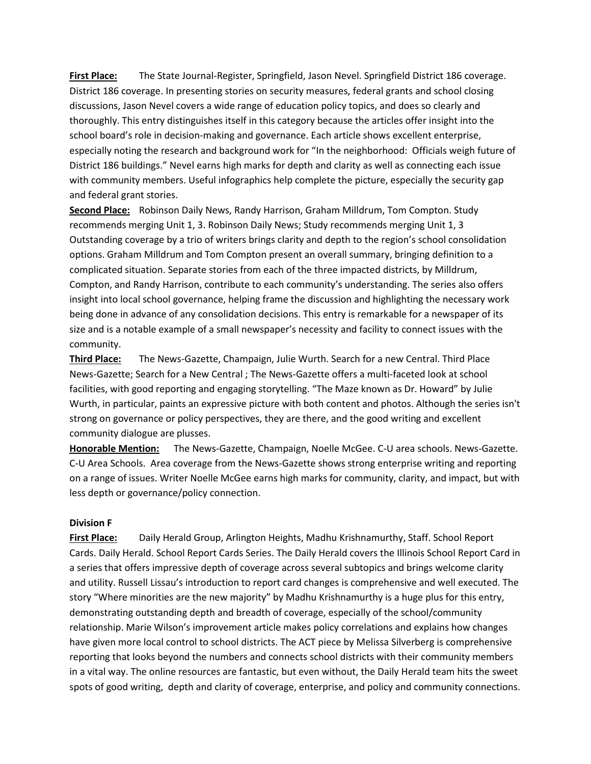**First Place:** The State Journal-Register, Springfield, Jason Nevel. Springfield District 186 coverage. District 186 coverage. In presenting stories on security measures, federal grants and school closing discussions, Jason Nevel covers a wide range of education policy topics, and does so clearly and thoroughly. This entry distinguishes itself in this category because the articles offer insight into the school board's role in decision-making and governance. Each article shows excellent enterprise, especially noting the research and background work for "In the neighborhood: Officials weigh future of District 186 buildings." Nevel earns high marks for depth and clarity as well as connecting each issue with community members. Useful infographics help complete the picture, especially the security gap and federal grant stories.

**Second Place:** Robinson Daily News, Randy Harrison, Graham Milldrum, Tom Compton. Study recommends merging Unit 1, 3. Robinson Daily News; Study recommends merging Unit 1, 3 Outstanding coverage by a trio of writers brings clarity and depth to the region's school consolidation options. Graham Milldrum and Tom Compton present an overall summary, bringing definition to a complicated situation. Separate stories from each of the three impacted districts, by Milldrum, Compton, and Randy Harrison, contribute to each community's understanding. The series also offers insight into local school governance, helping frame the discussion and highlighting the necessary work being done in advance of any consolidation decisions. This entry is remarkable for a newspaper of its size and is a notable example of a small newspaper's necessity and facility to connect issues with the community.

**Third Place:** The News-Gazette, Champaign, Julie Wurth. Search for a new Central. Third Place News-Gazette; Search for a New Central ; The News-Gazette offers a multi-faceted look at school facilities, with good reporting and engaging storytelling. "The Maze known as Dr. Howard" by Julie Wurth, in particular, paints an expressive picture with both content and photos. Although the series isn't strong on governance or policy perspectives, they are there, and the good writing and excellent community dialogue are plusses.

**Honorable Mention:** The News-Gazette, Champaign, Noelle McGee. C-U area schools. News-Gazette. C-U Area Schools. Area coverage from the News-Gazette shows strong enterprise writing and reporting on a range of issues. Writer Noelle McGee earns high marks for community, clarity, and impact, but with less depth or governance/policy connection.

### **Division F**

**First Place:** Daily Herald Group, Arlington Heights, Madhu Krishnamurthy, Staff. School Report Cards. Daily Herald. School Report Cards Series. The Daily Herald covers the Illinois School Report Card in a series that offers impressive depth of coverage across several subtopics and brings welcome clarity and utility. Russell Lissau's introduction to report card changes is comprehensive and well executed. The story "Where minorities are the new majority" by Madhu Krishnamurthy is a huge plus for this entry, demonstrating outstanding depth and breadth of coverage, especially of the school/community relationship. Marie Wilson's improvement article makes policy correlations and explains how changes have given more local control to school districts. The ACT piece by Melissa Silverberg is comprehensive reporting that looks beyond the numbers and connects school districts with their community members in a vital way. The online resources are fantastic, but even without, the Daily Herald team hits the sweet spots of good writing, depth and clarity of coverage, enterprise, and policy and community connections.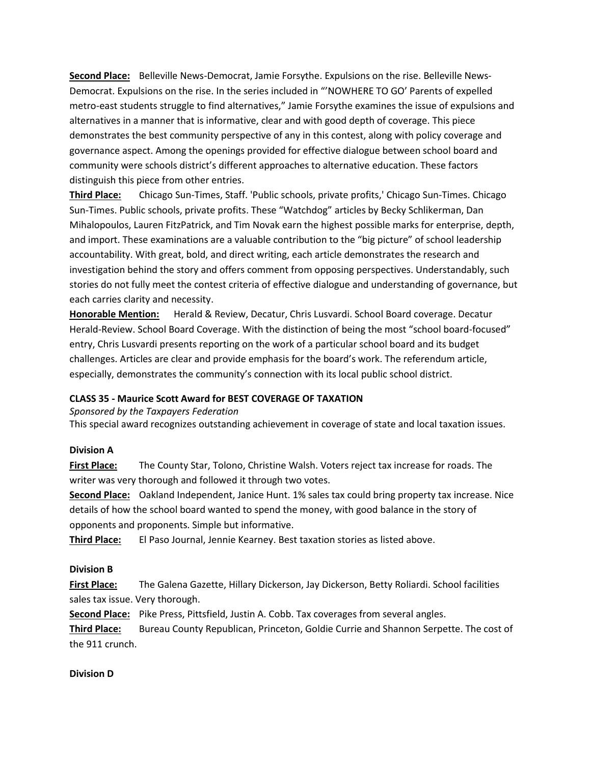**Second Place:** Belleville News-Democrat, Jamie Forsythe. Expulsions on the rise. Belleville News-Democrat. Expulsions on the rise. In the series included in "'NOWHERE TO GO' Parents of expelled metro-east students struggle to find alternatives," Jamie Forsythe examines the issue of expulsions and alternatives in a manner that is informative, clear and with good depth of coverage. This piece demonstrates the best community perspective of any in this contest, along with policy coverage and governance aspect. Among the openings provided for effective dialogue between school board and community were schools district's different approaches to alternative education. These factors distinguish this piece from other entries.

**Third Place:** Chicago Sun-Times, Staff. 'Public schools, private profits,' Chicago Sun-Times. Chicago Sun-Times. Public schools, private profits. These "Watchdog" articles by Becky Schlikerman, Dan Mihalopoulos, Lauren FitzPatrick, and Tim Novak earn the highest possible marks for enterprise, depth, and import. These examinations are a valuable contribution to the "big picture" of school leadership accountability. With great, bold, and direct writing, each article demonstrates the research and investigation behind the story and offers comment from opposing perspectives. Understandably, such stories do not fully meet the contest criteria of effective dialogue and understanding of governance, but each carries clarity and necessity.

**Honorable Mention:** Herald & Review, Decatur, Chris Lusvardi. School Board coverage. Decatur Herald-Review. School Board Coverage. With the distinction of being the most "school board-focused" entry, Chris Lusvardi presents reporting on the work of a particular school board and its budget challenges. Articles are clear and provide emphasis for the board's work. The referendum article, especially, demonstrates the community's connection with its local public school district.

### **CLASS 35 - Maurice Scott Award for BEST COVERAGE OF TAXATION**

*Sponsored by the Taxpayers Federation*

This special award recognizes outstanding achievement in coverage of state and local taxation issues.

#### **Division A**

**First Place:** The County Star, Tolono, Christine Walsh. Voters reject tax increase for roads. The writer was very thorough and followed it through two votes.

**Second Place:** Oakland Independent, Janice Hunt. 1% sales tax could bring property tax increase. Nice details of how the school board wanted to spend the money, with good balance in the story of opponents and proponents. Simple but informative.

**Third Place:** El Paso Journal, Jennie Kearney. Best taxation stories as listed above.

### **Division B**

**First Place:** The Galena Gazette, Hillary Dickerson, Jay Dickerson, Betty Roliardi. School facilities sales tax issue. Very thorough.

**Second Place:** Pike Press, Pittsfield, Justin A. Cobb. Tax coverages from several angles.

**Third Place:** Bureau County Republican, Princeton, Goldie Currie and Shannon Serpette. The cost of the 911 crunch.

### **Division D**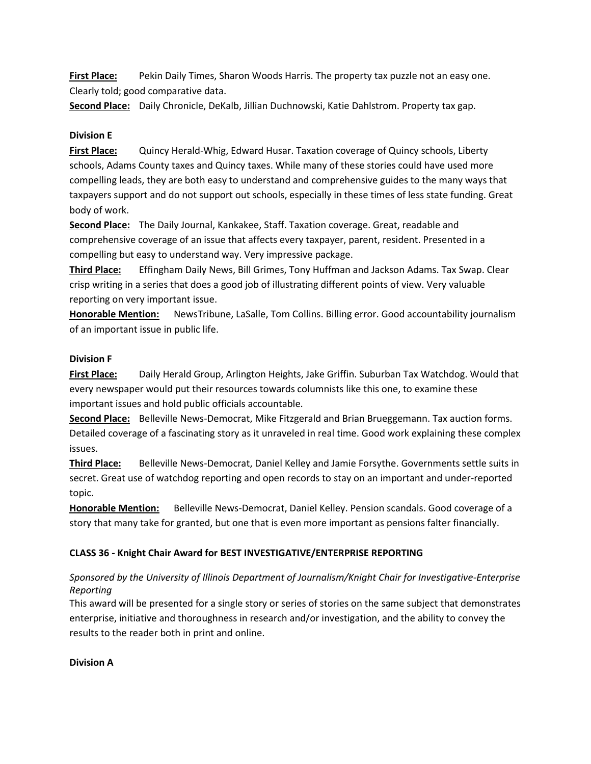**First Place:** Pekin Daily Times, Sharon Woods Harris. The property tax puzzle not an easy one. Clearly told; good comparative data.

**Second Place:** Daily Chronicle, DeKalb, Jillian Duchnowski, Katie Dahlstrom. Property tax gap.

### **Division E**

**First Place:** Quincy Herald-Whig, Edward Husar. Taxation coverage of Quincy schools, Liberty schools, Adams County taxes and Quincy taxes. While many of these stories could have used more compelling leads, they are both easy to understand and comprehensive guides to the many ways that taxpayers support and do not support out schools, especially in these times of less state funding. Great body of work.

**Second Place:** The Daily Journal, Kankakee, Staff. Taxation coverage. Great, readable and comprehensive coverage of an issue that affects every taxpayer, parent, resident. Presented in a compelling but easy to understand way. Very impressive package.

**Third Place:** Effingham Daily News, Bill Grimes, Tony Huffman and Jackson Adams. Tax Swap. Clear crisp writing in a series that does a good job of illustrating different points of view. Very valuable reporting on very important issue.

**Honorable Mention:** NewsTribune, LaSalle, Tom Collins. Billing error. Good accountability journalism of an important issue in public life.

### **Division F**

**First Place:** Daily Herald Group, Arlington Heights, Jake Griffin. Suburban Tax Watchdog. Would that every newspaper would put their resources towards columnists like this one, to examine these important issues and hold public officials accountable.

**Second Place:** Belleville News-Democrat, Mike Fitzgerald and Brian Brueggemann. Tax auction forms. Detailed coverage of a fascinating story as it unraveled in real time. Good work explaining these complex issues.

**Third Place:** Belleville News-Democrat, Daniel Kelley and Jamie Forsythe. Governments settle suits in secret. Great use of watchdog reporting and open records to stay on an important and under-reported topic.

**Honorable Mention:** Belleville News-Democrat, Daniel Kelley. Pension scandals. Good coverage of a story that many take for granted, but one that is even more important as pensions falter financially.

# **CLASS 36 - Knight Chair Award for BEST INVESTIGATIVE/ENTERPRISE REPORTING**

# *Sponsored by the University of Illinois Department of Journalism/Knight Chair for Investigative-Enterprise Reporting*

This award will be presented for a single story or series of stories on the same subject that demonstrates enterprise, initiative and thoroughness in research and/or investigation, and the ability to convey the results to the reader both in print and online.

**Division A**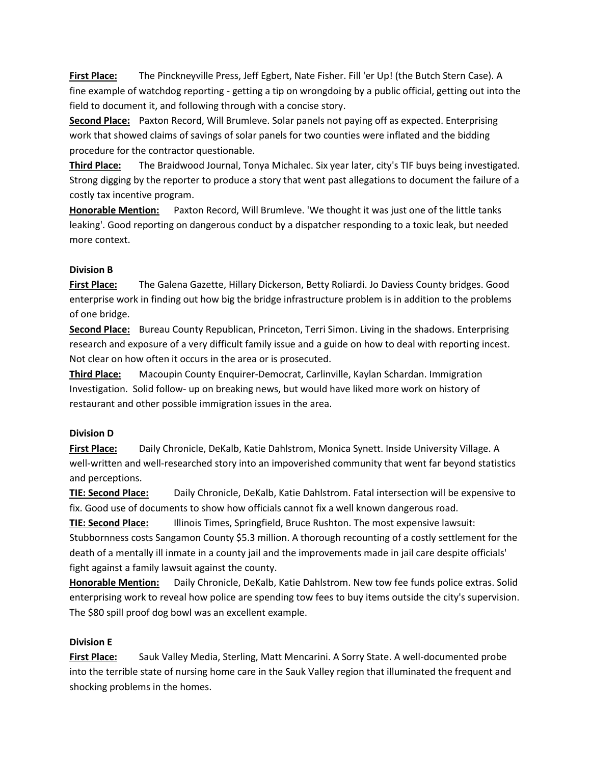**First Place:** The Pinckneyville Press, Jeff Egbert, Nate Fisher. Fill 'er Up! (the Butch Stern Case). A fine example of watchdog reporting - getting a tip on wrongdoing by a public official, getting out into the field to document it, and following through with a concise story.

**Second Place:** Paxton Record, Will Brumleve. Solar panels not paying off as expected. Enterprising work that showed claims of savings of solar panels for two counties were inflated and the bidding procedure for the contractor questionable.

**Third Place:** The Braidwood Journal, Tonya Michalec. Six year later, city's TIF buys being investigated. Strong digging by the reporter to produce a story that went past allegations to document the failure of a costly tax incentive program.

**Honorable Mention:** Paxton Record, Will Brumleve. 'We thought it was just one of the little tanks leaking'. Good reporting on dangerous conduct by a dispatcher responding to a toxic leak, but needed more context.

# **Division B**

**First Place:** The Galena Gazette, Hillary Dickerson, Betty Roliardi. Jo Daviess County bridges. Good enterprise work in finding out how big the bridge infrastructure problem is in addition to the problems of one bridge.

**Second Place:** Bureau County Republican, Princeton, Terri Simon. Living in the shadows. Enterprising research and exposure of a very difficult family issue and a guide on how to deal with reporting incest. Not clear on how often it occurs in the area or is prosecuted.

**Third Place:** Macoupin County Enquirer-Democrat, Carlinville, Kaylan Schardan. Immigration Investigation. Solid follow- up on breaking news, but would have liked more work on history of restaurant and other possible immigration issues in the area.

# **Division D**

**First Place:** Daily Chronicle, DeKalb, Katie Dahlstrom, Monica Synett. Inside University Village. A well-written and well-researched story into an impoverished community that went far beyond statistics and perceptions.

**TIE: Second Place:** Daily Chronicle, DeKalb, Katie Dahlstrom. Fatal intersection will be expensive to fix. Good use of documents to show how officials cannot fix a well known dangerous road.

**TIE: Second Place:** Illinois Times, Springfield, Bruce Rushton. The most expensive lawsuit: Stubbornness costs Sangamon County \$5.3 million. A thorough recounting of a costly settlement for the death of a mentally ill inmate in a county jail and the improvements made in jail care despite officials' fight against a family lawsuit against the county.

**Honorable Mention:** Daily Chronicle, DeKalb, Katie Dahlstrom. New tow fee funds police extras. Solid enterprising work to reveal how police are spending tow fees to buy items outside the city's supervision. The \$80 spill proof dog bowl was an excellent example.

# **Division E**

**First Place:** Sauk Valley Media, Sterling, Matt Mencarini. A Sorry State. A well-documented probe into the terrible state of nursing home care in the Sauk Valley region that illuminated the frequent and shocking problems in the homes.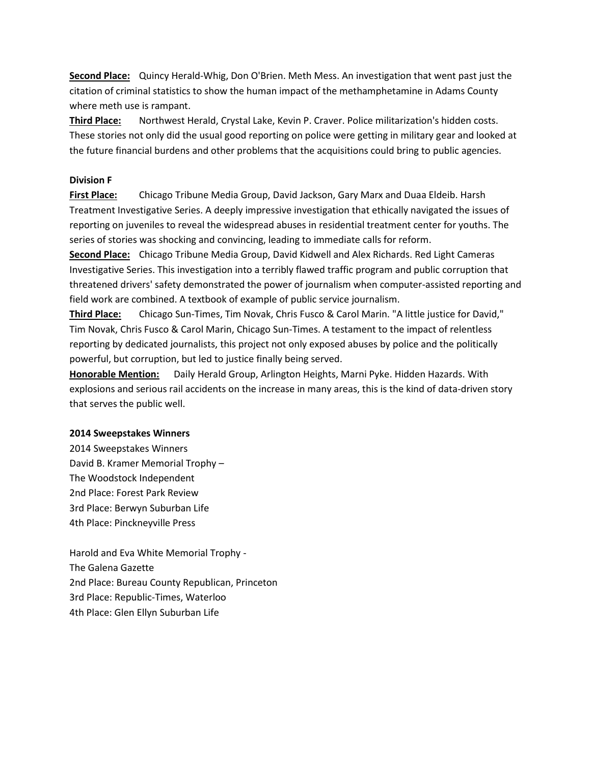**Second Place:** Quincy Herald-Whig, Don O'Brien. Meth Mess. An investigation that went past just the citation of criminal statistics to show the human impact of the methamphetamine in Adams County where meth use is rampant.

**Third Place:** Northwest Herald, Crystal Lake, Kevin P. Craver. Police militarization's hidden costs. These stories not only did the usual good reporting on police were getting in military gear and looked at the future financial burdens and other problems that the acquisitions could bring to public agencies.

### **Division F**

**First Place:** Chicago Tribune Media Group, David Jackson, Gary Marx and Duaa Eldeib. Harsh Treatment Investigative Series. A deeply impressive investigation that ethically navigated the issues of reporting on juveniles to reveal the widespread abuses in residential treatment center for youths. The series of stories was shocking and convincing, leading to immediate calls for reform.

**Second Place:** Chicago Tribune Media Group, David Kidwell and Alex Richards. Red Light Cameras Investigative Series. This investigation into a terribly flawed traffic program and public corruption that threatened drivers' safety demonstrated the power of journalism when computer-assisted reporting and field work are combined. A textbook of example of public service journalism.

**Third Place:** Chicago Sun-Times, Tim Novak, Chris Fusco & Carol Marin. "A little justice for David," Tim Novak, Chris Fusco & Carol Marin, Chicago Sun-Times. A testament to the impact of relentless reporting by dedicated journalists, this project not only exposed abuses by police and the politically powerful, but corruption, but led to justice finally being served.

**Honorable Mention:** Daily Herald Group, Arlington Heights, Marni Pyke. Hidden Hazards. With explosions and serious rail accidents on the increase in many areas, this is the kind of data-driven story that serves the public well.

#### **2014 Sweepstakes Winners**

2014 Sweepstakes Winners David B. Kramer Memorial Trophy – The Woodstock Independent 2nd Place: Forest Park Review 3rd Place: Berwyn Suburban Life 4th Place: Pinckneyville Press

Harold and Eva White Memorial Trophy - The Galena Gazette 2nd Place: Bureau County Republican, Princeton 3rd Place: Republic-Times, Waterloo 4th Place: Glen Ellyn Suburban Life